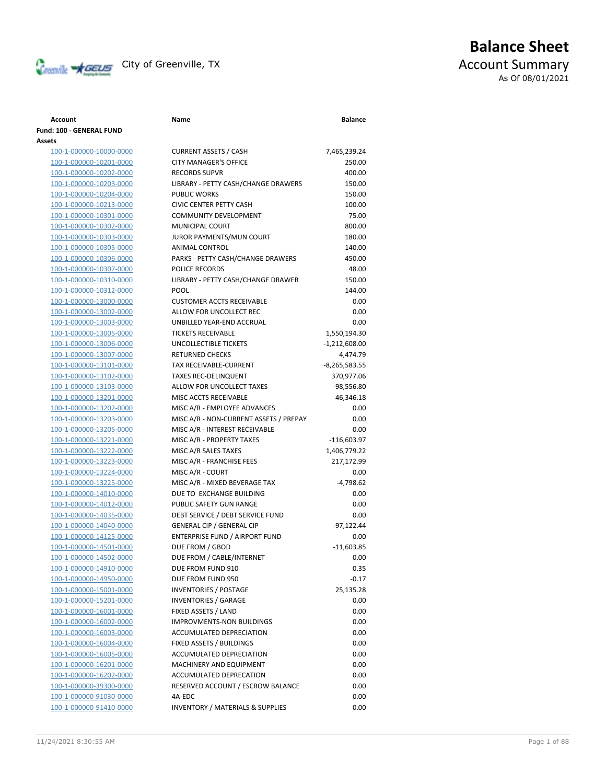

# **Balance Sheet** Creenville **AGEUS** City of Greenville, TX **ACCOUNT** ACCOUNT Summary As Of 08/01/2021

### **Fund: 100 - GENERAL FUND Assets** 100-1-000000-10000-0000 CURRE 100-1-000000-10201-0000 CITY M 100-1-000000-10202-0000 RECOR 100-1-000000-10203-0000 LIBRAF 100-1-000000-10204-0000 PUBLIC 100-1-000000-10213-0000 CIVIC C 100-1-000000-10301-0000 COMM 100-1-000000-10302-0000 MUNIC 100-1-000000-10303-0000 JUROR 100-1-000000-10305-0000 ANIMA 100-1-000000-10306-0000 PARKS 100-1-000000-10307-0000 POLICE 100-1-000000-10310-0000 LIBRAF 100-1-000000-10312-0000 POOL 100-1-000000-13000-0000 CUSTO 100-1-000000-13002-0000 ALLOW 100-1-000000-13003-0000 UNBIL 100-1-000000-13005-0000 TICKET 100-1-000000-13006-0000 UNCOL 100-1-000000-13007-0000 RETUR 100-1-000000-13101-0000 TAX RE 100-1-000000-13102-0000 TAXES 100-1-000000-13103-0000 ALLOW 100-1-000000-13201-0000 MISC A 100-1-000000-13202-0000 MISC A 100-1-000000-13203-0000 MISC A 100-1-000000-13205-0000 MISC A 100-1-000000-13221-0000 MISC A 100-1-000000-13222-0000 MISC A 100-1-000000-13223-0000 MISC A 100-1-000000-13224-0000 MISC A 100-1-000000-13225-0000 MISC A 100-1-000000-14010-0000 DUE TO 100-1-000000-14012-0000 PUBLIC 100-1-000000-14035-0000 DEBT S 100-1-000000-14040-0000 GENER 100-1-000000-14125-0000 ENTER 100-1-000000-14501-0000 DUE FR 100-1-000000-14502-0000 DUE FR 100-1-000000-14910-0000 DUE FR 100-1-000000-14950-0000 DUE FR 100-1-000000-15001-0000 INVEN 100-1-000000-15201-0000 INVENT 100-1-000000-16001-0000 FIXED 100-1-000000-16002-0000 IMPRO 100-1-000000-16003-0000 ACCUM 100-1-000000-16004-0000 FIXED 100-1-000000-16005-0000 ACCUM 100-1-000000-16201-0000 MACH 100-1-000000-16202-0000 ACCUM 100-1-000000-39300-0000 RESER

100-1-000000-91030-0000 4A-ED 100-1-000000-91410-0000 INVENTORY / MATERIALS & SUPPLIES 0.00

| Account                 | Name                                   | <b>Balance</b>  |
|-------------------------|----------------------------------------|-----------------|
| l: 100 - GENERAL FUND   |                                        |                 |
| ts                      |                                        |                 |
| 100-1-000000-10000-0000 | <b>CURRENT ASSETS / CASH</b>           | 7,465,239.24    |
| 100-1-000000-10201-0000 | <b>CITY MANAGER'S OFFICE</b>           | 250.00          |
| 100-1-000000-10202-0000 | <b>RECORDS SUPVR</b>                   | 400.00          |
| 100-1-000000-10203-0000 | LIBRARY - PETTY CASH/CHANGE DRAWERS    | 150.00          |
| 100-1-000000-10204-0000 | <b>PUBLIC WORKS</b>                    | 150.00          |
| 100-1-000000-10213-0000 | <b>CIVIC CENTER PETTY CASH</b>         | 100.00          |
| 100-1-000000-10301-0000 | <b>COMMUNITY DEVELOPMENT</b>           | 75.00           |
| 100-1-000000-10302-0000 | MUNICIPAL COURT                        | 800.00          |
| 100-1-000000-10303-0000 | JUROR PAYMENTS/MUN COURT               | 180.00          |
| 100-1-000000-10305-0000 | ANIMAL CONTROL                         | 140.00          |
| 100-1-000000-10306-0000 | PARKS - PETTY CASH/CHANGE DRAWERS      | 450.00          |
| 100-1-000000-10307-0000 | POLICE RECORDS                         | 48.00           |
| 100-1-000000-10310-0000 | LIBRARY - PETTY CASH/CHANGE DRAWER     | 150.00          |
| 100-1-000000-10312-0000 | <b>POOL</b>                            | 144.00          |
| 100-1-000000-13000-0000 | <b>CUSTOMER ACCTS RECEIVABLE</b>       | 0.00            |
| 100-1-000000-13002-0000 | ALLOW FOR UNCOLLECT REC                | 0.00            |
| 100-1-000000-13003-0000 | UNBILLED YEAR-END ACCRUAL              | 0.00            |
| 100-1-000000-13005-0000 | <b>TICKETS RECEIVABLE</b>              | 1,550,194.30    |
| 100-1-000000-13006-0000 | UNCOLLECTIBLE TICKETS                  | $-1,212,608.00$ |
| 100-1-000000-13007-0000 | <b>RETURNED CHECKS</b>                 | 4,474.79        |
| 100-1-000000-13101-0000 | <b>TAX RECEIVABLE-CURRENT</b>          | $-8,265,583.55$ |
| 100-1-000000-13102-0000 | <b>TAXES REC-DELINQUENT</b>            | 370,977.06      |
| 100-1-000000-13103-0000 | ALLOW FOR UNCOLLECT TAXES              | $-98,556.80$    |
| 100-1-000000-13201-0000 | MISC ACCTS RECEIVABLE                  | 46,346.18       |
| 100-1-000000-13202-0000 | MISC A/R - EMPLOYEE ADVANCES           | 0.00            |
| 100-1-000000-13203-0000 | MISC A/R - NON-CURRENT ASSETS / PREPAY | 0.00            |
| 100-1-000000-13205-0000 | MISC A/R - INTEREST RECEIVABLE         | 0.00            |
| 100-1-000000-13221-0000 | MISC A/R - PROPERTY TAXES              | $-116,603.97$   |
| 100-1-000000-13222-0000 | MISC A/R SALES TAXES                   | 1,406,779.22    |
| 100-1-000000-13223-0000 | MISC A/R - FRANCHISE FEES              | 217,172.99      |
| 100-1-000000-13224-0000 | MISC A/R - COURT                       | 0.00            |
| 100-1-000000-13225-0000 | MISC A/R - MIXED BEVERAGE TAX          | $-4,798.62$     |
| 100-1-000000-14010-0000 | DUE TO EXCHANGE BUILDING               | 0.00            |
| 100-1-000000-14012-0000 | PUBLIC SAFETY GUN RANGE                | 0.00            |
| 100-1-000000-14035-0000 | DEBT SERVICE / DEBT SERVICE FUND       | 0.00            |
| 100-1-000000-14040-0000 | <b>GENERAL CIP / GENERAL CIP</b>       | $-97,122.44$    |
| 100-1-000000-14125-0000 | ENTERPRISE FUND / AIRPORT FUND         | 0.00            |
| 100-1-000000-14501-0000 | DUE FROM / GBOD                        | $-11,603.85$    |
| 100-1-000000-14502-0000 | DUE FROM / CABLE/INTERNET              | 0.00            |
| 100-1-000000-14910-0000 | DUE FROM FUND 910                      | 0.35            |
| 100-1-000000-14950-0000 | DUE FROM FUND 950                      | -0.17           |
| 100-1-000000-15001-0000 | <b>INVENTORIES / POSTAGE</b>           | 25,135.28       |
| 100-1-000000-15201-0000 | <b>INVENTORIES / GARAGE</b>            | 0.00            |
| 100-1-000000-16001-0000 | FIXED ASSETS / LAND                    | 0.00            |
| 100-1-000000-16002-0000 | <b>IMPROVMENTS-NON BUILDINGS</b>       | 0.00            |
| 100-1-000000-16003-0000 | ACCUMULATED DEPRECIATION               | 0.00            |
| 100-1-000000-16004-0000 | FIXED ASSETS / BUILDINGS               | 0.00            |
| 100-1-000000-16005-0000 | ACCUMULATED DEPRECIATION               | 0.00            |
| 100-1-000000-16201-0000 | MACHINERY AND EQUIPMENT                | 0.00            |
| 100-1-000000-16202-0000 | ACCUMULATED DEPRECATION                | 0.00            |
| 100-1-000000-39300-0000 | RESERVED ACCOUNT / ESCROW BALANCE      | 0.00            |
| 100-1-000000-91030-0000 | 4A-EDC                                 | 0.00            |
|                         |                                        |                 |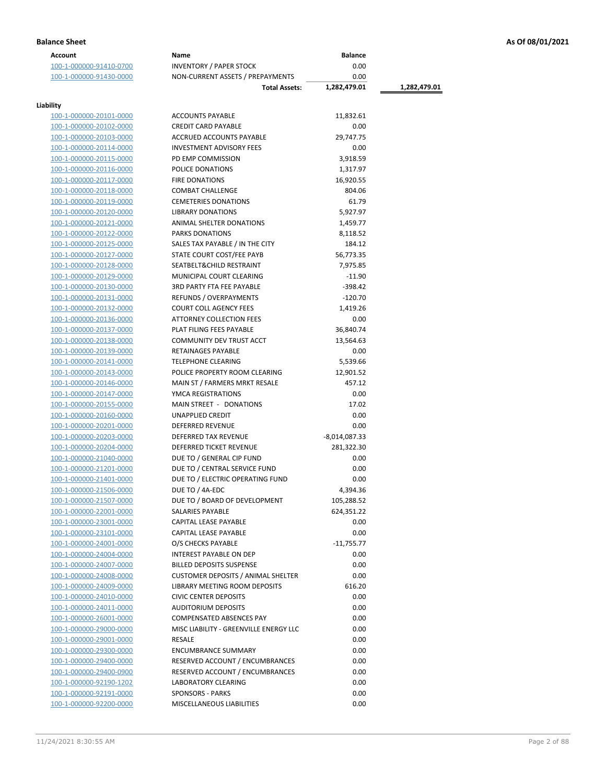| <b>Account</b>          | Name                                                | <b>Balance</b>  |              |
|-------------------------|-----------------------------------------------------|-----------------|--------------|
| 100-1-000000-91410-0700 | <b>INVENTORY / PAPER STOCK</b>                      | 0.00            |              |
| 100-1-000000-91430-0000 | NON-CURRENT ASSETS / PREPAYMENTS                    | 0.00            |              |
|                         | <b>Total Assets:</b>                                | 1,282,479.01    | 1,282,479.01 |
|                         |                                                     |                 |              |
| Liability               |                                                     |                 |              |
| 100-1-000000-20101-0000 | <b>ACCOUNTS PAYABLE</b>                             | 11,832.61       |              |
| 100-1-000000-20102-0000 | <b>CREDIT CARD PAYABLE</b>                          | 0.00            |              |
| 100-1-000000-20103-0000 | ACCRUED ACCOUNTS PAYABLE                            | 29,747.75       |              |
| 100-1-000000-20114-0000 | <b>INVESTMENT ADVISORY FEES</b>                     | 0.00            |              |
| 100-1-000000-20115-0000 | PD EMP COMMISSION                                   | 3,918.59        |              |
| 100-1-000000-20116-0000 | POLICE DONATIONS                                    | 1,317.97        |              |
| 100-1-000000-20117-0000 | <b>FIRE DONATIONS</b>                               | 16,920.55       |              |
| 100-1-000000-20118-0000 | <b>COMBAT CHALLENGE</b>                             | 804.06          |              |
| 100-1-000000-20119-0000 | <b>CEMETERIES DONATIONS</b>                         | 61.79           |              |
| 100-1-000000-20120-0000 | <b>LIBRARY DONATIONS</b>                            | 5,927.97        |              |
| 100-1-000000-20121-0000 | ANIMAL SHELTER DONATIONS                            | 1,459.77        |              |
| 100-1-000000-20122-0000 | PARKS DONATIONS                                     | 8,118.52        |              |
| 100-1-000000-20125-0000 | SALES TAX PAYABLE / IN THE CITY                     | 184.12          |              |
| 100-1-000000-20127-0000 | STATE COURT COST/FEE PAYB                           | 56,773.35       |              |
| 100-1-000000-20128-0000 | SEATBELT& CHILD RESTRAINT                           | 7,975.85        |              |
| 100-1-000000-20129-0000 | MUNICIPAL COURT CLEARING                            | $-11.90$        |              |
| 100-1-000000-20130-0000 | <b>3RD PARTY FTA FEE PAYABLE</b>                    | $-398.42$       |              |
| 100-1-000000-20131-0000 | <b>REFUNDS / OVERPAYMENTS</b>                       | $-120.70$       |              |
| 100-1-000000-20132-0000 | <b>COURT COLL AGENCY FEES</b>                       | 1,419.26        |              |
| 100-1-000000-20136-0000 | <b>ATTORNEY COLLECTION FEES</b>                     | 0.00            |              |
| 100-1-000000-20137-0000 | PLAT FILING FEES PAYABLE                            | 36,840.74       |              |
| 100-1-000000-20138-0000 | COMMUNITY DEV TRUST ACCT                            | 13,564.63       |              |
| 100-1-000000-20139-0000 | RETAINAGES PAYABLE                                  | 0.00            |              |
| 100-1-000000-20141-0000 | <b>TELEPHONE CLEARING</b>                           | 5,539.66        |              |
| 100-1-000000-20143-0000 | POLICE PROPERTY ROOM CLEARING                       | 12,901.52       |              |
|                         |                                                     | 457.12          |              |
| 100-1-000000-20146-0000 | MAIN ST / FARMERS MRKT RESALE<br>YMCA REGISTRATIONS | 0.00            |              |
| 100-1-000000-20147-0000 |                                                     |                 |              |
| 100-1-000000-20155-0000 | MAIN STREET - DONATIONS                             | 17.02           |              |
| 100-1-000000-20160-0000 | UNAPPLIED CREDIT                                    | 0.00            |              |
| 100-1-000000-20201-0000 | <b>DEFERRED REVENUE</b>                             | 0.00            |              |
| 100-1-000000-20203-0000 | <b>DEFERRED TAX REVENUE</b>                         | $-8,014,087.33$ |              |
| 100-1-000000-20204-0000 | <b>DEFERRED TICKET REVENUE</b>                      | 281,322.30      |              |
| 100-1-000000-21040-0000 | DUE TO / GENERAL CIP FUND                           | 0.00            |              |
| 100-1-000000-21201-0000 | DUE TO / CENTRAL SERVICE FUND                       | 0.00            |              |
| 100-1-000000-21401-0000 | DUE TO / ELECTRIC OPERATING FUND                    | 0.00            |              |
| 100-1-000000-21506-0000 | DUE TO / 4A-EDC                                     | 4,394.36        |              |
| 100-1-000000-21507-0000 | DUE TO / BOARD OF DEVELOPMENT                       | 105,288.52      |              |
| 100-1-000000-22001-0000 | SALARIES PAYABLE                                    | 624,351.22      |              |
| 100-1-000000-23001-0000 | CAPITAL LEASE PAYABLE                               | 0.00            |              |
| 100-1-000000-23101-0000 | <b>CAPITAL LEASE PAYABLE</b>                        | 0.00            |              |
| 100-1-000000-24001-0000 | O/S CHECKS PAYABLE                                  | $-11,755.77$    |              |
| 100-1-000000-24004-0000 | <b>INTEREST PAYABLE ON DEP</b>                      | 0.00            |              |
| 100-1-000000-24007-0000 | <b>BILLED DEPOSITS SUSPENSE</b>                     | 0.00            |              |
| 100-1-000000-24008-0000 | <b>CUSTOMER DEPOSITS / ANIMAL SHELTER</b>           | 0.00            |              |
| 100-1-000000-24009-0000 | <b>LIBRARY MEETING ROOM DEPOSITS</b>                | 616.20          |              |
| 100-1-000000-24010-0000 | <b>CIVIC CENTER DEPOSITS</b>                        | 0.00            |              |
| 100-1-000000-24011-0000 | <b>AUDITORIUM DEPOSITS</b>                          | 0.00            |              |
| 100-1-000000-26001-0000 | <b>COMPENSATED ABSENCES PAY</b>                     | 0.00            |              |
| 100-1-000000-29000-0000 | MISC LIABILITY - GREENVILLE ENERGY LLC              | 0.00            |              |
| 100-1-000000-29001-0000 | RESALE                                              | 0.00            |              |
| 100-1-000000-29300-0000 | <b>ENCUMBRANCE SUMMARY</b>                          | 0.00            |              |
| 100-1-000000-29400-0000 | RESERVED ACCOUNT / ENCUMBRANCES                     | 0.00            |              |
| 100-1-000000-29400-0900 | RESERVED ACCOUNT / ENCUMBRANCES                     | 0.00            |              |
| 100-1-000000-92190-1202 | <b>LABORATORY CLEARING</b>                          | 0.00            |              |
| 100-1-000000-92191-0000 | <b>SPONSORS - PARKS</b>                             | 0.00            |              |
| 100-1-000000-92200-0000 | MISCELLANEOUS LIABILITIES                           | 0.00            |              |
|                         |                                                     |                 |              |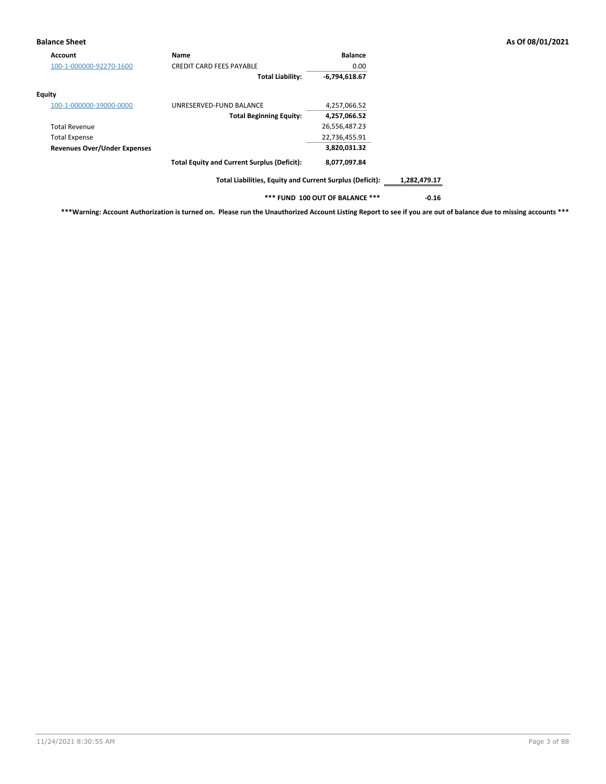### **Balance Sheet As Of 08/01/2021**

| Account                             | <b>Name</b>                                              | <b>Balance</b>                  |              |
|-------------------------------------|----------------------------------------------------------|---------------------------------|--------------|
| 100-1-000000-92270-1600             | <b>CREDIT CARD FEES PAYABLE</b>                          | 0.00                            |              |
|                                     | <b>Total Liability:</b>                                  | $-6,794,618.67$                 |              |
| Equity                              |                                                          |                                 |              |
| 100-1-000000-39000-0000             | UNRESERVED-FUND BALANCE                                  | 4,257,066.52                    |              |
|                                     | <b>Total Beginning Equity:</b>                           | 4,257,066.52                    |              |
| <b>Total Revenue</b>                |                                                          | 26,556,487.23                   |              |
| <b>Total Expense</b>                |                                                          | 22,736,455.91                   |              |
| <b>Revenues Over/Under Expenses</b> |                                                          | 3,820,031.32                    |              |
|                                     | <b>Total Equity and Current Surplus (Deficit):</b>       | 8,077,097.84                    |              |
|                                     | Total Liabilities, Equity and Current Surplus (Deficit): |                                 | 1,282,479.17 |
|                                     |                                                          | *** FUND 100 OUT OF BALANCE *** | $-0.16$      |

**\*\*\*Warning: Account Authorization is turned on. Please run the Unauthorized Account Listing Report to see if you are out of balance due to missing accounts \*\*\***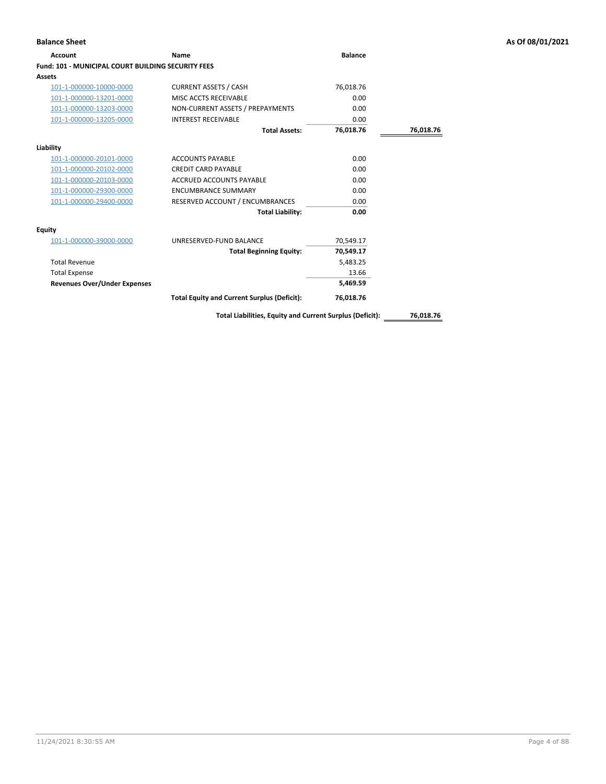## **Account Name Balance Fund: 101 - MUNICIPAL COURT BUILDING SECURITY FEES Assets** 101-1-000000-10000-0000 CURRENT ASSETS / CASH 76,018.76 101-1-000000-13201-0000 MISC ACCTS RECEIVABLE 0.00 101-1-000000-13203-0000 NON-CURRENT ASSETS / PREPAYMENTS 0.00 101-1-000000-13205-0000 INTEREST RECEIVABLE 0.00 **Total Assets: 76,018.76 76,018.76 Liability** 101-1-000000-20101-0000 ACCOUNTS PAYABLE 0.00 101-1-000000-20102-0000 CREDIT CARD PAYABLE 0.00 101-1-000000-20103-0000 ACCRUED ACCOUNTS PAYABLE 0.00 101-1-000000-29300-0000 ENCUMBRANCE SUMMARY 0.00 101-1-000000-29400-0000 RESERVED ACCOUNT / ENCUMBRANCES 0.00 **Total Liability: 0.00 Equity** 101-1-000000-39000-0000 UNRESERVED-FUND BALANCE 70,549.17 **Total Beginning Equity: 70,549.17** Total Revenue 5,483.25 Total Expense 13.66 **Revenues Over/Under Expenses 5,469.59 Total Equity and Current Surplus (Deficit): 76,018.76**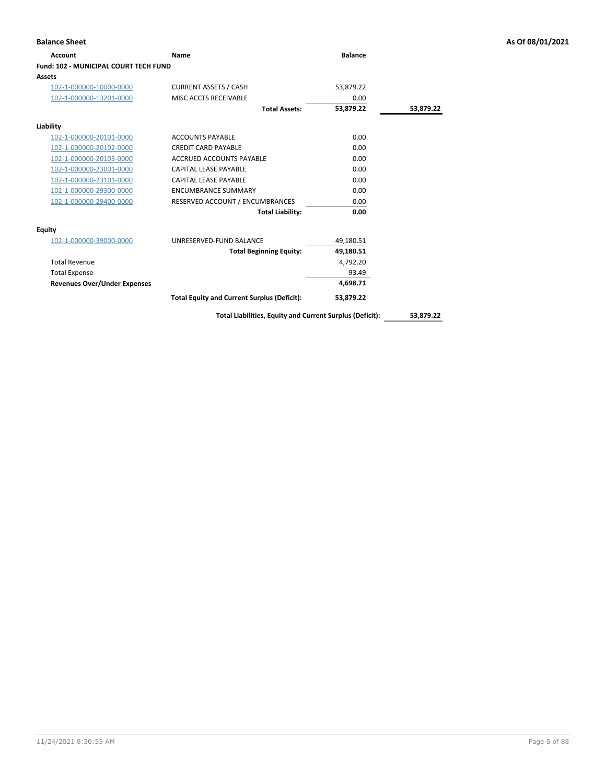| <b>Balance Sheet</b>                  |                                                    |                |           | As Of 08/01/2021 |
|---------------------------------------|----------------------------------------------------|----------------|-----------|------------------|
| <b>Account</b>                        | Name                                               | <b>Balance</b> |           |                  |
| Fund: 102 - MUNICIPAL COURT TECH FUND |                                                    |                |           |                  |
| <b>Assets</b>                         |                                                    |                |           |                  |
| 102-1-000000-10000-0000               | <b>CURRENT ASSETS / CASH</b>                       | 53,879.22      |           |                  |
| 102-1-000000-13201-0000               | MISC ACCTS RECEIVABLE                              | 0.00           |           |                  |
|                                       | <b>Total Assets:</b>                               | 53,879.22      | 53,879.22 |                  |
| Liability                             |                                                    |                |           |                  |
| 102-1-000000-20101-0000               | <b>ACCOUNTS PAYABLE</b>                            | 0.00           |           |                  |
| 102-1-000000-20102-0000               | <b>CREDIT CARD PAYABLE</b>                         | 0.00           |           |                  |
| 102-1-000000-20103-0000               | <b>ACCRUED ACCOUNTS PAYABLE</b>                    | 0.00           |           |                  |
| 102-1-000000-23001-0000               | <b>CAPITAL LEASE PAYABLE</b>                       | 0.00           |           |                  |
| 102-1-000000-23101-0000               | <b>CAPITAL LEASE PAYABLE</b>                       | 0.00           |           |                  |
| 102-1-000000-29300-0000               | <b>ENCUMBRANCE SUMMARY</b>                         | 0.00           |           |                  |
| 102-1-000000-29400-0000               | RESERVED ACCOUNT / ENCUMBRANCES                    | 0.00           |           |                  |
|                                       | <b>Total Liability:</b>                            | 0.00           |           |                  |
| Equity                                |                                                    |                |           |                  |
| 102-1-000000-39000-0000               | UNRESERVED-FUND BALANCE                            | 49,180.51      |           |                  |
|                                       | <b>Total Beginning Equity:</b>                     | 49,180.51      |           |                  |
| <b>Total Revenue</b>                  |                                                    | 4,792.20       |           |                  |
| <b>Total Expense</b>                  |                                                    | 93.49          |           |                  |
| <b>Revenues Over/Under Expenses</b>   |                                                    | 4,698.71       |           |                  |
|                                       | <b>Total Equity and Current Surplus (Deficit):</b> | 53,879.22      |           |                  |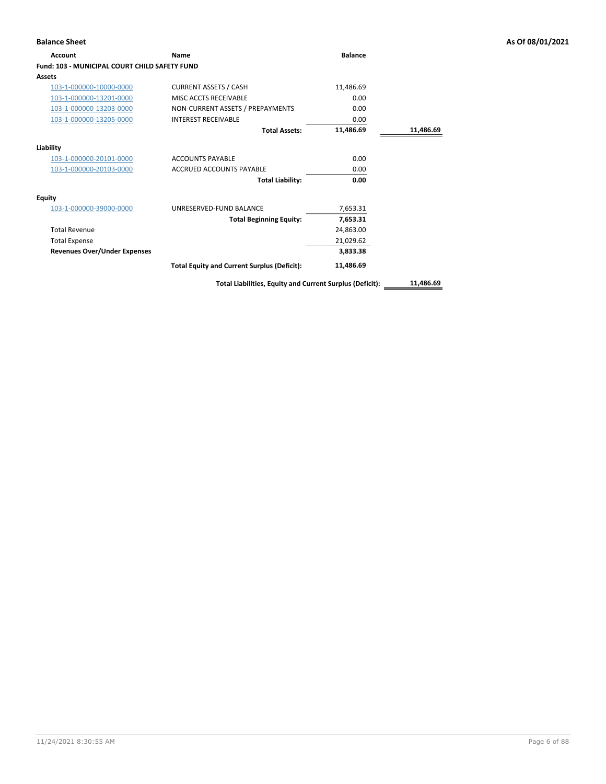| <b>Account</b>                                       | Name                                                     | <b>Balance</b> |           |
|------------------------------------------------------|----------------------------------------------------------|----------------|-----------|
| <b>Fund: 103 - MUNICIPAL COURT CHILD SAFETY FUND</b> |                                                          |                |           |
| Assets                                               |                                                          |                |           |
| 103-1-000000-10000-0000                              | <b>CURRENT ASSETS / CASH</b>                             | 11,486.69      |           |
| 103-1-000000-13201-0000                              | MISC ACCTS RECEIVABLE                                    | 0.00           |           |
| 103-1-000000-13203-0000                              | NON-CURRENT ASSETS / PREPAYMENTS                         | 0.00           |           |
| 103-1-000000-13205-0000                              | <b>INTEREST RECEIVABLE</b>                               | 0.00           |           |
|                                                      | <b>Total Assets:</b>                                     | 11,486.69      | 11,486.69 |
| Liability                                            |                                                          |                |           |
| 103-1-000000-20101-0000                              | <b>ACCOUNTS PAYABLE</b>                                  | 0.00           |           |
| 103-1-000000-20103-0000                              | <b>ACCRUED ACCOUNTS PAYABLE</b>                          | 0.00           |           |
|                                                      | <b>Total Liability:</b>                                  | 0.00           |           |
| Equity                                               |                                                          |                |           |
| 103-1-000000-39000-0000                              | UNRESERVED-FUND BALANCE                                  | 7,653.31       |           |
|                                                      | <b>Total Beginning Equity:</b>                           | 7,653.31       |           |
| <b>Total Revenue</b>                                 |                                                          | 24,863.00      |           |
| <b>Total Expense</b>                                 |                                                          | 21,029.62      |           |
| <b>Revenues Over/Under Expenses</b>                  |                                                          | 3,833.38       |           |
|                                                      | <b>Total Equity and Current Surplus (Deficit):</b>       | 11,486.69      |           |
|                                                      | Total Liabilities, Equity and Current Surplus (Deficit): |                | 11.486.69 |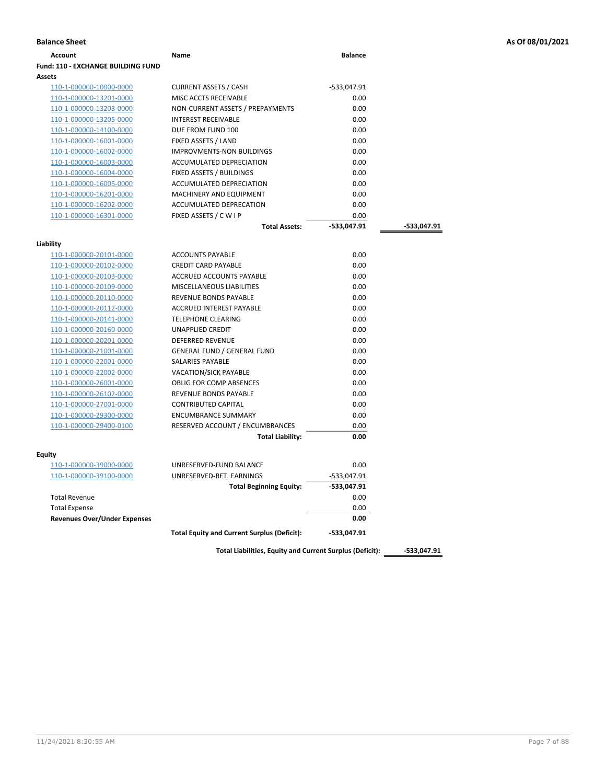| <b>Account</b>                            | Name                                               | <b>Balance</b> |             |
|-------------------------------------------|----------------------------------------------------|----------------|-------------|
| <b>Fund: 110 - EXCHANGE BUILDING FUND</b> |                                                    |                |             |
| Assets                                    |                                                    |                |             |
| 110-1-000000-10000-0000                   | <b>CURRENT ASSETS / CASH</b>                       | -533,047.91    |             |
| 110-1-000000-13201-0000                   | MISC ACCTS RECEIVABLE                              | 0.00           |             |
| 110-1-000000-13203-0000                   | NON-CURRENT ASSETS / PREPAYMENTS                   | 0.00           |             |
| 110-1-000000-13205-0000                   | <b>INTEREST RECEIVABLE</b>                         | 0.00           |             |
| 110-1-000000-14100-0000                   | DUE FROM FUND 100                                  | 0.00           |             |
| 110-1-000000-16001-0000                   | FIXED ASSETS / LAND                                | 0.00           |             |
| 110-1-000000-16002-0000                   | <b>IMPROVMENTS-NON BUILDINGS</b>                   | 0.00           |             |
| 110-1-000000-16003-0000                   | <b>ACCUMULATED DEPRECIATION</b>                    | 0.00           |             |
| 110-1-000000-16004-0000                   | FIXED ASSETS / BUILDINGS                           | 0.00           |             |
| 110-1-000000-16005-0000                   | ACCUMULATED DEPRECIATION                           | 0.00           |             |
| 110-1-000000-16201-0000                   | MACHINERY AND EQUIPMENT                            | 0.00           |             |
| 110-1-000000-16202-0000                   | ACCUMULATED DEPRECATION                            | 0.00           |             |
| 110-1-000000-16301-0000                   | FIXED ASSETS / C W I P                             | 0.00           |             |
|                                           | <b>Total Assets:</b>                               | -533,047.91    | -533,047.91 |
| Liability                                 |                                                    |                |             |
| 110-1-000000-20101-0000                   | <b>ACCOUNTS PAYABLE</b>                            | 0.00           |             |
| 110-1-000000-20102-0000                   | <b>CREDIT CARD PAYABLE</b>                         | 0.00           |             |
| 110-1-000000-20103-0000                   | ACCRUED ACCOUNTS PAYABLE                           | 0.00           |             |
| 110-1-000000-20109-0000                   | MISCELLANEOUS LIABILITIES                          | 0.00           |             |
| 110-1-000000-20110-0000                   | REVENUE BONDS PAYABLE                              | 0.00           |             |
| 110-1-000000-20112-0000                   | ACCRUED INTEREST PAYABLE                           | 0.00           |             |
| 110-1-000000-20141-0000                   | <b>TELEPHONE CLEARING</b>                          | 0.00           |             |
| 110-1-000000-20160-0000                   | UNAPPLIED CREDIT                                   | 0.00           |             |
| 110-1-000000-20201-0000                   | <b>DEFERRED REVENUE</b>                            | 0.00           |             |
| 110-1-000000-21001-0000                   | <b>GENERAL FUND / GENERAL FUND</b>                 | 0.00           |             |
| 110-1-000000-22001-0000                   | SALARIES PAYABLE                                   | 0.00           |             |
| <u>110-1-000000-22002-0000</u>            | VACATION/SICK PAYABLE                              | 0.00           |             |
| 110-1-000000-26001-0000                   | <b>OBLIG FOR COMP ABSENCES</b>                     | 0.00           |             |
| 110-1-000000-26102-0000                   | REVENUE BONDS PAYABLE                              | 0.00           |             |
| 110-1-000000-27001-0000                   | <b>CONTRIBUTED CAPITAL</b>                         | 0.00           |             |
| 110-1-000000-29300-0000                   | <b>ENCUMBRANCE SUMMARY</b>                         | 0.00           |             |
| 110-1-000000-29400-0100                   | RESERVED ACCOUNT / ENCUMBRANCES                    | 0.00           |             |
|                                           | <b>Total Liability:</b>                            | 0.00           |             |
| Equity                                    |                                                    |                |             |
| 110-1-000000-39000-0000                   | UNRESERVED-FUND BALANCE                            | 0.00           |             |
| 110-1-000000-39100-0000                   | UNRESERVED-RET. EARNINGS                           | -533,047.91    |             |
|                                           | <b>Total Beginning Equity:</b>                     | -533,047.91    |             |
| <b>Total Revenue</b>                      |                                                    | 0.00           |             |
| <b>Total Expense</b>                      |                                                    | 0.00           |             |
| <b>Revenues Over/Under Expenses</b>       |                                                    | 0.00           |             |
|                                           | <b>Total Equity and Current Surplus (Deficit):</b> | -533,047.91    |             |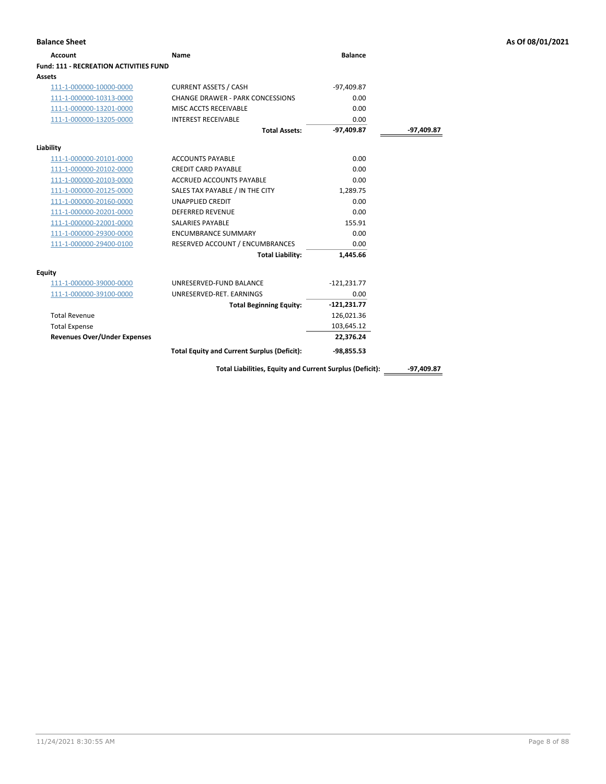| <b>Account</b>                         | <b>Name</b>                                              | <b>Balance</b> |              |
|----------------------------------------|----------------------------------------------------------|----------------|--------------|
| Fund: 111 - RECREATION ACTIVITIES FUND |                                                          |                |              |
| Assets                                 |                                                          |                |              |
| 111-1-000000-10000-0000                | <b>CURRENT ASSETS / CASH</b>                             | $-97,409.87$   |              |
| 111-1-000000-10313-0000                | CHANGE DRAWER - PARK CONCESSIONS                         | 0.00           |              |
| 111-1-000000-13201-0000                | MISC ACCTS RECEIVABLE                                    | 0.00           |              |
| 111-1-000000-13205-0000                | <b>INTEREST RECEIVABLE</b>                               | 0.00           |              |
|                                        | <b>Total Assets:</b>                                     | $-97,409.87$   | -97,409.87   |
| Liability                              |                                                          |                |              |
| 111-1-000000-20101-0000                | <b>ACCOUNTS PAYABLE</b>                                  | 0.00           |              |
| 111-1-000000-20102-0000                | <b>CREDIT CARD PAYABLE</b>                               | 0.00           |              |
| 111-1-000000-20103-0000                | <b>ACCRUED ACCOUNTS PAYABLE</b>                          | 0.00           |              |
| 111-1-000000-20125-0000                | SALES TAX PAYABLE / IN THE CITY                          | 1.289.75       |              |
| 111-1-000000-20160-0000                | <b>UNAPPLIED CREDIT</b>                                  | 0.00           |              |
| 111-1-000000-20201-0000                | <b>DEFERRED REVENUE</b>                                  | 0.00           |              |
| 111-1-000000-22001-0000                | <b>SALARIES PAYABLE</b>                                  | 155.91         |              |
| 111-1-000000-29300-0000                | <b>ENCUMBRANCE SUMMARY</b>                               | 0.00           |              |
| 111-1-000000-29400-0100                | RESERVED ACCOUNT / ENCUMBRANCES                          | 0.00           |              |
|                                        | <b>Total Liability:</b>                                  | 1,445.66       |              |
| <b>Equity</b>                          |                                                          |                |              |
| 111-1-000000-39000-0000                | UNRESERVED-FUND BALANCE                                  | $-121,231.77$  |              |
| 111-1-000000-39100-0000                | UNRESERVED-RET. EARNINGS                                 | 0.00           |              |
|                                        | <b>Total Beginning Equity:</b>                           | $-121,231.77$  |              |
| <b>Total Revenue</b>                   |                                                          | 126,021.36     |              |
| <b>Total Expense</b>                   |                                                          | 103,645.12     |              |
| <b>Revenues Over/Under Expenses</b>    |                                                          | 22,376.24      |              |
|                                        | <b>Total Equity and Current Surplus (Deficit):</b>       | $-98,855.53$   |              |
|                                        | Total Liabilities, Equity and Current Surplus (Deficit): |                | $-97,409.87$ |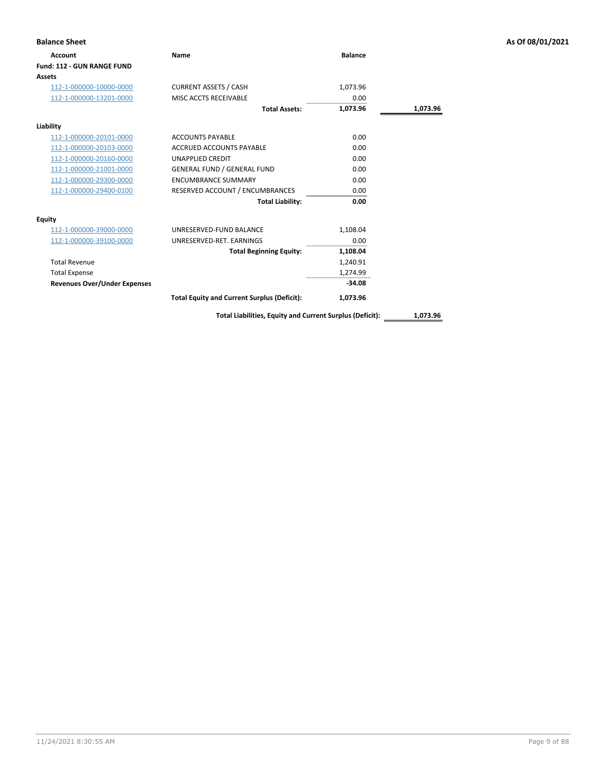| <b>Account</b>                      | Name                                               | <b>Balance</b> |          |
|-------------------------------------|----------------------------------------------------|----------------|----------|
| <b>Fund: 112 - GUN RANGE FUND</b>   |                                                    |                |          |
| <b>Assets</b>                       |                                                    |                |          |
| 112-1-000000-10000-0000             | <b>CURRENT ASSETS / CASH</b>                       | 1,073.96       |          |
| 112-1-000000-13201-0000             | MISC ACCTS RECEIVABLE                              | 0.00           |          |
|                                     | <b>Total Assets:</b>                               | 1,073.96       | 1,073.96 |
| Liability                           |                                                    |                |          |
| 112-1-000000-20101-0000             | <b>ACCOUNTS PAYABLE</b>                            | 0.00           |          |
| 112-1-000000-20103-0000             | ACCRUED ACCOUNTS PAYABLE                           | 0.00           |          |
| 112-1-000000-20160-0000             | <b>UNAPPLIED CREDIT</b>                            | 0.00           |          |
| 112-1-000000-21001-0000             | <b>GENERAL FUND / GENERAL FUND</b>                 | 0.00           |          |
| 112-1-000000-29300-0000             | <b>ENCUMBRANCE SUMMARY</b>                         | 0.00           |          |
| 112-1-000000-29400-0100             | RESERVED ACCOUNT / ENCUMBRANCES                    | 0.00           |          |
|                                     | <b>Total Liability:</b>                            | 0.00           |          |
| <b>Equity</b>                       |                                                    |                |          |
| 112-1-000000-39000-0000             | UNRESERVED-FUND BALANCE                            | 1,108.04       |          |
| 112-1-000000-39100-0000             | UNRESERVED-RET. EARNINGS                           | 0.00           |          |
|                                     | <b>Total Beginning Equity:</b>                     | 1,108.04       |          |
| <b>Total Revenue</b>                |                                                    | 1,240.91       |          |
| <b>Total Expense</b>                |                                                    | 1,274.99       |          |
| <b>Revenues Over/Under Expenses</b> |                                                    | $-34.08$       |          |
|                                     | <b>Total Equity and Current Surplus (Deficit):</b> | 1,073.96       |          |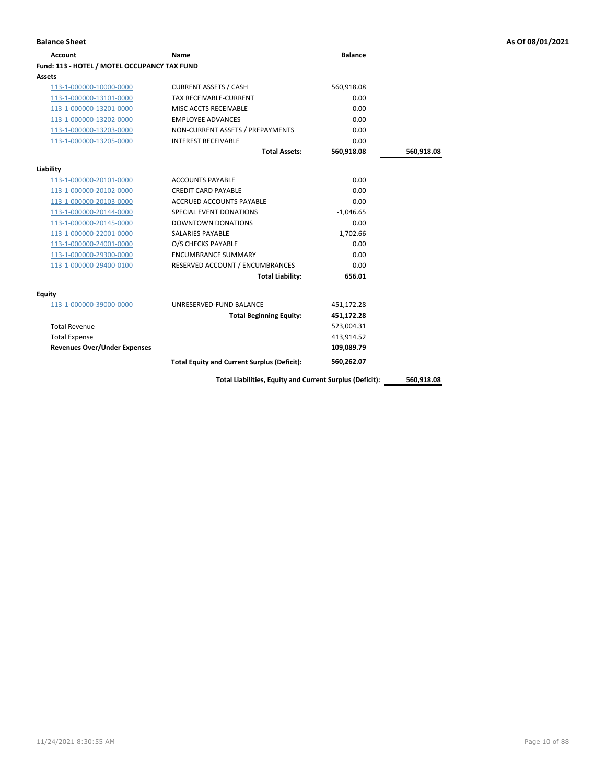| <b>Balance Sheet</b> | As Of 08/01/2021 |
|----------------------|------------------|
|                      |                  |

| <b>Account</b>                               | Name                                                     | <b>Balance</b> |            |
|----------------------------------------------|----------------------------------------------------------|----------------|------------|
| Fund: 113 - HOTEL / MOTEL OCCUPANCY TAX FUND |                                                          |                |            |
| Assets                                       |                                                          |                |            |
| 113-1-000000-10000-0000                      | <b>CURRENT ASSETS / CASH</b>                             | 560,918.08     |            |
| 113-1-000000-13101-0000                      | <b>TAX RECEIVABLE-CURRENT</b>                            | 0.00           |            |
| 113-1-000000-13201-0000                      | MISC ACCTS RECEIVABLE                                    | 0.00           |            |
| 113-1-000000-13202-0000                      | <b>EMPLOYEE ADVANCES</b>                                 | 0.00           |            |
| 113-1-000000-13203-0000                      | NON-CURRENT ASSETS / PREPAYMENTS                         | 0.00           |            |
| 113-1-000000-13205-0000                      | <b>INTEREST RECEIVABLE</b>                               | 0.00           |            |
|                                              | <b>Total Assets:</b>                                     | 560,918.08     | 560,918.08 |
| Liability                                    |                                                          |                |            |
| 113-1-000000-20101-0000                      | <b>ACCOUNTS PAYABLE</b>                                  | 0.00           |            |
| 113-1-000000-20102-0000                      | <b>CREDIT CARD PAYABLE</b>                               | 0.00           |            |
| 113-1-000000-20103-0000                      | <b>ACCRUED ACCOUNTS PAYABLE</b>                          | 0.00           |            |
| 113-1-000000-20144-0000                      | SPECIAL EVENT DONATIONS                                  | $-1,046.65$    |            |
| 113-1-000000-20145-0000                      | <b>DOWNTOWN DONATIONS</b>                                | 0.00           |            |
| 113-1-000000-22001-0000                      | SALARIES PAYABLE                                         | 1,702.66       |            |
| 113-1-000000-24001-0000                      | O/S CHECKS PAYABLE                                       | 0.00           |            |
| 113-1-000000-29300-0000                      | <b>ENCUMBRANCE SUMMARY</b>                               | 0.00           |            |
| 113-1-000000-29400-0100                      | RESERVED ACCOUNT / ENCUMBRANCES                          | 0.00           |            |
|                                              | <b>Total Liability:</b>                                  | 656.01         |            |
| Equity                                       |                                                          |                |            |
| 113-1-000000-39000-0000                      | UNRESERVED-FUND BALANCE                                  | 451,172.28     |            |
|                                              | <b>Total Beginning Equity:</b>                           | 451,172.28     |            |
| <b>Total Revenue</b>                         |                                                          | 523,004.31     |            |
| <b>Total Expense</b>                         |                                                          | 413,914.52     |            |
| <b>Revenues Over/Under Expenses</b>          |                                                          | 109,089.79     |            |
|                                              | <b>Total Equity and Current Surplus (Deficit):</b>       | 560,262.07     |            |
|                                              | Total Liabilities, Equity and Current Surplus (Deficit): |                | 560,918.08 |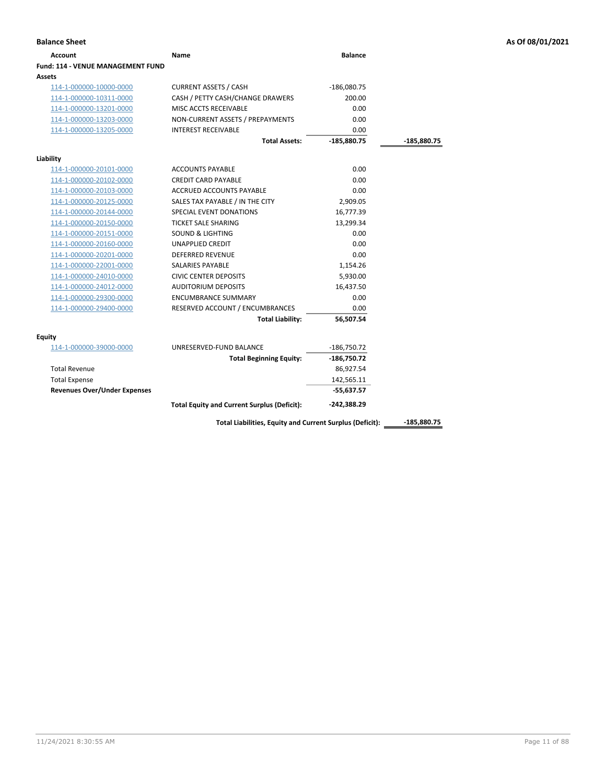| <b>Account</b>                      | Name                                               | <b>Balance</b> |             |
|-------------------------------------|----------------------------------------------------|----------------|-------------|
| Fund: 114 - VENUE MANAGEMENT FUND   |                                                    |                |             |
| Assets                              |                                                    |                |             |
| 114-1-000000-10000-0000             | <b>CURRENT ASSETS / CASH</b>                       | $-186,080.75$  |             |
| 114-1-000000-10311-0000             | CASH / PETTY CASH/CHANGE DRAWERS                   | 200.00         |             |
| 114-1-000000-13201-0000             | MISC ACCTS RECEIVABLE                              | 0.00           |             |
| 114-1-000000-13203-0000             | NON-CURRENT ASSETS / PREPAYMENTS                   | 0.00           |             |
| 114-1-000000-13205-0000             | <b>INTEREST RECEIVABLE</b>                         | 0.00           |             |
|                                     | <b>Total Assets:</b>                               | $-185,880.75$  | -185,880.75 |
| Liability                           |                                                    |                |             |
| 114-1-000000-20101-0000             | <b>ACCOUNTS PAYABLE</b>                            | 0.00           |             |
| 114-1-000000-20102-0000             | <b>CREDIT CARD PAYABLE</b>                         | 0.00           |             |
| 114-1-000000-20103-0000             | <b>ACCRUED ACCOUNTS PAYABLE</b>                    | 0.00           |             |
| 114-1-000000-20125-0000             | SALES TAX PAYABLE / IN THE CITY                    | 2,909.05       |             |
| 114-1-000000-20144-0000             | SPECIAL EVENT DONATIONS                            | 16,777.39      |             |
| 114-1-000000-20150-0000             | <b>TICKET SALE SHARING</b>                         | 13,299.34      |             |
| 114-1-000000-20151-0000             | <b>SOUND &amp; LIGHTING</b>                        | 0.00           |             |
| 114-1-000000-20160-0000             | <b>UNAPPLIED CREDIT</b>                            | 0.00           |             |
| 114-1-000000-20201-0000             | <b>DEFERRED REVENUE</b>                            | 0.00           |             |
| 114-1-000000-22001-0000             | SALARIES PAYABLE                                   | 1,154.26       |             |
| 114-1-000000-24010-0000             | <b>CIVIC CENTER DEPOSITS</b>                       | 5,930.00       |             |
| 114-1-000000-24012-0000             | <b>AUDITORIUM DEPOSITS</b>                         | 16,437.50      |             |
| 114-1-000000-29300-0000             | <b>ENCUMBRANCE SUMMARY</b>                         | 0.00           |             |
| 114-1-000000-29400-0000             | RESERVED ACCOUNT / ENCUMBRANCES                    | 0.00           |             |
|                                     | <b>Total Liability:</b>                            | 56,507.54      |             |
| <b>Equity</b>                       |                                                    |                |             |
| 114-1-000000-39000-0000             | UNRESERVED-FUND BALANCE                            | $-186,750.72$  |             |
|                                     | <b>Total Beginning Equity:</b>                     | $-186,750.72$  |             |
| <b>Total Revenue</b>                |                                                    | 86,927.54      |             |
| <b>Total Expense</b>                |                                                    | 142,565.11     |             |
| <b>Revenues Over/Under Expenses</b> |                                                    | $-55,637.57$   |             |
|                                     | <b>Total Equity and Current Surplus (Deficit):</b> | $-242,388.29$  |             |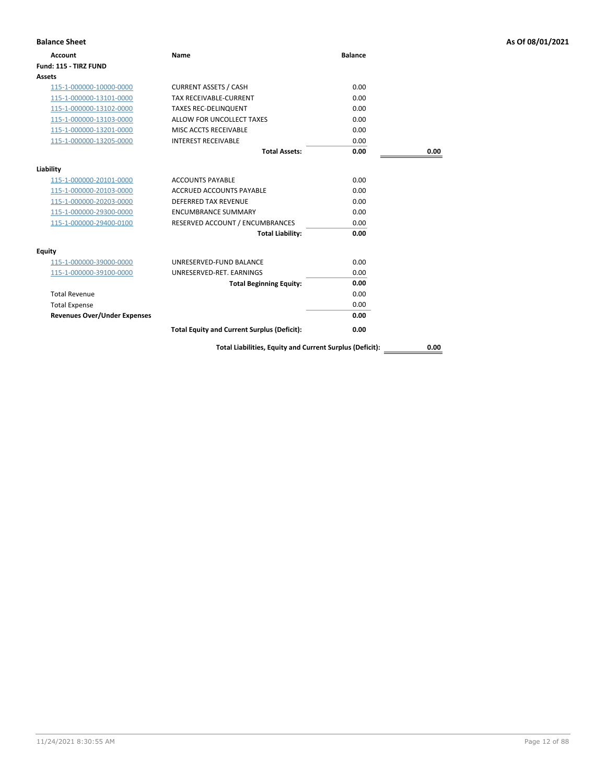| <b>Balance Sheet</b>                |                                                          |                |      | As Of 08/01/2021 |
|-------------------------------------|----------------------------------------------------------|----------------|------|------------------|
| <b>Account</b>                      | Name                                                     | <b>Balance</b> |      |                  |
| Fund: 115 - TIRZ FUND               |                                                          |                |      |                  |
| <b>Assets</b>                       |                                                          |                |      |                  |
| 115-1-000000-10000-0000             | <b>CURRENT ASSETS / CASH</b>                             | 0.00           |      |                  |
| 115-1-000000-13101-0000             | TAX RECEIVABLE-CURRENT                                   | 0.00           |      |                  |
| 115-1-000000-13102-0000             | <b>TAXES REC-DELINQUENT</b>                              | 0.00           |      |                  |
| 115-1-000000-13103-0000             | ALLOW FOR UNCOLLECT TAXES                                | 0.00           |      |                  |
| 115-1-000000-13201-0000             | MISC ACCTS RECEIVABLE                                    | 0.00           |      |                  |
| 115-1-000000-13205-0000             | <b>INTEREST RECEIVABLE</b>                               | 0.00           |      |                  |
|                                     | <b>Total Assets:</b>                                     | 0.00           | 0.00 |                  |
| Liability                           |                                                          |                |      |                  |
| 115-1-000000-20101-0000             | <b>ACCOUNTS PAYABLE</b>                                  | 0.00           |      |                  |
| 115-1-000000-20103-0000             | <b>ACCRUED ACCOUNTS PAYABLE</b>                          | 0.00           |      |                  |
| 115-1-000000-20203-0000             | <b>DEFERRED TAX REVENUE</b>                              | 0.00           |      |                  |
| 115-1-000000-29300-0000             | <b>ENCUMBRANCE SUMMARY</b>                               | 0.00           |      |                  |
| 115-1-000000-29400-0100             | RESERVED ACCOUNT / ENCUMBRANCES                          | 0.00           |      |                  |
|                                     | <b>Total Liability:</b>                                  | 0.00           |      |                  |
| <b>Equity</b>                       |                                                          |                |      |                  |
| 115-1-000000-39000-0000             | UNRESERVED-FUND BALANCE                                  | 0.00           |      |                  |
| 115-1-000000-39100-0000             | UNRESERVED-RET. EARNINGS                                 | 0.00           |      |                  |
|                                     | <b>Total Beginning Equity:</b>                           | 0.00           |      |                  |
| <b>Total Revenue</b>                |                                                          | 0.00           |      |                  |
| <b>Total Expense</b>                |                                                          | 0.00           |      |                  |
| <b>Revenues Over/Under Expenses</b> |                                                          | 0.00           |      |                  |
|                                     | <b>Total Equity and Current Surplus (Deficit):</b>       | 0.00           |      |                  |
|                                     | Total Liabilities, Equity and Current Surplus (Deficit): |                | 0.00 |                  |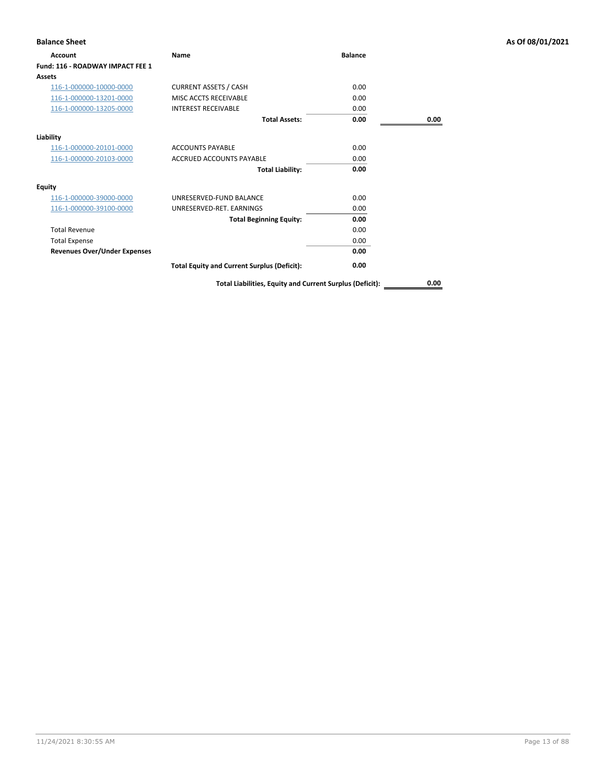| <b>Balance Sheet</b>                |                                                          |                |      | As Of 08/01/2021 |
|-------------------------------------|----------------------------------------------------------|----------------|------|------------------|
| Account                             | Name                                                     | <b>Balance</b> |      |                  |
| Fund: 116 - ROADWAY IMPACT FEE 1    |                                                          |                |      |                  |
| Assets                              |                                                          |                |      |                  |
| 116-1-000000-10000-0000             | <b>CURRENT ASSETS / CASH</b>                             | 0.00           |      |                  |
| 116-1-000000-13201-0000             | MISC ACCTS RECEIVABLE                                    | 0.00           |      |                  |
| 116-1-000000-13205-0000             | <b>INTEREST RECEIVABLE</b>                               | 0.00           |      |                  |
|                                     | <b>Total Assets:</b>                                     | 0.00           | 0.00 |                  |
| Liability                           |                                                          |                |      |                  |
| 116-1-000000-20101-0000             | <b>ACCOUNTS PAYABLE</b>                                  | 0.00           |      |                  |
| 116-1-000000-20103-0000             | <b>ACCRUED ACCOUNTS PAYABLE</b>                          | 0.00           |      |                  |
|                                     | <b>Total Liability:</b>                                  | 0.00           |      |                  |
| <b>Equity</b>                       |                                                          |                |      |                  |
| 116-1-000000-39000-0000             | UNRESERVED-FUND BALANCE                                  | 0.00           |      |                  |
| 116-1-000000-39100-0000             | UNRESERVED-RET. EARNINGS                                 | 0.00           |      |                  |
|                                     | <b>Total Beginning Equity:</b>                           | 0.00           |      |                  |
| <b>Total Revenue</b>                |                                                          | 0.00           |      |                  |
| <b>Total Expense</b>                |                                                          | 0.00           |      |                  |
| <b>Revenues Over/Under Expenses</b> |                                                          | 0.00           |      |                  |
|                                     | <b>Total Equity and Current Surplus (Deficit):</b>       | 0.00           |      |                  |
|                                     | Total Liabilities, Equity and Current Surplus (Deficit): |                | 0.00 |                  |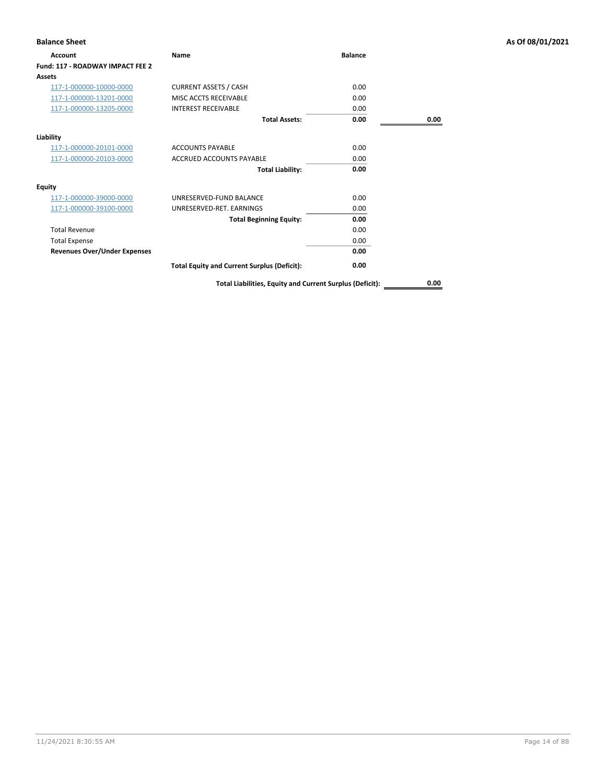| <b>Balance Sheet</b>                |                                                          |                |      | As Of 08/01/2021 |
|-------------------------------------|----------------------------------------------------------|----------------|------|------------------|
| Account                             | Name                                                     | <b>Balance</b> |      |                  |
| Fund: 117 - ROADWAY IMPACT FEE 2    |                                                          |                |      |                  |
| Assets                              |                                                          |                |      |                  |
| 117-1-000000-10000-0000             | <b>CURRENT ASSETS / CASH</b>                             | 0.00           |      |                  |
| 117-1-000000-13201-0000             | MISC ACCTS RECEIVABLE                                    | 0.00           |      |                  |
| 117-1-000000-13205-0000             | <b>INTEREST RECEIVABLE</b>                               | 0.00           |      |                  |
|                                     | <b>Total Assets:</b>                                     | 0.00           | 0.00 |                  |
| Liability                           |                                                          |                |      |                  |
| 117-1-000000-20101-0000             | <b>ACCOUNTS PAYABLE</b>                                  | 0.00           |      |                  |
| 117-1-000000-20103-0000             | <b>ACCRUED ACCOUNTS PAYABLE</b>                          | 0.00           |      |                  |
|                                     | <b>Total Liability:</b>                                  | 0.00           |      |                  |
| <b>Equity</b>                       |                                                          |                |      |                  |
| 117-1-000000-39000-0000             | UNRESERVED-FUND BALANCE                                  | 0.00           |      |                  |
| 117-1-000000-39100-0000             | UNRESERVED-RET. EARNINGS                                 | 0.00           |      |                  |
|                                     | <b>Total Beginning Equity:</b>                           | 0.00           |      |                  |
| <b>Total Revenue</b>                |                                                          | 0.00           |      |                  |
| <b>Total Expense</b>                |                                                          | 0.00           |      |                  |
| <b>Revenues Over/Under Expenses</b> |                                                          | 0.00           |      |                  |
|                                     | <b>Total Equity and Current Surplus (Deficit):</b>       | 0.00           |      |                  |
|                                     | Total Liabilities, Equity and Current Surplus (Deficit): |                | 0.00 |                  |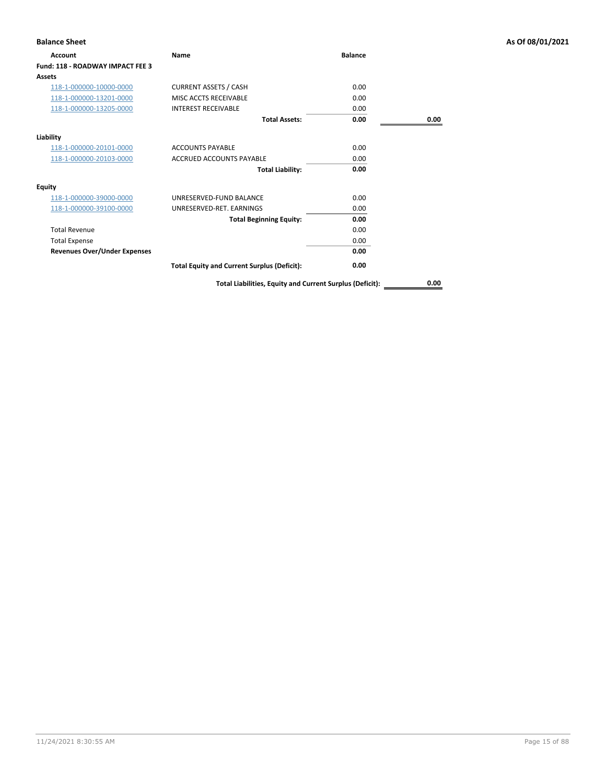| <b>Balance Sheet</b>                |                                                          |                |      | As Of 08/01/2021 |
|-------------------------------------|----------------------------------------------------------|----------------|------|------------------|
| Account                             | Name                                                     | <b>Balance</b> |      |                  |
| Fund: 118 - ROADWAY IMPACT FEE 3    |                                                          |                |      |                  |
| Assets                              |                                                          |                |      |                  |
| 118-1-000000-10000-0000             | <b>CURRENT ASSETS / CASH</b>                             | 0.00           |      |                  |
| 118-1-000000-13201-0000             | MISC ACCTS RECEIVABLE                                    | 0.00           |      |                  |
| 118-1-000000-13205-0000             | <b>INTEREST RECEIVABLE</b>                               | 0.00           |      |                  |
|                                     | <b>Total Assets:</b>                                     | 0.00           | 0.00 |                  |
| Liability                           |                                                          |                |      |                  |
| 118-1-000000-20101-0000             | <b>ACCOUNTS PAYABLE</b>                                  | 0.00           |      |                  |
| 118-1-000000-20103-0000             | <b>ACCRUED ACCOUNTS PAYABLE</b>                          | 0.00           |      |                  |
|                                     | <b>Total Liability:</b>                                  | 0.00           |      |                  |
| <b>Equity</b>                       |                                                          |                |      |                  |
| 118-1-000000-39000-0000             | UNRESERVED-FUND BALANCE                                  | 0.00           |      |                  |
| 118-1-000000-39100-0000             | UNRESERVED-RET. EARNINGS                                 | 0.00           |      |                  |
|                                     | <b>Total Beginning Equity:</b>                           | 0.00           |      |                  |
| <b>Total Revenue</b>                |                                                          | 0.00           |      |                  |
| <b>Total Expense</b>                |                                                          | 0.00           |      |                  |
| <b>Revenues Over/Under Expenses</b> |                                                          | 0.00           |      |                  |
|                                     | <b>Total Equity and Current Surplus (Deficit):</b>       | 0.00           |      |                  |
|                                     | Total Liabilities, Equity and Current Surplus (Deficit): |                | 0.00 |                  |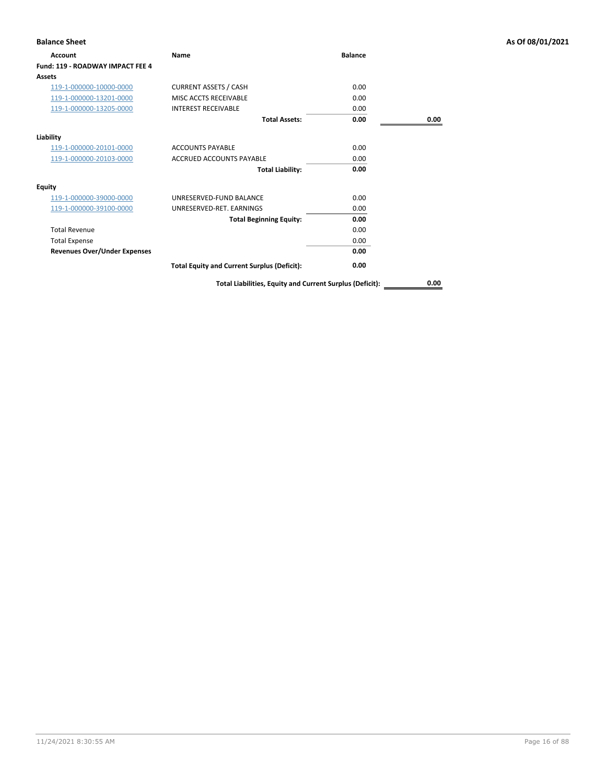| <b>Balance Sheet</b>                |                                                          |                |      | As Of 08/01/2021 |
|-------------------------------------|----------------------------------------------------------|----------------|------|------------------|
| Account                             | Name                                                     | <b>Balance</b> |      |                  |
| Fund: 119 - ROADWAY IMPACT FEE 4    |                                                          |                |      |                  |
| Assets                              |                                                          |                |      |                  |
| 119-1-000000-10000-0000             | <b>CURRENT ASSETS / CASH</b>                             | 0.00           |      |                  |
| 119-1-000000-13201-0000             | MISC ACCTS RECEIVABLE                                    | 0.00           |      |                  |
| 119-1-000000-13205-0000             | <b>INTEREST RECEIVABLE</b>                               | 0.00           |      |                  |
|                                     | <b>Total Assets:</b>                                     | 0.00           | 0.00 |                  |
| Liability                           |                                                          |                |      |                  |
| 119-1-000000-20101-0000             | <b>ACCOUNTS PAYABLE</b>                                  | 0.00           |      |                  |
| 119-1-000000-20103-0000             | <b>ACCRUED ACCOUNTS PAYABLE</b>                          | 0.00           |      |                  |
|                                     | <b>Total Liability:</b>                                  | 0.00           |      |                  |
| <b>Equity</b>                       |                                                          |                |      |                  |
| 119-1-000000-39000-0000             | UNRESERVED-FUND BALANCE                                  | 0.00           |      |                  |
| 119-1-000000-39100-0000             | UNRESERVED-RET. EARNINGS                                 | 0.00           |      |                  |
|                                     | <b>Total Beginning Equity:</b>                           | 0.00           |      |                  |
| <b>Total Revenue</b>                |                                                          | 0.00           |      |                  |
| <b>Total Expense</b>                |                                                          | 0.00           |      |                  |
| <b>Revenues Over/Under Expenses</b> |                                                          | 0.00           |      |                  |
|                                     | <b>Total Equity and Current Surplus (Deficit):</b>       | 0.00           |      |                  |
|                                     | Total Liabilities, Equity and Current Surplus (Deficit): |                | 0.00 |                  |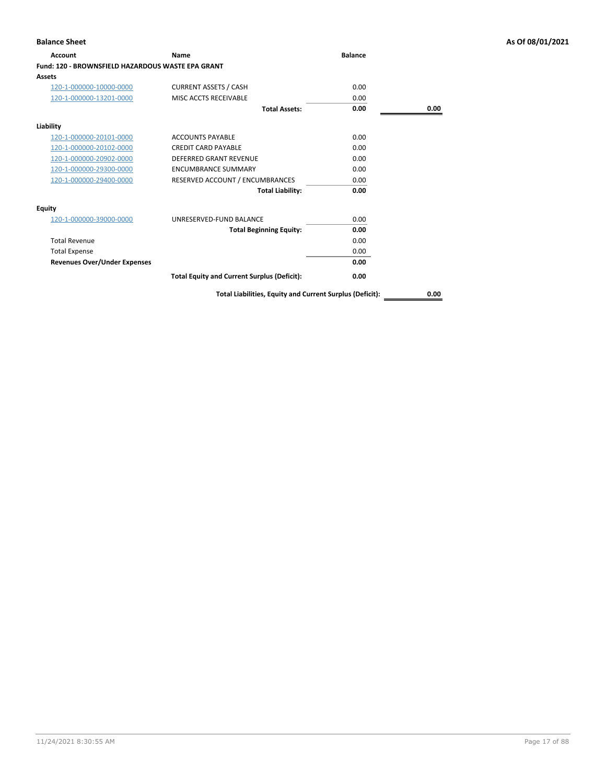| <b>Account</b>                                           | Name                                               | <b>Balance</b> |      |
|----------------------------------------------------------|----------------------------------------------------|----------------|------|
| <b>Fund: 120 - BROWNSFIELD HAZARDOUS WASTE EPA GRANT</b> |                                                    |                |      |
| Assets                                                   |                                                    |                |      |
| 120-1-000000-10000-0000                                  | <b>CURRENT ASSETS / CASH</b>                       | 0.00           |      |
| 120-1-000000-13201-0000                                  | MISC ACCTS RECEIVABLE                              | 0.00           |      |
|                                                          | <b>Total Assets:</b>                               | 0.00           | 0.00 |
| Liability                                                |                                                    |                |      |
| 120-1-000000-20101-0000                                  | <b>ACCOUNTS PAYABLE</b>                            | 0.00           |      |
| 120-1-000000-20102-0000                                  | <b>CREDIT CARD PAYABLE</b>                         | 0.00           |      |
| 120-1-000000-20902-0000                                  | <b>DEFERRED GRANT REVENUE</b>                      | 0.00           |      |
| 120-1-000000-29300-0000                                  | <b>ENCUMBRANCE SUMMARY</b>                         | 0.00           |      |
| 120-1-000000-29400-0000                                  | RESERVED ACCOUNT / ENCUMBRANCES                    | 0.00           |      |
|                                                          | <b>Total Liability:</b>                            | 0.00           |      |
| <b>Equity</b>                                            |                                                    |                |      |
| 120-1-000000-39000-0000                                  | UNRESERVED-FUND BALANCE                            | 0.00           |      |
|                                                          | <b>Total Beginning Equity:</b>                     | 0.00           |      |
| <b>Total Revenue</b>                                     |                                                    | 0.00           |      |
| <b>Total Expense</b>                                     |                                                    | 0.00           |      |
| <b>Revenues Over/Under Expenses</b>                      |                                                    | 0.00           |      |
|                                                          | <b>Total Equity and Current Surplus (Deficit):</b> | 0.00           |      |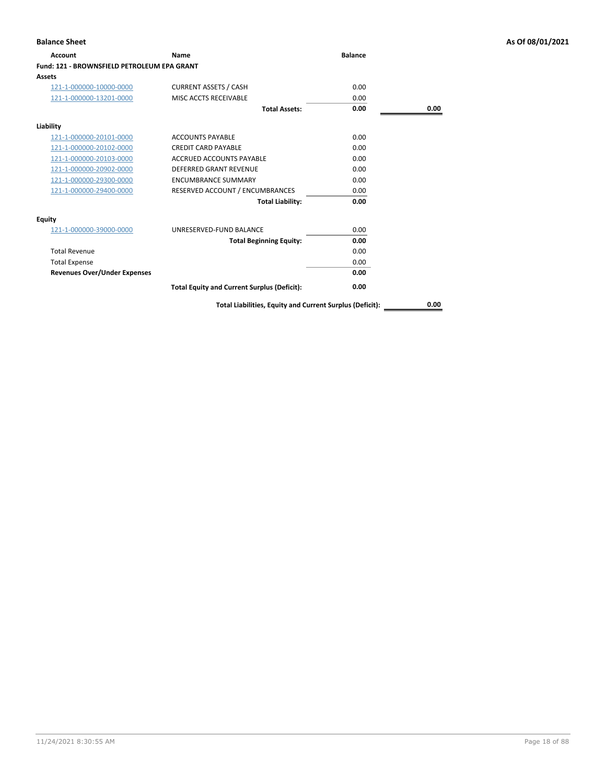| 0.00<br>0.00                           |      |
|----------------------------------------|------|
|                                        |      |
|                                        |      |
|                                        |      |
|                                        |      |
| <b>Total Assets:</b><br>0.00           | 0.00 |
|                                        |      |
| 0.00                                   |      |
| 0.00                                   |      |
| 0.00                                   |      |
| 0.00                                   |      |
| 0.00                                   |      |
| 0.00                                   |      |
| 0.00<br><b>Total Liability:</b>        |      |
|                                        |      |
| 0.00                                   |      |
| <b>Total Beginning Equity:</b><br>0.00 |      |
| 0.00                                   |      |
| 0.00                                   |      |
| 0.00                                   |      |
|                                        |      |
|                                        |      |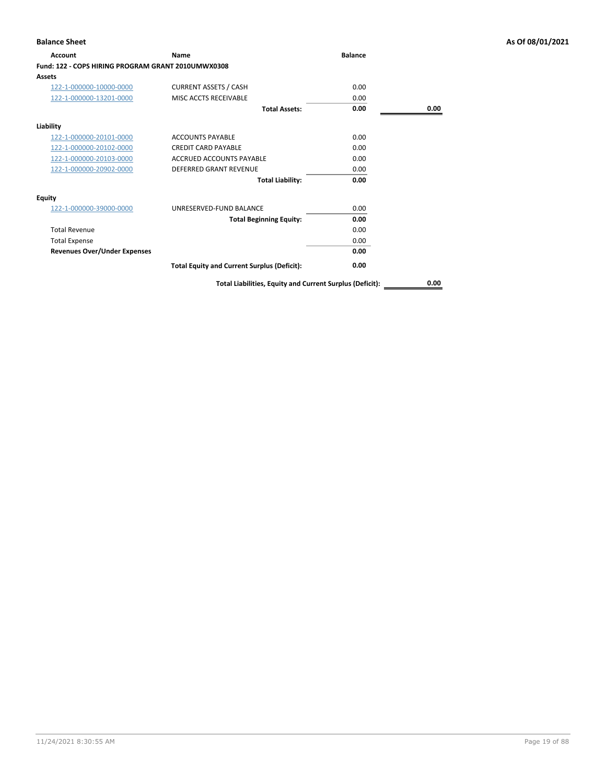| Account                                            | Name                                                     | <b>Balance</b> |      |
|----------------------------------------------------|----------------------------------------------------------|----------------|------|
| Fund: 122 - COPS HIRING PROGRAM GRANT 2010UMWX0308 |                                                          |                |      |
| Assets                                             |                                                          |                |      |
| 122-1-000000-10000-0000                            | <b>CURRENT ASSETS / CASH</b>                             | 0.00           |      |
| 122-1-000000-13201-0000                            | MISC ACCTS RECEIVABLE                                    | 0.00           |      |
|                                                    | <b>Total Assets:</b>                                     | 0.00           | 0.00 |
| Liability                                          |                                                          |                |      |
| 122-1-000000-20101-0000                            | <b>ACCOUNTS PAYABLE</b>                                  | 0.00           |      |
| 122-1-000000-20102-0000                            | <b>CREDIT CARD PAYABLE</b>                               | 0.00           |      |
| 122-1-000000-20103-0000                            | <b>ACCRUED ACCOUNTS PAYABLE</b>                          | 0.00           |      |
| 122-1-000000-20902-0000                            | <b>DEFERRED GRANT REVENUE</b>                            | 0.00           |      |
|                                                    | <b>Total Liability:</b>                                  | 0.00           |      |
| <b>Equity</b>                                      |                                                          |                |      |
| 122-1-000000-39000-0000                            | UNRESERVED-FUND BALANCE                                  | 0.00           |      |
|                                                    | <b>Total Beginning Equity:</b>                           | 0.00           |      |
| <b>Total Revenue</b>                               |                                                          | 0.00           |      |
| <b>Total Expense</b>                               |                                                          | 0.00           |      |
| <b>Revenues Over/Under Expenses</b>                |                                                          | 0.00           |      |
|                                                    | <b>Total Equity and Current Surplus (Deficit):</b>       | 0.00           |      |
|                                                    | Total Liabilities, Equity and Current Surplus (Deficit): |                | 0.00 |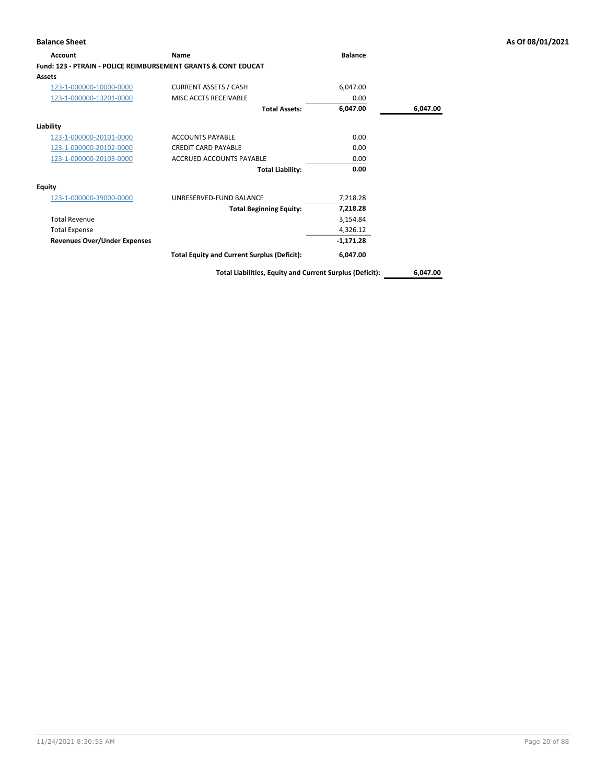| Account                                                        | Name                                               | <b>Balance</b> |          |
|----------------------------------------------------------------|----------------------------------------------------|----------------|----------|
| Fund: 123 - PTRAIN - POLICE REIMBURSEMENT GRANTS & CONT EDUCAT |                                                    |                |          |
| <b>Assets</b>                                                  |                                                    |                |          |
| 123-1-000000-10000-0000                                        | <b>CURRENT ASSETS / CASH</b>                       | 6,047.00       |          |
| 123-1-000000-13201-0000                                        | MISC ACCTS RECEIVABLE                              | 0.00           |          |
|                                                                | <b>Total Assets:</b>                               | 6,047.00       | 6,047.00 |
| Liability                                                      |                                                    |                |          |
| 123-1-000000-20101-0000                                        | <b>ACCOUNTS PAYABLE</b>                            | 0.00           |          |
| 123-1-000000-20102-0000                                        | <b>CREDIT CARD PAYABLE</b>                         | 0.00           |          |
| 123-1-000000-20103-0000                                        | ACCRUED ACCOUNTS PAYABLE                           | 0.00           |          |
|                                                                | <b>Total Liability:</b>                            | 0.00           |          |
| <b>Equity</b>                                                  |                                                    |                |          |
| 123-1-000000-39000-0000                                        | UNRESERVED-FUND BALANCE                            | 7,218.28       |          |
|                                                                | <b>Total Beginning Equity:</b>                     | 7,218.28       |          |
| <b>Total Revenue</b>                                           |                                                    | 3,154.84       |          |
| <b>Total Expense</b>                                           |                                                    | 4,326.12       |          |
| <b>Revenues Over/Under Expenses</b>                            |                                                    | $-1,171.28$    |          |
|                                                                | <b>Total Equity and Current Surplus (Deficit):</b> | 6,047.00       |          |
|                                                                |                                                    |                |          |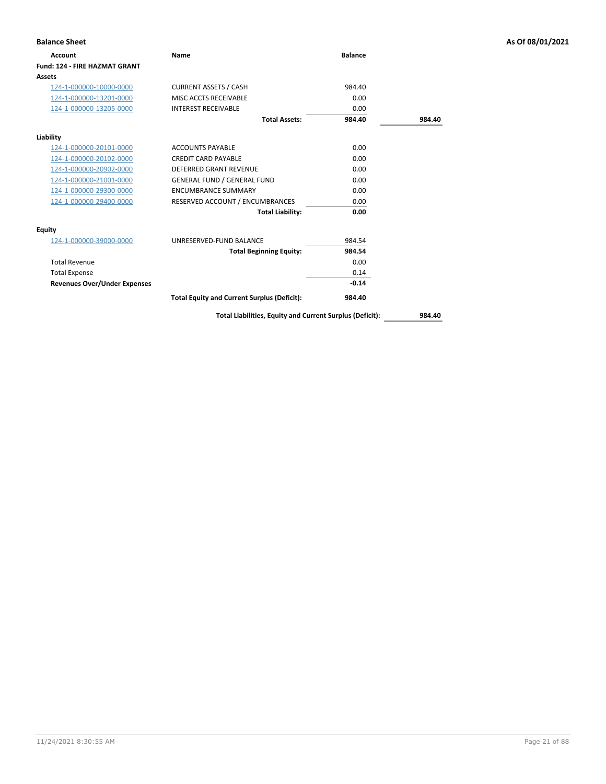| <b>Balance Sheet</b>                 |                                                    |                |        | As Of 08/01/2021 |
|--------------------------------------|----------------------------------------------------|----------------|--------|------------------|
| <b>Account</b>                       | Name                                               | <b>Balance</b> |        |                  |
| <b>Fund: 124 - FIRE HAZMAT GRANT</b> |                                                    |                |        |                  |
| Assets                               |                                                    |                |        |                  |
| 124-1-000000-10000-0000              | <b>CURRENT ASSETS / CASH</b>                       | 984.40         |        |                  |
| 124-1-000000-13201-0000              | MISC ACCTS RECEIVABLE                              | 0.00           |        |                  |
| 124-1-000000-13205-0000              | <b>INTEREST RECEIVABLE</b>                         | 0.00           |        |                  |
|                                      | <b>Total Assets:</b>                               | 984.40         | 984.40 |                  |
| Liability                            |                                                    |                |        |                  |
| 124-1-000000-20101-0000              | <b>ACCOUNTS PAYABLE</b>                            | 0.00           |        |                  |
| 124-1-000000-20102-0000              | <b>CREDIT CARD PAYABLE</b>                         | 0.00           |        |                  |
| 124-1-000000-20902-0000              | <b>DEFERRED GRANT REVENUE</b>                      | 0.00           |        |                  |
| 124-1-000000-21001-0000              | <b>GENERAL FUND / GENERAL FUND</b>                 | 0.00           |        |                  |
| 124-1-000000-29300-0000              | <b>ENCUMBRANCE SUMMARY</b>                         | 0.00           |        |                  |
| 124-1-000000-29400-0000              | RESERVED ACCOUNT / ENCUMBRANCES                    | 0.00           |        |                  |
|                                      | <b>Total Liability:</b>                            | 0.00           |        |                  |
| <b>Equity</b>                        |                                                    |                |        |                  |
| 124-1-000000-39000-0000              | UNRESERVED-FUND BALANCE                            | 984.54         |        |                  |
|                                      | <b>Total Beginning Equity:</b>                     | 984.54         |        |                  |
| <b>Total Revenue</b>                 |                                                    | 0.00           |        |                  |
| <b>Total Expense</b>                 |                                                    | 0.14           |        |                  |
| <b>Revenues Over/Under Expenses</b>  |                                                    | $-0.14$        |        |                  |
|                                      | <b>Total Equity and Current Surplus (Deficit):</b> | 984.40         |        |                  |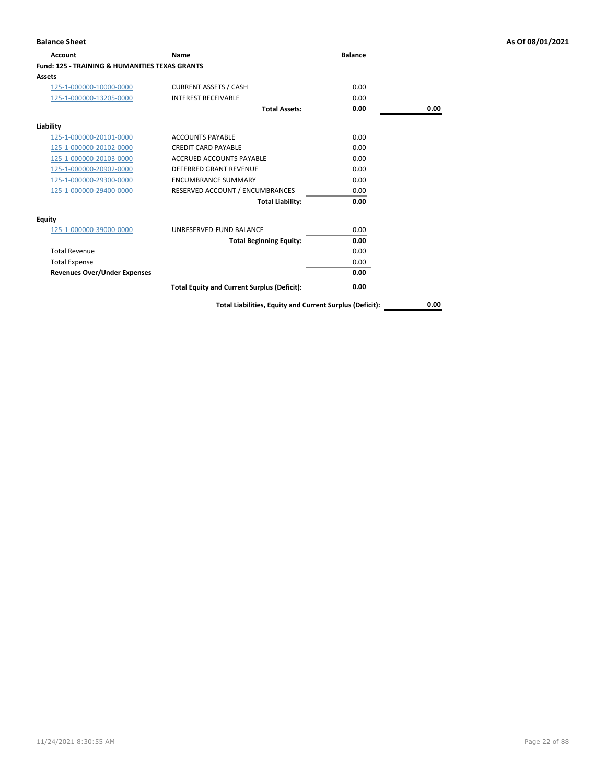| Account                                                   | Name                                               | <b>Balance</b> |      |
|-----------------------------------------------------------|----------------------------------------------------|----------------|------|
| <b>Fund: 125 - TRAINING &amp; HUMANITIES TEXAS GRANTS</b> |                                                    |                |      |
| Assets                                                    |                                                    |                |      |
| 125-1-000000-10000-0000                                   | <b>CURRENT ASSETS / CASH</b>                       | 0.00           |      |
| 125-1-000000-13205-0000                                   | <b>INTEREST RECEIVABLE</b>                         | 0.00           |      |
|                                                           | <b>Total Assets:</b>                               | 0.00           | 0.00 |
| Liability                                                 |                                                    |                |      |
| 125-1-000000-20101-0000                                   | <b>ACCOUNTS PAYABLE</b>                            | 0.00           |      |
| 125-1-000000-20102-0000                                   | <b>CREDIT CARD PAYABLE</b>                         | 0.00           |      |
| 125-1-000000-20103-0000                                   | <b>ACCRUED ACCOUNTS PAYABLE</b>                    | 0.00           |      |
| 125-1-000000-20902-0000                                   | <b>DEFERRED GRANT REVENUE</b>                      | 0.00           |      |
| 125-1-000000-29300-0000                                   | <b>ENCUMBRANCE SUMMARY</b>                         | 0.00           |      |
| 125-1-000000-29400-0000                                   | RESERVED ACCOUNT / ENCUMBRANCES                    | 0.00           |      |
|                                                           | <b>Total Liability:</b>                            | 0.00           |      |
| Equity                                                    |                                                    |                |      |
| 125-1-000000-39000-0000                                   | UNRESERVED-FUND BALANCE                            | 0.00           |      |
|                                                           | <b>Total Beginning Equity:</b>                     | 0.00           |      |
| <b>Total Revenue</b>                                      |                                                    | 0.00           |      |
| <b>Total Expense</b>                                      |                                                    | 0.00           |      |
| <b>Revenues Over/Under Expenses</b>                       |                                                    | 0.00           |      |
|                                                           | <b>Total Equity and Current Surplus (Deficit):</b> | 0.00           |      |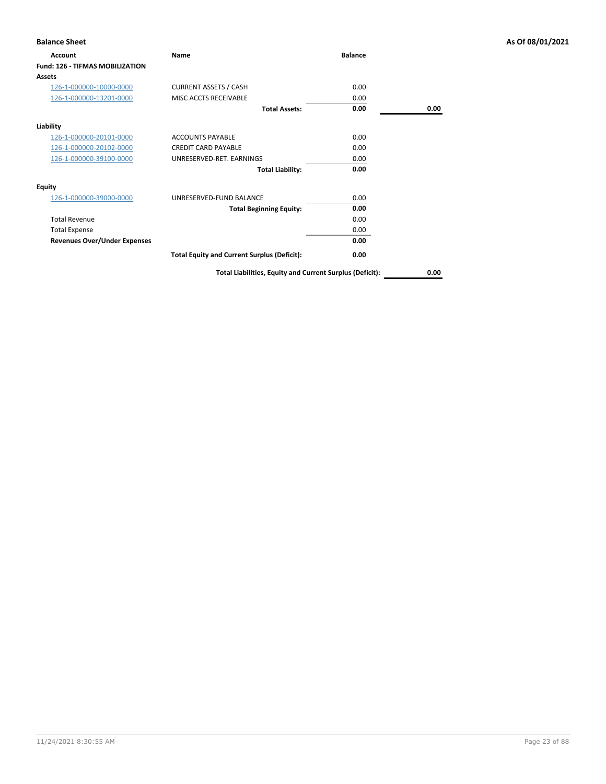| <b>Balance Sheet</b>                   |                                                          |                |      | As Of 08/01/2021 |
|----------------------------------------|----------------------------------------------------------|----------------|------|------------------|
| <b>Account</b>                         | Name                                                     | <b>Balance</b> |      |                  |
| <b>Fund: 126 - TIFMAS MOBILIZATION</b> |                                                          |                |      |                  |
| <b>Assets</b>                          |                                                          |                |      |                  |
| 126-1-000000-10000-0000                | <b>CURRENT ASSETS / CASH</b>                             | 0.00           |      |                  |
| 126-1-000000-13201-0000                | MISC ACCTS RECEIVABLE                                    | 0.00           |      |                  |
|                                        | <b>Total Assets:</b>                                     | 0.00           | 0.00 |                  |
| Liability                              |                                                          |                |      |                  |
| 126-1-000000-20101-0000                | <b>ACCOUNTS PAYABLE</b>                                  | 0.00           |      |                  |
| 126-1-000000-20102-0000                | <b>CREDIT CARD PAYABLE</b>                               | 0.00           |      |                  |
| 126-1-000000-39100-0000                | UNRESERVED-RET. EARNINGS                                 | 0.00           |      |                  |
|                                        | <b>Total Liability:</b>                                  | 0.00           |      |                  |
| Equity                                 |                                                          |                |      |                  |
| 126-1-000000-39000-0000                | UNRESERVED-FUND BALANCE                                  | 0.00           |      |                  |
|                                        | <b>Total Beginning Equity:</b>                           | 0.00           |      |                  |
| <b>Total Revenue</b>                   |                                                          | 0.00           |      |                  |
| <b>Total Expense</b>                   |                                                          | 0.00           |      |                  |
| <b>Revenues Over/Under Expenses</b>    |                                                          | 0.00           |      |                  |
|                                        | <b>Total Equity and Current Surplus (Deficit):</b>       | 0.00           |      |                  |
|                                        | Total Liabilities, Equity and Current Surplus (Deficit): |                | 0.00 |                  |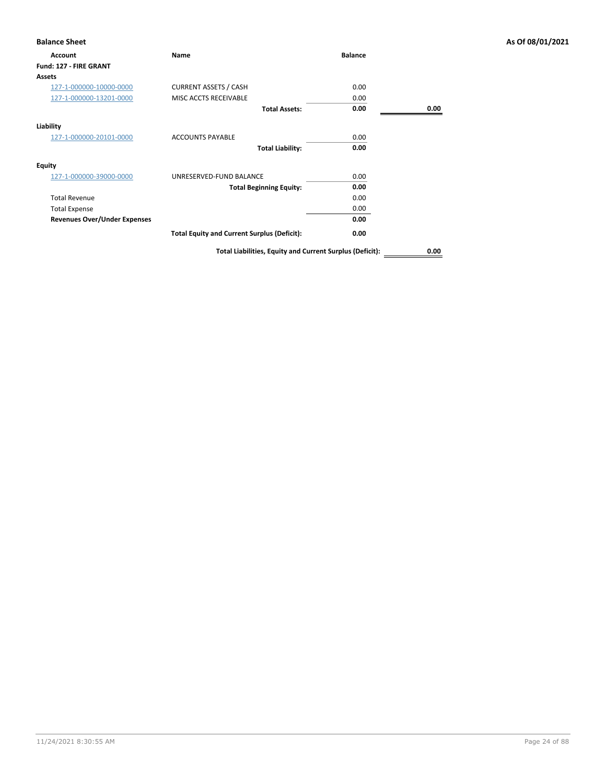| Account                             | <b>Name</b>                                        | <b>Balance</b> |      |
|-------------------------------------|----------------------------------------------------|----------------|------|
| Fund: 127 - FIRE GRANT              |                                                    |                |      |
| <b>Assets</b>                       |                                                    |                |      |
| 127-1-000000-10000-0000             | <b>CURRENT ASSETS / CASH</b>                       | 0.00           |      |
| 127-1-000000-13201-0000             | MISC ACCTS RECEIVABLE                              | 0.00           |      |
|                                     | <b>Total Assets:</b>                               | 0.00           | 0.00 |
| Liability                           |                                                    |                |      |
| 127-1-000000-20101-0000             | <b>ACCOUNTS PAYABLE</b>                            | 0.00           |      |
|                                     | <b>Total Liability:</b>                            | 0.00           |      |
| <b>Equity</b>                       |                                                    |                |      |
| 127-1-000000-39000-0000             | UNRESERVED-FUND BALANCE                            | 0.00           |      |
|                                     | <b>Total Beginning Equity:</b>                     | 0.00           |      |
| <b>Total Revenue</b>                |                                                    | 0.00           |      |
| <b>Total Expense</b>                |                                                    | 0.00           |      |
| <b>Revenues Over/Under Expenses</b> |                                                    | 0.00           |      |
|                                     | <b>Total Equity and Current Surplus (Deficit):</b> | 0.00           |      |
|                                     |                                                    |                |      |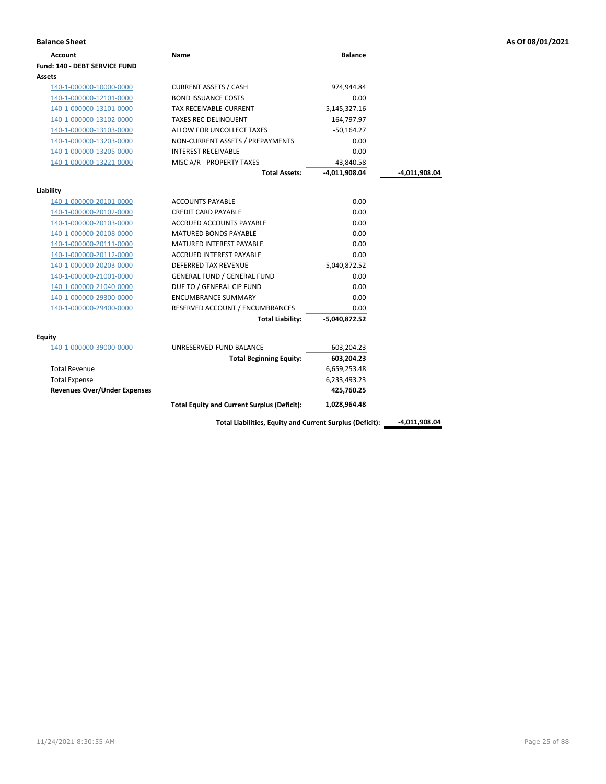| <b>Balance Sheet</b>                 |                                                    |                 |               | As Of 08/01/2021 |
|--------------------------------------|----------------------------------------------------|-----------------|---------------|------------------|
| <b>Account</b>                       | Name                                               | <b>Balance</b>  |               |                  |
| <b>Fund: 140 - DEBT SERVICE FUND</b> |                                                    |                 |               |                  |
| Assets                               |                                                    |                 |               |                  |
| 140-1-000000-10000-0000              | <b>CURRENT ASSETS / CASH</b>                       | 974,944.84      |               |                  |
| 140-1-000000-12101-0000              | <b>BOND ISSUANCE COSTS</b>                         | 0.00            |               |                  |
| 140-1-000000-13101-0000              | TAX RECEIVABLE-CURRENT                             | $-5,145,327.16$ |               |                  |
| 140-1-000000-13102-0000              | <b>TAXES REC-DELINQUENT</b>                        | 164,797.97      |               |                  |
| 140-1-000000-13103-0000              | ALLOW FOR UNCOLLECT TAXES                          | $-50,164.27$    |               |                  |
| 140-1-000000-13203-0000              | NON-CURRENT ASSETS / PREPAYMENTS                   | 0.00            |               |                  |
| 140-1-000000-13205-0000              | <b>INTEREST RECEIVABLE</b>                         | 0.00            |               |                  |
| 140-1-000000-13221-0000              | MISC A/R - PROPERTY TAXES                          | 43,840.58       |               |                  |
|                                      | <b>Total Assets:</b>                               | -4,011,908.04   | -4,011,908.04 |                  |
| Liability                            |                                                    |                 |               |                  |
| 140-1-000000-20101-0000              | <b>ACCOUNTS PAYABLE</b>                            | 0.00            |               |                  |
| 140-1-000000-20102-0000              | <b>CREDIT CARD PAYABLE</b>                         | 0.00            |               |                  |
| 140-1-000000-20103-0000              | ACCRUED ACCOUNTS PAYABLE                           | 0.00            |               |                  |
| 140-1-000000-20108-0000              | <b>MATURED BONDS PAYABLE</b>                       | 0.00            |               |                  |
| 140-1-000000-20111-0000              | MATURED INTEREST PAYABLE                           | 0.00            |               |                  |
| 140-1-000000-20112-0000              | ACCRUED INTEREST PAYABLE                           | 0.00            |               |                  |
| 140-1-000000-20203-0000              | DEFERRED TAX REVENUE                               | $-5,040,872.52$ |               |                  |
| 140-1-000000-21001-0000              | <b>GENERAL FUND / GENERAL FUND</b>                 | 0.00            |               |                  |
| 140-1-000000-21040-0000              | DUE TO / GENERAL CIP FUND                          | 0.00            |               |                  |
| 140-1-000000-29300-0000              | <b>ENCUMBRANCE SUMMARY</b>                         | 0.00            |               |                  |
| 140-1-000000-29400-0000              | RESERVED ACCOUNT / ENCUMBRANCES                    | 0.00            |               |                  |
|                                      | <b>Total Liability:</b>                            | $-5,040,872.52$ |               |                  |
| <b>Equity</b>                        |                                                    |                 |               |                  |
| 140-1-000000-39000-0000              | UNRESERVED-FUND BALANCE                            | 603,204.23      |               |                  |
|                                      | <b>Total Beginning Equity:</b>                     | 603,204.23      |               |                  |
| <b>Total Revenue</b>                 |                                                    | 6,659,253.48    |               |                  |
| <b>Total Expense</b>                 |                                                    | 6,233,493.23    |               |                  |
| <b>Revenues Over/Under Expenses</b>  |                                                    | 425,760.25      |               |                  |
|                                      | <b>Total Equity and Current Surplus (Deficit):</b> | 1,028,964.48    |               |                  |

Total Liabilities, Equity and Current Surplus (Deficit): \_\_\_\_\_-4,011,908.04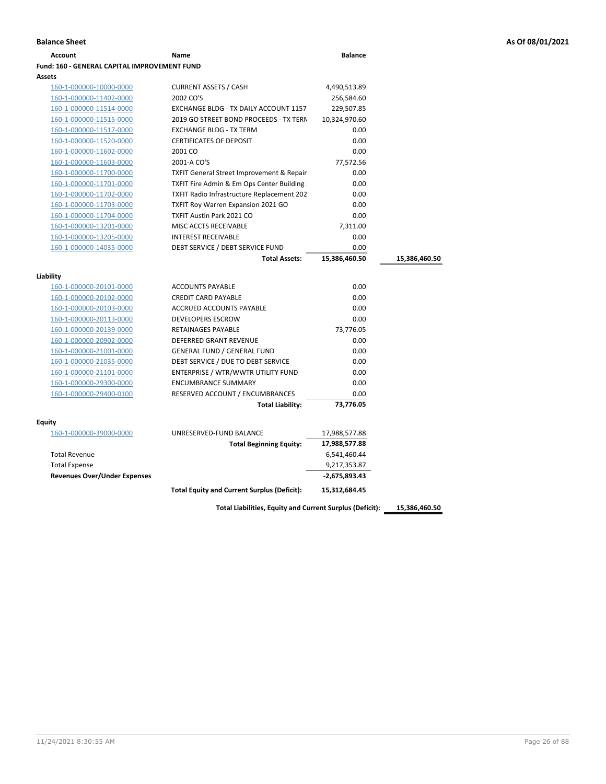| <b>Account</b>                               | Name                                                 | <b>Balance</b>  |               |
|----------------------------------------------|------------------------------------------------------|-----------------|---------------|
| Fund: 160 - GENERAL CAPITAL IMPROVEMENT FUND |                                                      |                 |               |
| <b>Assets</b>                                |                                                      |                 |               |
| 160-1-000000-10000-0000                      | <b>CURRENT ASSETS / CASH</b>                         | 4,490,513.89    |               |
| 160-1-000000-11402-0000                      | 2002 CO'S                                            | 256,584.60      |               |
| 160-1-000000-11514-0000                      | EXCHANGE BLDG - TX DAILY ACCOUNT 1157                | 229,507.85      |               |
| 160-1-000000-11515-0000                      | 2019 GO STREET BOND PROCEEDS - TX TERN               | 10,324,970.60   |               |
| 160-1-000000-11517-0000                      | <b>EXCHANGE BLDG - TX TERM</b>                       | 0.00            |               |
| 160-1-000000-11520-0000                      | <b>CERTIFICATES OF DEPOSIT</b>                       | 0.00            |               |
| 160-1-000000-11602-0000                      | 2001 CO                                              | 0.00            |               |
| 160-1-000000-11603-0000                      | 2001-A CO'S                                          | 77,572.56       |               |
| 160-1-000000-11700-0000                      | <b>TXFIT General Street Improvement &amp; Repair</b> | 0.00            |               |
| 160-1-000000-11701-0000                      | TXFIT Fire Admin & Em Ops Center Building            | 0.00            |               |
| 160-1-000000-11702-0000                      | <b>TXFIT Radio Infrastructure Replacement 202</b>    | 0.00            |               |
| 160-1-000000-11703-0000                      | <b>TXFIT Roy Warren Expansion 2021 GO</b>            | 0.00            |               |
| 160-1-000000-11704-0000                      | <b>TXFIT Austin Park 2021 CO</b>                     | 0.00            |               |
| 160-1-000000-13201-0000                      | MISC ACCTS RECEIVABLE                                | 7,311.00        |               |
| 160-1-000000-13205-0000                      | <b>INTEREST RECEIVABLE</b>                           | 0.00            |               |
| 160-1-000000-14035-0000                      | DEBT SERVICE / DEBT SERVICE FUND                     | 0.00            |               |
|                                              | <b>Total Assets:</b>                                 | 15,386,460.50   | 15,386,460.50 |
|                                              |                                                      |                 |               |
| Liability                                    |                                                      |                 |               |
| 160-1-000000-20101-0000                      | <b>ACCOUNTS PAYABLE</b>                              | 0.00            |               |
| 160-1-000000-20102-0000                      | <b>CREDIT CARD PAYABLE</b>                           | 0.00            |               |
| 160-1-000000-20103-0000                      | ACCRUED ACCOUNTS PAYABLE                             | 0.00            |               |
| 160-1-000000-20113-0000                      | <b>DEVELOPERS ESCROW</b>                             | 0.00            |               |
| 160-1-000000-20139-0000                      | <b>RETAINAGES PAYABLE</b>                            | 73,776.05       |               |
| 160-1-000000-20902-0000                      | <b>DEFERRED GRANT REVENUE</b>                        | 0.00            |               |
| 160-1-000000-21001-0000                      | <b>GENERAL FUND / GENERAL FUND</b>                   | 0.00            |               |
| 160-1-000000-21035-0000                      | DEBT SERVICE / DUE TO DEBT SERVICE                   | 0.00            |               |
| 160-1-000000-21101-0000                      | ENTERPRISE / WTR/WWTR UTILITY FUND                   | 0.00            |               |
| 160-1-000000-29300-0000                      | <b>ENCUMBRANCE SUMMARY</b>                           | 0.00            |               |
| 160-1-000000-29400-0100                      | RESERVED ACCOUNT / ENCUMBRANCES                      | 0.00            |               |
|                                              | <b>Total Liability:</b>                              | 73,776.05       |               |
| Equity                                       |                                                      |                 |               |
| 160-1-000000-39000-0000                      | UNRESERVED-FUND BALANCE                              | 17,988,577.88   |               |
|                                              | <b>Total Beginning Equity:</b>                       | 17,988,577.88   |               |
| <b>Total Revenue</b>                         |                                                      | 6,541,460.44    |               |
| <b>Total Expense</b>                         |                                                      | 9,217,353.87    |               |
| <b>Revenues Over/Under Expenses</b>          |                                                      | $-2,675,893.43$ |               |
|                                              |                                                      |                 |               |
|                                              | <b>Total Equity and Current Surplus (Deficit):</b>   | 15,312,684.45   |               |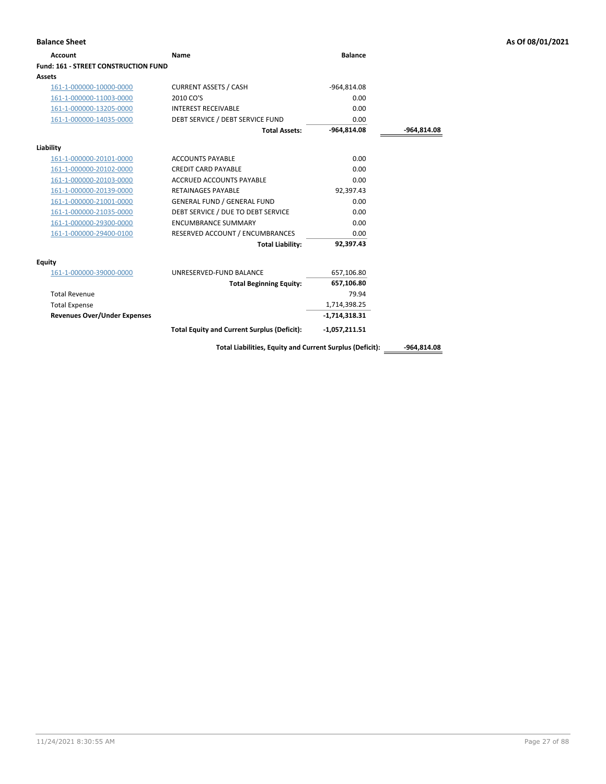| <b>Account</b>                              | Name                                                     | <b>Balance</b>  |               |
|---------------------------------------------|----------------------------------------------------------|-----------------|---------------|
| <b>Fund: 161 - STREET CONSTRUCTION FUND</b> |                                                          |                 |               |
| <b>Assets</b>                               |                                                          |                 |               |
| 161-1-000000-10000-0000                     | <b>CURRENT ASSETS / CASH</b>                             | -964,814.08     |               |
| 161-1-000000-11003-0000                     | 2010 CO'S                                                | 0.00            |               |
| 161-1-000000-13205-0000                     | <b>INTEREST RECEIVABLE</b>                               | 0.00            |               |
| 161-1-000000-14035-0000                     | DEBT SERVICE / DEBT SERVICE FUND                         | 0.00            |               |
|                                             | <b>Total Assets:</b>                                     | $-964,814.08$   | -964,814.08   |
| Liability                                   |                                                          |                 |               |
| 161-1-000000-20101-0000                     | <b>ACCOUNTS PAYABLE</b>                                  | 0.00            |               |
| 161-1-000000-20102-0000                     | <b>CREDIT CARD PAYABLE</b>                               | 0.00            |               |
| 161-1-000000-20103-0000                     | <b>ACCRUED ACCOUNTS PAYABLE</b>                          | 0.00            |               |
| 161-1-000000-20139-0000                     | <b>RETAINAGES PAYABLE</b>                                | 92,397.43       |               |
| 161-1-000000-21001-0000                     | <b>GENERAL FUND / GENERAL FUND</b>                       | 0.00            |               |
| 161-1-000000-21035-0000                     | DEBT SERVICE / DUE TO DEBT SERVICE                       | 0.00            |               |
| 161-1-000000-29300-0000                     | <b>ENCUMBRANCE SUMMARY</b>                               | 0.00            |               |
| 161-1-000000-29400-0100                     | RESERVED ACCOUNT / ENCUMBRANCES                          | 0.00            |               |
|                                             | <b>Total Liability:</b>                                  | 92,397.43       |               |
| Equity                                      |                                                          |                 |               |
| 161-1-000000-39000-0000                     | UNRESERVED-FUND BALANCE                                  | 657,106.80      |               |
|                                             | <b>Total Beginning Equity:</b>                           | 657,106.80      |               |
| <b>Total Revenue</b>                        |                                                          | 79.94           |               |
| <b>Total Expense</b>                        |                                                          | 1,714,398.25    |               |
| <b>Revenues Over/Under Expenses</b>         |                                                          | $-1,714,318.31$ |               |
|                                             | <b>Total Equity and Current Surplus (Deficit):</b>       | $-1,057,211.51$ |               |
|                                             | Total Liabilities, Equity and Current Surplus (Deficit): |                 | $-964,814.08$ |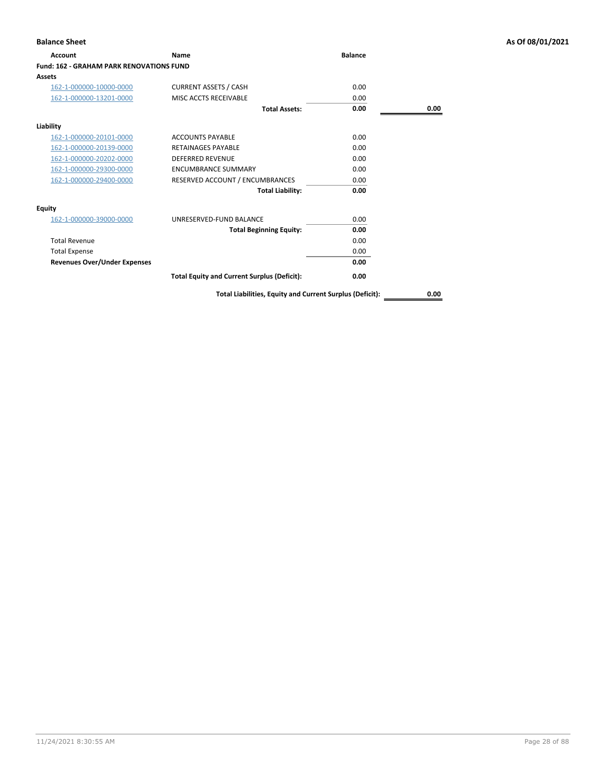| <b>Account</b>                                  | Name                                               | <b>Balance</b> |      |
|-------------------------------------------------|----------------------------------------------------|----------------|------|
| <b>Fund: 162 - GRAHAM PARK RENOVATIONS FUND</b> |                                                    |                |      |
| Assets                                          |                                                    |                |      |
| 162-1-000000-10000-0000                         | <b>CURRENT ASSETS / CASH</b>                       | 0.00           |      |
| 162-1-000000-13201-0000                         | MISC ACCTS RECEIVABLE                              | 0.00           |      |
|                                                 | <b>Total Assets:</b>                               | 0.00           | 0.00 |
| Liability                                       |                                                    |                |      |
| 162-1-000000-20101-0000                         | <b>ACCOUNTS PAYABLE</b>                            | 0.00           |      |
| 162-1-000000-20139-0000                         | <b>RETAINAGES PAYABLE</b>                          | 0.00           |      |
| 162-1-000000-20202-0000                         | <b>DEFERRED REVENUE</b>                            | 0.00           |      |
| 162-1-000000-29300-0000                         | <b>ENCUMBRANCE SUMMARY</b>                         | 0.00           |      |
| 162-1-000000-29400-0000                         | RESERVED ACCOUNT / ENCUMBRANCES                    | 0.00           |      |
|                                                 | <b>Total Liability:</b>                            | 0.00           |      |
| Equity                                          |                                                    |                |      |
| 162-1-000000-39000-0000                         | UNRESERVED-FUND BALANCE                            | 0.00           |      |
|                                                 | <b>Total Beginning Equity:</b>                     | 0.00           |      |
| <b>Total Revenue</b>                            |                                                    | 0.00           |      |
| <b>Total Expense</b>                            |                                                    | 0.00           |      |
| <b>Revenues Over/Under Expenses</b>             |                                                    | 0.00           |      |
|                                                 | <b>Total Equity and Current Surplus (Deficit):</b> | 0.00           |      |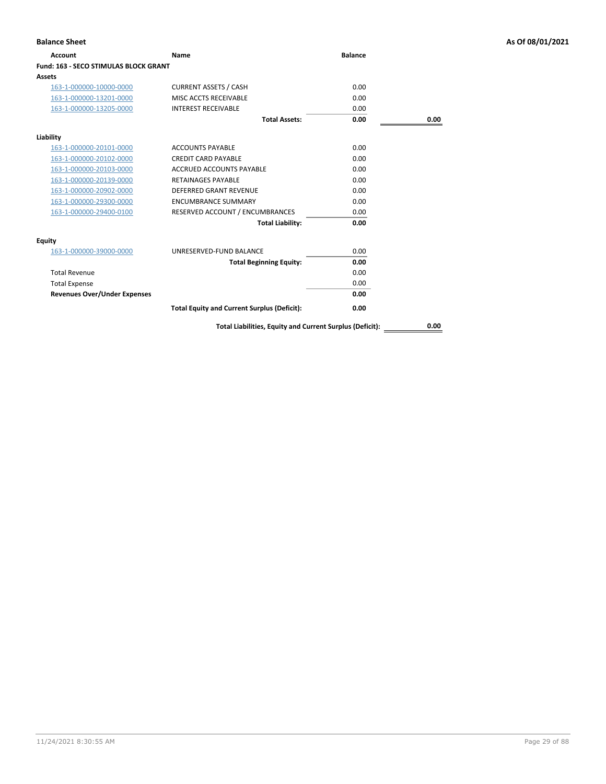| Account                                      | Name                                                     | <b>Balance</b> |      |
|----------------------------------------------|----------------------------------------------------------|----------------|------|
| <b>Fund: 163 - SECO STIMULAS BLOCK GRANT</b> |                                                          |                |      |
| Assets                                       |                                                          |                |      |
| 163-1-000000-10000-0000                      | <b>CURRENT ASSETS / CASH</b>                             | 0.00           |      |
| 163-1-000000-13201-0000                      | MISC ACCTS RECEIVABLE                                    | 0.00           |      |
| 163-1-000000-13205-0000                      | <b>INTEREST RECEIVABLE</b>                               | 0.00           |      |
|                                              | <b>Total Assets:</b>                                     | 0.00           | 0.00 |
| Liability                                    |                                                          |                |      |
| 163-1-000000-20101-0000                      | <b>ACCOUNTS PAYABLE</b>                                  | 0.00           |      |
| 163-1-000000-20102-0000                      | <b>CREDIT CARD PAYABLE</b>                               | 0.00           |      |
| 163-1-000000-20103-0000                      | <b>ACCRUED ACCOUNTS PAYABLE</b>                          | 0.00           |      |
| 163-1-000000-20139-0000                      | <b>RETAINAGES PAYABLE</b>                                | 0.00           |      |
| 163-1-000000-20902-0000                      | <b>DEFERRED GRANT REVENUE</b>                            | 0.00           |      |
| 163-1-000000-29300-0000                      | <b>ENCUMBRANCE SUMMARY</b>                               | 0.00           |      |
| 163-1-000000-29400-0100                      | RESERVED ACCOUNT / ENCUMBRANCES                          | 0.00           |      |
|                                              | <b>Total Liability:</b>                                  | 0.00           |      |
| <b>Equity</b>                                |                                                          |                |      |
| 163-1-000000-39000-0000                      | UNRESERVED-FUND BALANCE                                  | 0.00           |      |
|                                              | <b>Total Beginning Equity:</b>                           | 0.00           |      |
| <b>Total Revenue</b>                         |                                                          | 0.00           |      |
| <b>Total Expense</b>                         |                                                          | 0.00           |      |
| <b>Revenues Over/Under Expenses</b>          |                                                          | 0.00           |      |
|                                              | <b>Total Equity and Current Surplus (Deficit):</b>       | 0.00           |      |
|                                              | Total Liabilities, Equity and Current Surplus (Deficit): |                | 0.00 |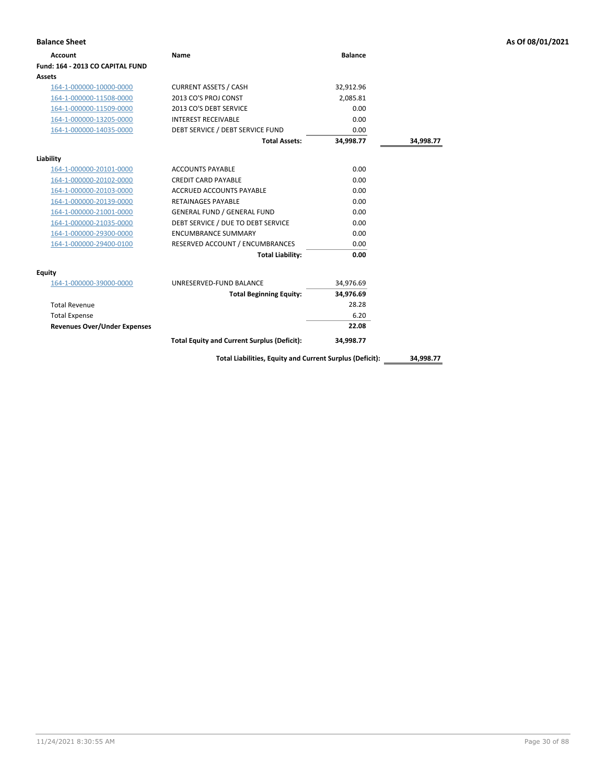| <b>Balance Sheet</b>                |                                                          |                |           | As Of 08/01/2021 |
|-------------------------------------|----------------------------------------------------------|----------------|-----------|------------------|
| <b>Account</b>                      | Name                                                     | <b>Balance</b> |           |                  |
| Fund: 164 - 2013 CO CAPITAL FUND    |                                                          |                |           |                  |
| Assets                              |                                                          |                |           |                  |
| 164-1-000000-10000-0000             | <b>CURRENT ASSETS / CASH</b>                             | 32,912.96      |           |                  |
| 164-1-000000-11508-0000             | 2013 CO'S PROJ CONST                                     | 2,085.81       |           |                  |
| 164-1-000000-11509-0000             | 2013 CO'S DEBT SERVICE                                   | 0.00           |           |                  |
| 164-1-000000-13205-0000             | <b>INTEREST RECEIVABLE</b>                               | 0.00           |           |                  |
| 164-1-000000-14035-0000             | DEBT SERVICE / DEBT SERVICE FUND                         | 0.00           |           |                  |
|                                     | <b>Total Assets:</b>                                     | 34,998.77      | 34,998.77 |                  |
| Liability                           |                                                          |                |           |                  |
| 164-1-000000-20101-0000             | <b>ACCOUNTS PAYABLE</b>                                  | 0.00           |           |                  |
| 164-1-000000-20102-0000             | <b>CREDIT CARD PAYABLE</b>                               | 0.00           |           |                  |
| 164-1-000000-20103-0000             | ACCRUED ACCOUNTS PAYABLE                                 | 0.00           |           |                  |
| 164-1-000000-20139-0000             | <b>RETAINAGES PAYABLE</b>                                | 0.00           |           |                  |
| 164-1-000000-21001-0000             | <b>GENERAL FUND / GENERAL FUND</b>                       | 0.00           |           |                  |
| 164-1-000000-21035-0000             | DEBT SERVICE / DUE TO DEBT SERVICE                       | 0.00           |           |                  |
| 164-1-000000-29300-0000             | <b>ENCUMBRANCE SUMMARY</b>                               | 0.00           |           |                  |
| 164-1-000000-29400-0100             | RESERVED ACCOUNT / ENCUMBRANCES                          | 0.00           |           |                  |
|                                     | <b>Total Liability:</b>                                  | 0.00           |           |                  |
| <b>Equity</b>                       |                                                          |                |           |                  |
| 164-1-000000-39000-0000             | UNRESERVED-FUND BALANCE                                  | 34,976.69      |           |                  |
|                                     | <b>Total Beginning Equity:</b>                           | 34,976.69      |           |                  |
| <b>Total Revenue</b>                |                                                          | 28.28          |           |                  |
| <b>Total Expense</b>                |                                                          | 6.20           |           |                  |
| <b>Revenues Over/Under Expenses</b> |                                                          | 22.08          |           |                  |
|                                     | <b>Total Equity and Current Surplus (Deficit):</b>       | 34,998.77      |           |                  |
|                                     | Total Liabilities, Equity and Current Surplus (Deficit): |                | 34,998.77 |                  |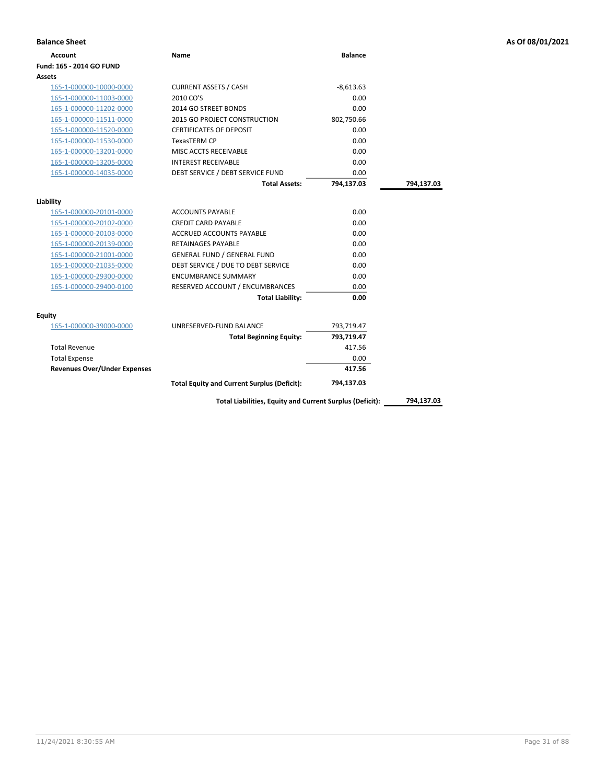| <b>Account</b>                      | Name                                               | <b>Balance</b> |            |
|-------------------------------------|----------------------------------------------------|----------------|------------|
| Fund: 165 - 2014 GO FUND            |                                                    |                |            |
| Assets                              |                                                    |                |            |
| 165-1-000000-10000-0000             | <b>CURRENT ASSETS / CASH</b>                       | $-8,613.63$    |            |
| 165-1-000000-11003-0000             | 2010 CO'S                                          | 0.00           |            |
| 165-1-000000-11202-0000             | 2014 GO STREET BONDS                               | 0.00           |            |
| 165-1-000000-11511-0000             | 2015 GO PROJECT CONSTRUCTION                       | 802,750.66     |            |
| 165-1-000000-11520-0000             | <b>CERTIFICATES OF DEPOSIT</b>                     | 0.00           |            |
| 165-1-000000-11530-0000             | <b>TexasTERM CP</b>                                | 0.00           |            |
| 165-1-000000-13201-0000             | MISC ACCTS RECEIVABLE                              | 0.00           |            |
| 165-1-000000-13205-0000             | <b>INTEREST RECEIVABLE</b>                         | 0.00           |            |
| 165-1-000000-14035-0000             | DEBT SERVICE / DEBT SERVICE FUND                   | 0.00           |            |
|                                     | <b>Total Assets:</b>                               | 794,137.03     | 794,137.03 |
|                                     |                                                    |                |            |
| Liability                           |                                                    |                |            |
| 165-1-000000-20101-0000             | <b>ACCOUNTS PAYABLE</b>                            | 0.00           |            |
| 165-1-000000-20102-0000             | <b>CREDIT CARD PAYABLE</b>                         | 0.00           |            |
| 165-1-000000-20103-0000             | <b>ACCRUED ACCOUNTS PAYABLE</b>                    | 0.00           |            |
| 165-1-000000-20139-0000             | <b>RETAINAGES PAYABLE</b>                          | 0.00           |            |
| 165-1-000000-21001-0000             | <b>GENERAL FUND / GENERAL FUND</b>                 | 0.00           |            |
| 165-1-000000-21035-0000             | DEBT SERVICE / DUE TO DEBT SERVICE                 | 0.00           |            |
| 165-1-000000-29300-0000             | <b>ENCUMBRANCE SUMMARY</b>                         | 0.00           |            |
| 165-1-000000-29400-0100             | RESERVED ACCOUNT / ENCUMBRANCES                    | 0.00           |            |
|                                     | <b>Total Liability:</b>                            | 0.00           |            |
| Equity                              |                                                    |                |            |
| 165-1-000000-39000-0000             | UNRESERVED-FUND BALANCE                            | 793,719.47     |            |
|                                     | <b>Total Beginning Equity:</b>                     | 793,719.47     |            |
| <b>Total Revenue</b>                |                                                    | 417.56         |            |
| <b>Total Expense</b>                |                                                    | 0.00           |            |
| <b>Revenues Over/Under Expenses</b> |                                                    | 417.56         |            |
|                                     |                                                    |                |            |
|                                     | <b>Total Equity and Current Surplus (Deficit):</b> | 794,137.03     |            |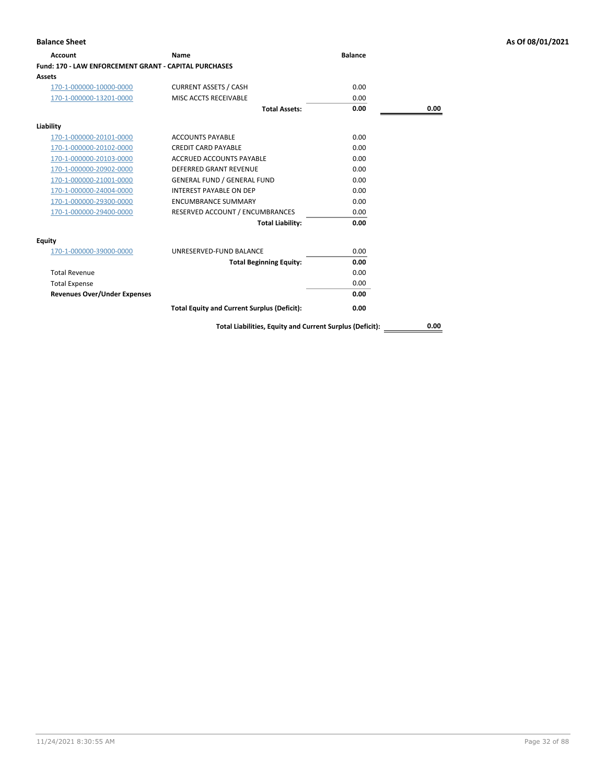| <b>Account</b>                                        | Name                                               | <b>Balance</b> |             |
|-------------------------------------------------------|----------------------------------------------------|----------------|-------------|
| Fund: 170 - LAW ENFORCEMENT GRANT - CAPITAL PURCHASES |                                                    |                |             |
| <b>Assets</b>                                         |                                                    |                |             |
| 170-1-000000-10000-0000                               | <b>CURRENT ASSETS / CASH</b>                       | 0.00           |             |
| 170-1-000000-13201-0000                               | MISC ACCTS RECEIVABLE                              | 0.00           |             |
|                                                       | <b>Total Assets:</b>                               | 0.00           | 0.00        |
| Liability                                             |                                                    |                |             |
| 170-1-000000-20101-0000                               | <b>ACCOUNTS PAYABLE</b>                            | 0.00           |             |
| 170-1-000000-20102-0000                               | <b>CREDIT CARD PAYABLE</b>                         | 0.00           |             |
| 170-1-000000-20103-0000                               | ACCRUED ACCOUNTS PAYABLE                           | 0.00           |             |
| 170-1-000000-20902-0000                               | DEFERRED GRANT REVENUE                             | 0.00           |             |
| 170-1-000000-21001-0000                               | <b>GENERAL FUND / GENERAL FUND</b>                 | 0.00           |             |
| 170-1-000000-24004-0000                               | <b>INTEREST PAYABLE ON DEP</b>                     | 0.00           |             |
| 170-1-000000-29300-0000                               | <b>ENCUMBRANCE SUMMARY</b>                         | 0.00           |             |
| 170-1-000000-29400-0000                               | RESERVED ACCOUNT / ENCUMBRANCES                    | 0.00           |             |
|                                                       | <b>Total Liability:</b>                            | 0.00           |             |
| <b>Equity</b>                                         |                                                    |                |             |
| 170-1-000000-39000-0000                               | UNRESERVED-FUND BALANCE                            | 0.00           |             |
|                                                       | <b>Total Beginning Equity:</b>                     | 0.00           |             |
| <b>Total Revenue</b>                                  |                                                    | 0.00           |             |
| <b>Total Expense</b>                                  |                                                    | 0.00           |             |
| <b>Revenues Over/Under Expenses</b>                   |                                                    | 0.00           |             |
|                                                       | <b>Total Equity and Current Surplus (Deficit):</b> | 0.00           |             |
|                                                       |                                                    |                | <b>A 66</b> |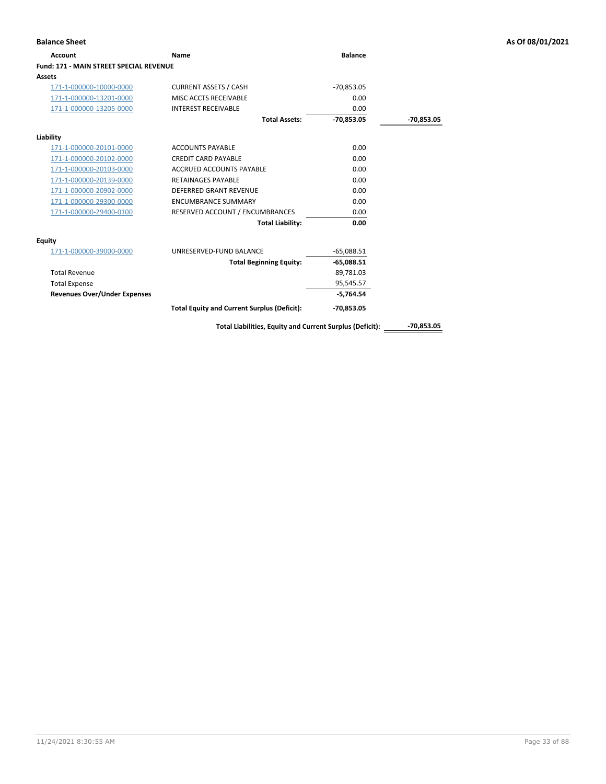| <b>Balance Sheet</b>                    |                                                          |                |              | As Of 08/01/2021 |
|-----------------------------------------|----------------------------------------------------------|----------------|--------------|------------------|
| <b>Account</b>                          | Name                                                     | <b>Balance</b> |              |                  |
| Fund: 171 - MAIN STREET SPECIAL REVENUE |                                                          |                |              |                  |
| <b>Assets</b>                           |                                                          |                |              |                  |
| 171-1-000000-10000-0000                 | <b>CURRENT ASSETS / CASH</b>                             | $-70,853.05$   |              |                  |
| 171-1-000000-13201-0000                 | MISC ACCTS RECEIVABLE                                    | 0.00           |              |                  |
| 171-1-000000-13205-0000                 | <b>INTEREST RECEIVABLE</b>                               | 0.00           |              |                  |
|                                         | <b>Total Assets:</b>                                     | $-70,853.05$   | -70,853.05   |                  |
| Liability                               |                                                          |                |              |                  |
| 171-1-000000-20101-0000                 | <b>ACCOUNTS PAYABLE</b>                                  | 0.00           |              |                  |
| 171-1-000000-20102-0000                 | <b>CREDIT CARD PAYABLE</b>                               | 0.00           |              |                  |
| 171-1-000000-20103-0000                 | <b>ACCRUED ACCOUNTS PAYABLE</b>                          | 0.00           |              |                  |
| 171-1-000000-20139-0000                 | <b>RETAINAGES PAYABLE</b>                                | 0.00           |              |                  |
| 171-1-000000-20902-0000                 | DEFERRED GRANT REVENUE                                   | 0.00           |              |                  |
| 171-1-000000-29300-0000                 | <b>ENCUMBRANCE SUMMARY</b>                               | 0.00           |              |                  |
| 171-1-000000-29400-0100                 | RESERVED ACCOUNT / ENCUMBRANCES                          | 0.00           |              |                  |
|                                         | <b>Total Liability:</b>                                  | 0.00           |              |                  |
| <b>Equity</b>                           |                                                          |                |              |                  |
| 171-1-000000-39000-0000                 | UNRESERVED-FUND BALANCE                                  | $-65,088.51$   |              |                  |
|                                         | <b>Total Beginning Equity:</b>                           | $-65,088.51$   |              |                  |
| <b>Total Revenue</b>                    |                                                          | 89,781.03      |              |                  |
| <b>Total Expense</b>                    |                                                          | 95,545.57      |              |                  |
| <b>Revenues Over/Under Expenses</b>     |                                                          | $-5,764.54$    |              |                  |
|                                         | <b>Total Equity and Current Surplus (Deficit):</b>       | $-70,853.05$   |              |                  |
|                                         | Total Liabilities, Equity and Current Surplus (Deficit): |                | $-70.853.05$ |                  |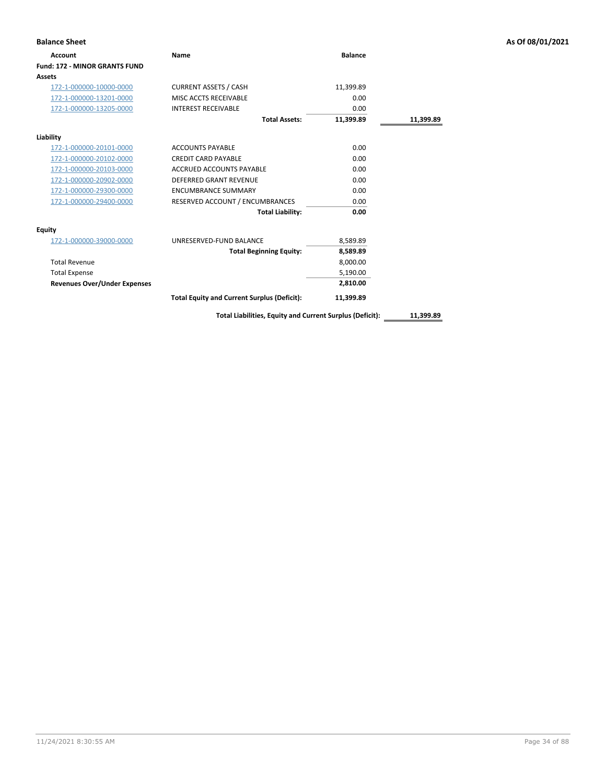| <b>Balance Sheet</b>                 |                                                    |                |           | As Of 08/01/2021 |
|--------------------------------------|----------------------------------------------------|----------------|-----------|------------------|
| <b>Account</b>                       | <b>Name</b>                                        | <b>Balance</b> |           |                  |
| <b>Fund: 172 - MINOR GRANTS FUND</b> |                                                    |                |           |                  |
| Assets                               |                                                    |                |           |                  |
| 172-1-000000-10000-0000              | <b>CURRENT ASSETS / CASH</b>                       | 11,399.89      |           |                  |
| 172-1-000000-13201-0000              | MISC ACCTS RECEIVABLE                              | 0.00           |           |                  |
| 172-1-000000-13205-0000              | <b>INTEREST RECEIVABLE</b>                         | 0.00           |           |                  |
|                                      | <b>Total Assets:</b>                               | 11,399.89      | 11,399.89 |                  |
| Liability                            |                                                    |                |           |                  |
| 172-1-000000-20101-0000              | <b>ACCOUNTS PAYABLE</b>                            | 0.00           |           |                  |
| 172-1-000000-20102-0000              | <b>CREDIT CARD PAYABLE</b>                         | 0.00           |           |                  |
| 172-1-000000-20103-0000              | <b>ACCRUED ACCOUNTS PAYABLE</b>                    | 0.00           |           |                  |
| 172-1-000000-20902-0000              | <b>DEFERRED GRANT REVENUE</b>                      | 0.00           |           |                  |
| 172-1-000000-29300-0000              | <b>ENCUMBRANCE SUMMARY</b>                         | 0.00           |           |                  |
| 172-1-000000-29400-0000              | RESERVED ACCOUNT / ENCUMBRANCES                    | 0.00           |           |                  |
|                                      | <b>Total Liability:</b>                            | 0.00           |           |                  |
| <b>Equity</b>                        |                                                    |                |           |                  |
| 172-1-000000-39000-0000              | UNRESERVED-FUND BALANCE                            | 8,589.89       |           |                  |
|                                      | <b>Total Beginning Equity:</b>                     | 8,589.89       |           |                  |
| <b>Total Revenue</b>                 |                                                    | 8,000.00       |           |                  |
| <b>Total Expense</b>                 |                                                    | 5,190.00       |           |                  |
| <b>Revenues Over/Under Expenses</b>  |                                                    | 2,810.00       |           |                  |
|                                      | <b>Total Equity and Current Surplus (Deficit):</b> | 11,399.89      |           |                  |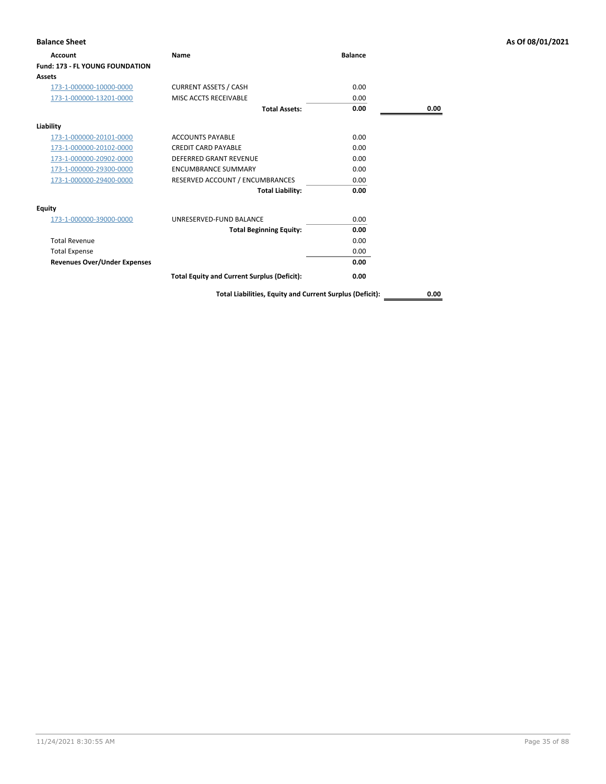| <b>Balance Sheet</b>                |                                                          |                |      | As Of 08/01/2021 |
|-------------------------------------|----------------------------------------------------------|----------------|------|------------------|
| Account                             | Name                                                     | <b>Balance</b> |      |                  |
| Fund: 173 - FL YOUNG FOUNDATION     |                                                          |                |      |                  |
| Assets                              |                                                          |                |      |                  |
| 173-1-000000-10000-0000             | <b>CURRENT ASSETS / CASH</b>                             | 0.00           |      |                  |
| 173-1-000000-13201-0000             | MISC ACCTS RECEIVABLE                                    | 0.00           |      |                  |
|                                     | <b>Total Assets:</b>                                     | 0.00           | 0.00 |                  |
| Liability                           |                                                          |                |      |                  |
| 173-1-000000-20101-0000             | <b>ACCOUNTS PAYABLE</b>                                  | 0.00           |      |                  |
| 173-1-000000-20102-0000             | <b>CREDIT CARD PAYABLE</b>                               | 0.00           |      |                  |
| 173-1-000000-20902-0000             | <b>DEFERRED GRANT REVENUE</b>                            | 0.00           |      |                  |
| 173-1-000000-29300-0000             | <b>ENCUMBRANCE SUMMARY</b>                               | 0.00           |      |                  |
| 173-1-000000-29400-0000             | RESERVED ACCOUNT / ENCUMBRANCES                          | 0.00           |      |                  |
|                                     | <b>Total Liability:</b>                                  | 0.00           |      |                  |
| <b>Equity</b>                       |                                                          |                |      |                  |
| 173-1-000000-39000-0000             | UNRESERVED-FUND BALANCE                                  | 0.00           |      |                  |
|                                     | <b>Total Beginning Equity:</b>                           | 0.00           |      |                  |
| <b>Total Revenue</b>                |                                                          | 0.00           |      |                  |
| <b>Total Expense</b>                |                                                          | 0.00           |      |                  |
| <b>Revenues Over/Under Expenses</b> |                                                          | 0.00           |      |                  |
|                                     | <b>Total Equity and Current Surplus (Deficit):</b>       | 0.00           |      |                  |
|                                     | Total Liabilities, Equity and Current Surplus (Deficit): |                | 0.00 |                  |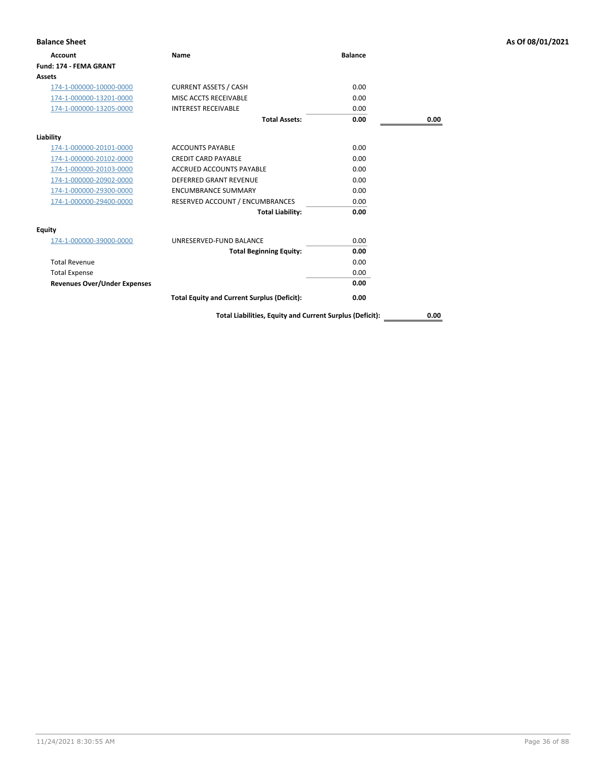| <b>Balance Sheet</b>                |                                                    |                |      | As Of 08/01/2021 |
|-------------------------------------|----------------------------------------------------|----------------|------|------------------|
| <b>Account</b>                      | Name                                               | <b>Balance</b> |      |                  |
| Fund: 174 - FEMA GRANT              |                                                    |                |      |                  |
| <b>Assets</b>                       |                                                    |                |      |                  |
| 174-1-000000-10000-0000             | <b>CURRENT ASSETS / CASH</b>                       | 0.00           |      |                  |
| 174-1-000000-13201-0000             | MISC ACCTS RECEIVABLE                              | 0.00           |      |                  |
| 174-1-000000-13205-0000             | <b>INTEREST RECEIVABLE</b>                         | 0.00           |      |                  |
|                                     | <b>Total Assets:</b>                               | 0.00           | 0.00 |                  |
| Liability                           |                                                    |                |      |                  |
| 174-1-000000-20101-0000             | <b>ACCOUNTS PAYABLE</b>                            | 0.00           |      |                  |
| 174-1-000000-20102-0000             | <b>CREDIT CARD PAYABLE</b>                         | 0.00           |      |                  |
| 174-1-000000-20103-0000             | <b>ACCRUED ACCOUNTS PAYABLE</b>                    | 0.00           |      |                  |
| 174-1-000000-20902-0000             | DEFERRED GRANT REVENUE                             | 0.00           |      |                  |
| 174-1-000000-29300-0000             | <b>ENCUMBRANCE SUMMARY</b>                         | 0.00           |      |                  |
| 174-1-000000-29400-0000             | RESERVED ACCOUNT / ENCUMBRANCES                    | 0.00           |      |                  |
|                                     | <b>Total Liability:</b>                            | 0.00           |      |                  |
| <b>Equity</b>                       |                                                    |                |      |                  |
| 174-1-000000-39000-0000             | UNRESERVED-FUND BALANCE                            | 0.00           |      |                  |
|                                     | <b>Total Beginning Equity:</b>                     | 0.00           |      |                  |
| <b>Total Revenue</b>                |                                                    | 0.00           |      |                  |
| <b>Total Expense</b>                |                                                    | 0.00           |      |                  |
| <b>Revenues Over/Under Expenses</b> |                                                    | 0.00           |      |                  |
|                                     | <b>Total Equity and Current Surplus (Deficit):</b> | 0.00           |      |                  |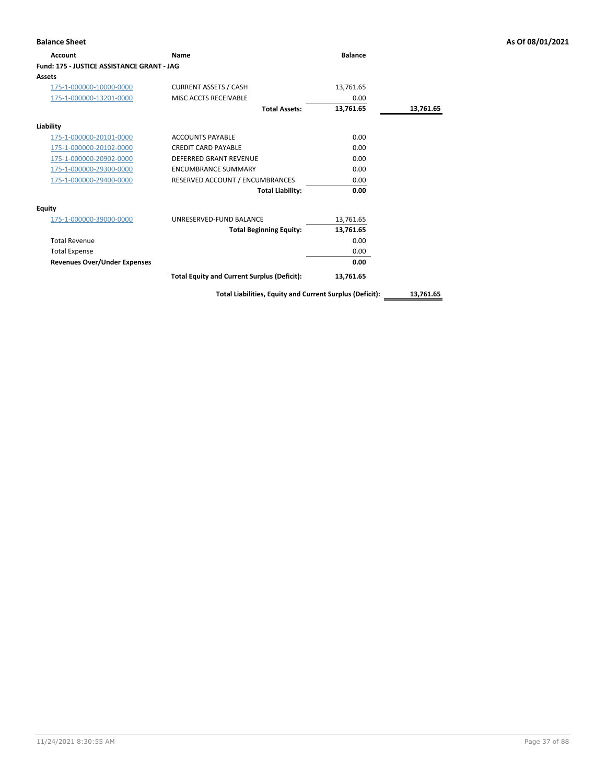| <b>Balance Sheet</b>                       |                                                    |                |           | As Of 08/01/2021 |
|--------------------------------------------|----------------------------------------------------|----------------|-----------|------------------|
| <b>Account</b>                             | Name                                               | <b>Balance</b> |           |                  |
| Fund: 175 - JUSTICE ASSISTANCE GRANT - JAG |                                                    |                |           |                  |
| <b>Assets</b>                              |                                                    |                |           |                  |
| 175-1-000000-10000-0000                    | <b>CURRENT ASSETS / CASH</b>                       | 13,761.65      |           |                  |
| 175-1-000000-13201-0000                    | MISC ACCTS RECEIVABLE                              | 0.00           |           |                  |
|                                            | <b>Total Assets:</b>                               | 13,761.65      | 13,761.65 |                  |
| Liability                                  |                                                    |                |           |                  |
| 175-1-000000-20101-0000                    | <b>ACCOUNTS PAYABLE</b>                            | 0.00           |           |                  |
| 175-1-000000-20102-0000                    | <b>CREDIT CARD PAYABLE</b>                         | 0.00           |           |                  |
| 175-1-000000-20902-0000                    | <b>DEFERRED GRANT REVENUE</b>                      | 0.00           |           |                  |
| 175-1-000000-29300-0000                    | <b>ENCUMBRANCE SUMMARY</b>                         | 0.00           |           |                  |
| 175-1-000000-29400-0000                    | RESERVED ACCOUNT / ENCUMBRANCES                    | 0.00           |           |                  |
|                                            | <b>Total Liability:</b>                            | 0.00           |           |                  |
| <b>Equity</b>                              |                                                    |                |           |                  |
| 175-1-000000-39000-0000                    | UNRESERVED-FUND BALANCE                            | 13,761.65      |           |                  |
|                                            | <b>Total Beginning Equity:</b>                     | 13,761.65      |           |                  |
| <b>Total Revenue</b>                       |                                                    | 0.00           |           |                  |
| <b>Total Expense</b>                       |                                                    | 0.00           |           |                  |
| <b>Revenues Over/Under Expenses</b>        |                                                    | 0.00           |           |                  |
|                                            | <b>Total Equity and Current Surplus (Deficit):</b> | 13,761.65      |           |                  |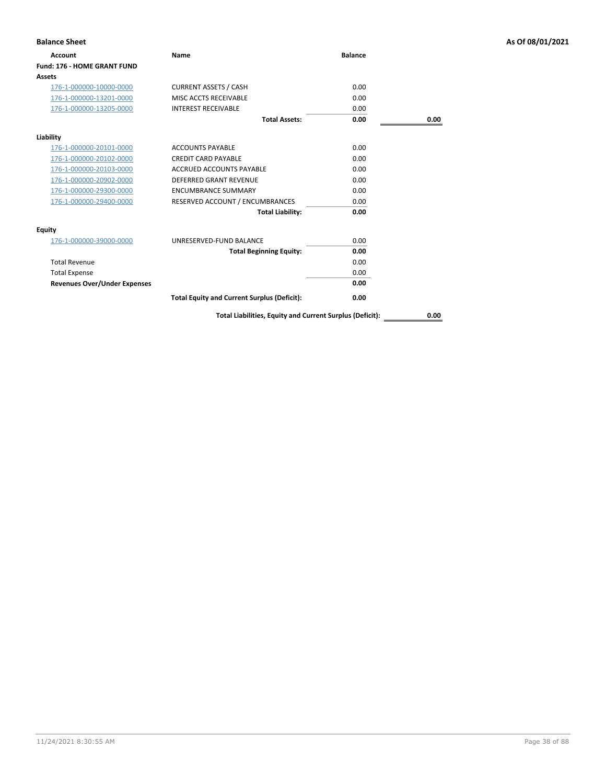| <b>Balance Sheet</b>                |                                                    |                |      | As Of 08/01/2021 |
|-------------------------------------|----------------------------------------------------|----------------|------|------------------|
| <b>Account</b>                      | Name                                               | <b>Balance</b> |      |                  |
| <b>Fund: 176 - HOME GRANT FUND</b>  |                                                    |                |      |                  |
| <b>Assets</b>                       |                                                    |                |      |                  |
| 176-1-000000-10000-0000             | <b>CURRENT ASSETS / CASH</b>                       | 0.00           |      |                  |
| 176-1-000000-13201-0000             | MISC ACCTS RECEIVABLE                              | 0.00           |      |                  |
| 176-1-000000-13205-0000             | <b>INTEREST RECEIVABLE</b>                         | 0.00           |      |                  |
|                                     | <b>Total Assets:</b>                               | 0.00           | 0.00 |                  |
| Liability                           |                                                    |                |      |                  |
| 176-1-000000-20101-0000             | <b>ACCOUNTS PAYABLE</b>                            | 0.00           |      |                  |
| 176-1-000000-20102-0000             | <b>CREDIT CARD PAYABLE</b>                         | 0.00           |      |                  |
| 176-1-000000-20103-0000             | ACCRUED ACCOUNTS PAYABLE                           | 0.00           |      |                  |
| 176-1-000000-20902-0000             | <b>DEFERRED GRANT REVENUE</b>                      | 0.00           |      |                  |
| 176-1-000000-29300-0000             | <b>ENCUMBRANCE SUMMARY</b>                         | 0.00           |      |                  |
| 176-1-000000-29400-0000             | RESERVED ACCOUNT / ENCUMBRANCES                    | 0.00           |      |                  |
|                                     | <b>Total Liability:</b>                            | 0.00           |      |                  |
| Equity                              |                                                    |                |      |                  |
| 176-1-000000-39000-0000             | UNRESERVED-FUND BALANCE                            | 0.00           |      |                  |
|                                     | <b>Total Beginning Equity:</b>                     | 0.00           |      |                  |
| <b>Total Revenue</b>                |                                                    | 0.00           |      |                  |
| <b>Total Expense</b>                |                                                    | 0.00           |      |                  |
| <b>Revenues Over/Under Expenses</b> |                                                    | 0.00           |      |                  |
|                                     | <b>Total Equity and Current Surplus (Deficit):</b> | 0.00           |      |                  |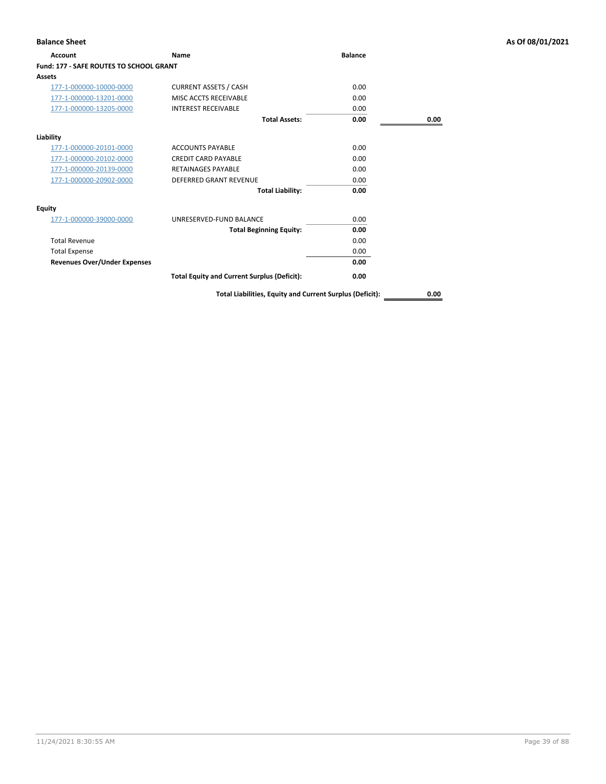| Account                                        | <b>Name</b>                                        | <b>Balance</b> |      |
|------------------------------------------------|----------------------------------------------------|----------------|------|
| <b>Fund: 177 - SAFE ROUTES TO SCHOOL GRANT</b> |                                                    |                |      |
| Assets                                         |                                                    |                |      |
| 177-1-000000-10000-0000                        | <b>CURRENT ASSETS / CASH</b>                       | 0.00           |      |
| 177-1-000000-13201-0000                        | MISC ACCTS RECEIVABLE                              | 0.00           |      |
| 177-1-000000-13205-0000                        | <b>INTEREST RECEIVABLE</b>                         | 0.00           |      |
|                                                | <b>Total Assets:</b>                               | 0.00           | 0.00 |
| Liability                                      |                                                    |                |      |
| 177-1-000000-20101-0000                        | <b>ACCOUNTS PAYABLE</b>                            | 0.00           |      |
| 177-1-000000-20102-0000                        | <b>CREDIT CARD PAYABLE</b>                         | 0.00           |      |
| 177-1-000000-20139-0000                        | <b>RETAINAGES PAYABLE</b>                          | 0.00           |      |
| 177-1-000000-20902-0000                        | <b>DEFERRED GRANT REVENUE</b>                      | 0.00           |      |
|                                                | <b>Total Liability:</b>                            | 0.00           |      |
| Equity                                         |                                                    |                |      |
| 177-1-000000-39000-0000                        | UNRESERVED-FUND BALANCE                            | 0.00           |      |
|                                                | <b>Total Beginning Equity:</b>                     | 0.00           |      |
| <b>Total Revenue</b>                           |                                                    | 0.00           |      |
| <b>Total Expense</b>                           |                                                    | 0.00           |      |
| <b>Revenues Over/Under Expenses</b>            |                                                    | 0.00           |      |
|                                                | <b>Total Equity and Current Surplus (Deficit):</b> | 0.00           |      |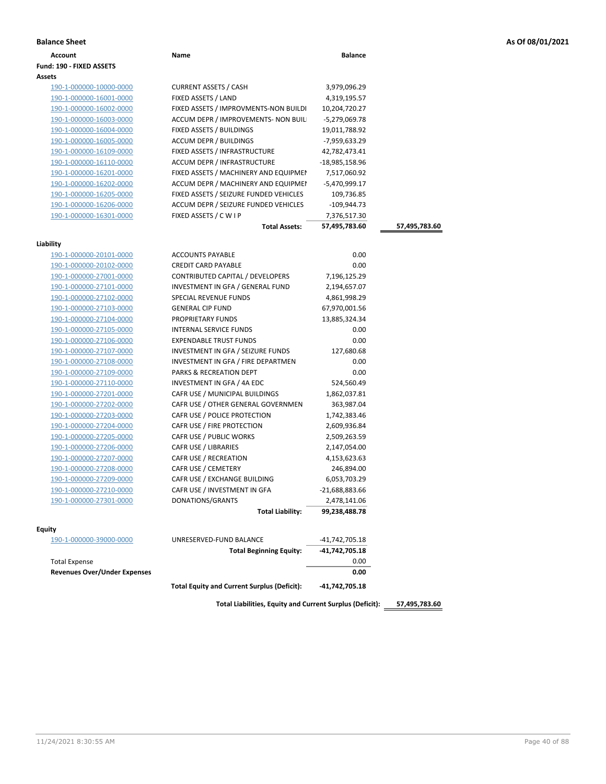|  |  |  |  | As Of 08/01/2021 |
|--|--|--|--|------------------|
|--|--|--|--|------------------|

| <b>Balance Sheet</b>                |                                                    |                |               | As Of 08/01/2021 |
|-------------------------------------|----------------------------------------------------|----------------|---------------|------------------|
| Account                             | Name                                               | <b>Balance</b> |               |                  |
| Fund: 190 - FIXED ASSETS            |                                                    |                |               |                  |
| Assets                              |                                                    |                |               |                  |
| 190-1-000000-10000-0000             | <b>CURRENT ASSETS / CASH</b>                       | 3,979,096.29   |               |                  |
| 190-1-000000-16001-0000             | FIXED ASSETS / LAND                                | 4,319,195.57   |               |                  |
| 190-1-000000-16002-0000             | FIXED ASSETS / IMPROVMENTS-NON BUILDI              | 10,204,720.27  |               |                  |
| 190-1-000000-16003-0000             | ACCUM DEPR / IMPROVEMENTS- NON BUIL                | -5,279,069.78  |               |                  |
| 190-1-000000-16004-0000             | FIXED ASSETS / BUILDINGS                           | 19,011,788.92  |               |                  |
| 190-1-000000-16005-0000             | ACCUM DEPR / BUILDINGS                             | -7,959,633.29  |               |                  |
| 190-1-000000-16109-0000             | FIXED ASSETS / INFRASTRUCTURE                      | 42,782,473.41  |               |                  |
| 190-1-000000-16110-0000             | ACCUM DEPR / INFRASTRUCTURE                        | -18,985,158.96 |               |                  |
| 190-1-000000-16201-0000             | FIXED ASSETS / MACHINERY AND EQUIPMEN              | 7,517,060.92   |               |                  |
| 190-1-000000-16202-0000             | ACCUM DEPR / MACHINERY AND EQUIPMEI                | -5,470,999.17  |               |                  |
| 190-1-000000-16205-0000             | FIXED ASSETS / SEIZURE FUNDED VEHICLES             | 109,736.85     |               |                  |
| 190-1-000000-16206-0000             | ACCUM DEPR / SEIZURE FUNDED VEHICLES               | $-109,944.73$  |               |                  |
| 190-1-000000-16301-0000             | FIXED ASSETS / C W I P                             | 7,376,517.30   |               |                  |
|                                     | <b>Total Assets:</b>                               | 57,495,783.60  | 57,495,783.60 |                  |
|                                     |                                                    |                |               |                  |
| Liability                           |                                                    |                |               |                  |
| 190-1-000000-20101-0000             | <b>ACCOUNTS PAYABLE</b>                            | 0.00           |               |                  |
| 190-1-000000-20102-0000             | <b>CREDIT CARD PAYABLE</b>                         | 0.00           |               |                  |
| 190-1-000000-27001-0000             | CONTRIBUTED CAPITAL / DEVELOPERS                   | 7,196,125.29   |               |                  |
| 190-1-000000-27101-0000             | INVESTMENT IN GFA / GENERAL FUND                   | 2,194,657.07   |               |                  |
| 190-1-000000-27102-0000             | SPECIAL REVENUE FUNDS                              | 4,861,998.29   |               |                  |
| 190-1-000000-27103-0000             | <b>GENERAL CIP FUND</b>                            | 67,970,001.56  |               |                  |
| 190-1-000000-27104-0000             | PROPRIETARY FUNDS                                  | 13,885,324.34  |               |                  |
| 190-1-000000-27105-0000             | <b>INTERNAL SERVICE FUNDS</b>                      | 0.00           |               |                  |
| 190-1-000000-27106-0000             | <b>EXPENDABLE TRUST FUNDS</b>                      | 0.00           |               |                  |
| 190-1-000000-27107-0000             | INVESTMENT IN GFA / SEIZURE FUNDS                  | 127,680.68     |               |                  |
| 190-1-000000-27108-0000             | INVESTMENT IN GFA / FIRE DEPARTMEN                 | 0.00           |               |                  |
| 190-1-000000-27109-0000             | PARKS & RECREATION DEPT                            | 0.00           |               |                  |
| 190-1-000000-27110-0000             | INVESTMENT IN GFA / 4A EDC                         | 524,560.49     |               |                  |
| 190-1-000000-27201-0000             | CAFR USE / MUNICIPAL BUILDINGS                     | 1,862,037.81   |               |                  |
| 190-1-000000-27202-0000             | CAFR USE / OTHER GENERAL GOVERNMEN                 | 363,987.04     |               |                  |
| 190-1-000000-27203-0000             | CAFR USE / POLICE PROTECTION                       | 1,742,383.46   |               |                  |
| 190-1-000000-27204-0000             | CAFR USE / FIRE PROTECTION                         | 2,609,936.84   |               |                  |
| 190-1-000000-27205-0000             | CAFR USE / PUBLIC WORKS                            | 2,509,263.59   |               |                  |
| 190-1-000000-27206-0000             | CAFR USE / LIBRARIES                               | 2,147,054.00   |               |                  |
| 190-1-000000-27207-0000             | CAFR USE / RECREATION                              | 4,153,623.63   |               |                  |
| 190-1-000000-27208-0000             | CAFR USE / CEMETERY                                | 246,894.00     |               |                  |
| 190-1-000000-27209-0000             | CAFR USE / EXCHANGE BUILDING                       | 6,053,703.29   |               |                  |
| 190-1-000000-27210-0000             | CAFR USE / INVESTMENT IN GFA                       | -21,688,883.66 |               |                  |
| 190-1-000000-27301-0000             | DONATIONS/GRANTS                                   | 2,478,141.06   |               |                  |
|                                     | <b>Total Liability:</b>                            | 99,238,488.78  |               |                  |
| Equity                              |                                                    |                |               |                  |
| 190-1-000000-39000-0000             | UNRESERVED-FUND BALANCE                            | -41,742,705.18 |               |                  |
|                                     | <b>Total Beginning Equity:</b>                     | -41,742,705.18 |               |                  |
| <b>Total Expense</b>                |                                                    | 0.00           |               |                  |
| <b>Revenues Over/Under Expenses</b> |                                                    | 0.00           |               |                  |
|                                     | <b>Total Equity and Current Surplus (Deficit):</b> | -41,742,705.18 |               |                  |
|                                     |                                                    |                |               |                  |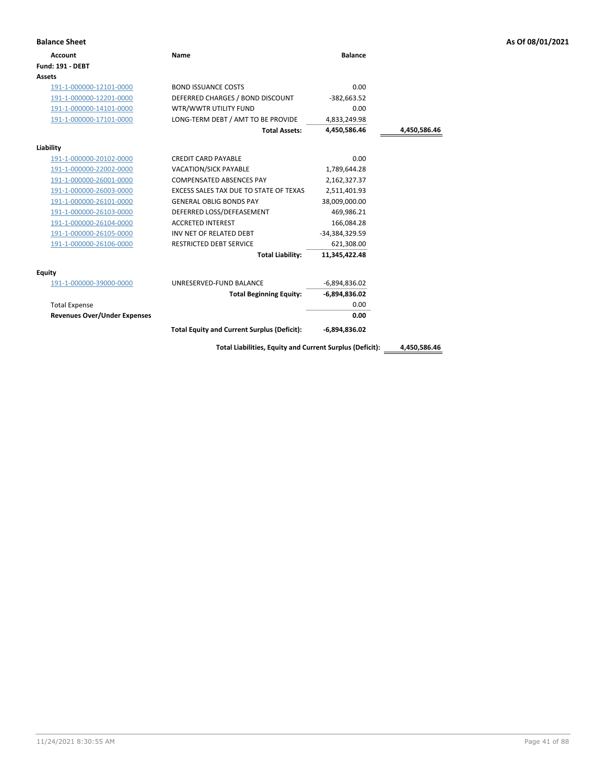| <b>Balance Sheet</b>                |                                                          |                 |              | As Of 08/01/2021 |
|-------------------------------------|----------------------------------------------------------|-----------------|--------------|------------------|
| <b>Account</b>                      | <b>Name</b>                                              | <b>Balance</b>  |              |                  |
| <b>Fund: 191 - DEBT</b>             |                                                          |                 |              |                  |
| Assets                              |                                                          |                 |              |                  |
| 191-1-000000-12101-0000             | <b>BOND ISSUANCE COSTS</b>                               | 0.00            |              |                  |
| 191-1-000000-12201-0000             | DEFERRED CHARGES / BOND DISCOUNT                         | $-382,663.52$   |              |                  |
| 191-1-000000-14101-0000             | WTR/WWTR UTILITY FUND                                    | 0.00            |              |                  |
| 191-1-000000-17101-0000             | LONG-TERM DEBT / AMT TO BE PROVIDE                       | 4,833,249.98    |              |                  |
|                                     | <b>Total Assets:</b>                                     | 4,450,586.46    | 4,450,586.46 |                  |
| Liability                           |                                                          |                 |              |                  |
| 191-1-000000-20102-0000             | <b>CREDIT CARD PAYABLE</b>                               | 0.00            |              |                  |
| 191-1-000000-22002-0000             | VACATION/SICK PAYABLE                                    | 1,789,644.28    |              |                  |
| 191-1-000000-26001-0000             | COMPENSATED ABSENCES PAY                                 | 2,162,327.37    |              |                  |
| 191-1-000000-26003-0000             | EXCESS SALES TAX DUE TO STATE OF TEXAS                   | 2,511,401.93    |              |                  |
| 191-1-000000-26101-0000             | <b>GENERAL OBLIG BONDS PAY</b>                           | 38,009,000.00   |              |                  |
| 191-1-000000-26103-0000             | DEFERRED LOSS/DEFEASEMENT                                | 469,986.21      |              |                  |
| 191-1-000000-26104-0000             | <b>ACCRETED INTEREST</b>                                 | 166,084.28      |              |                  |
| 191-1-000000-26105-0000             | INV NET OF RELATED DEBT                                  | -34,384,329.59  |              |                  |
| 191-1-000000-26106-0000             | <b>RESTRICTED DEBT SERVICE</b>                           | 621,308.00      |              |                  |
|                                     | <b>Total Liability:</b>                                  | 11,345,422.48   |              |                  |
| <b>Equity</b>                       |                                                          |                 |              |                  |
| 191-1-000000-39000-0000             | UNRESERVED-FUND BALANCE                                  | $-6,894,836.02$ |              |                  |
|                                     | <b>Total Beginning Equity:</b>                           | $-6,894,836.02$ |              |                  |
| <b>Total Expense</b>                |                                                          | 0.00            |              |                  |
| <b>Revenues Over/Under Expenses</b> |                                                          | 0.00            |              |                  |
|                                     | <b>Total Equity and Current Surplus (Deficit):</b>       | $-6,894,836.02$ |              |                  |
|                                     | Total Liabilities, Equity and Current Surplus (Deficit): |                 | 4,450,586.46 |                  |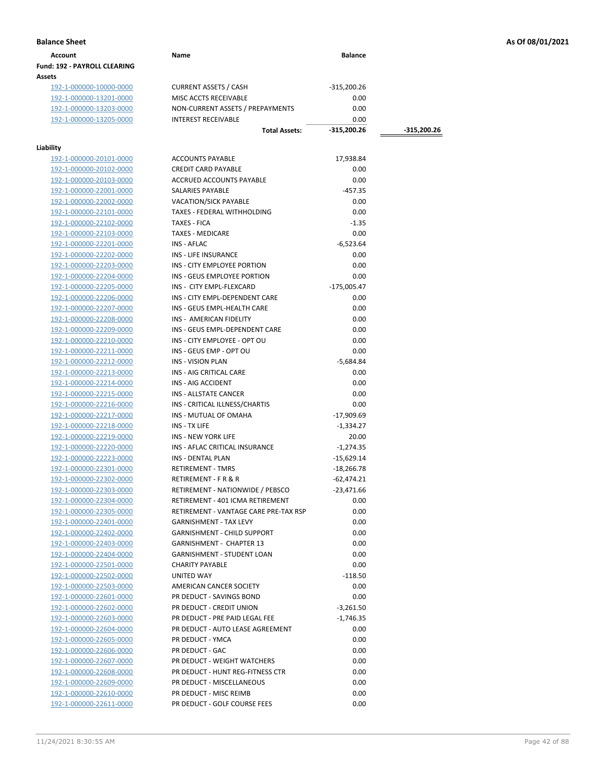| Account                             | Name | <b>Balance</b> |
|-------------------------------------|------|----------------|
| <b>Fund: 192 - PAYROLL CLEARING</b> |      |                |
| <b>Assets</b>                       |      |                |

192-1-000000-10000-0000 CURRENT ASSETS / CASH -315,200.26<br>192-1-000000-13201-0000 MISC ACCTS RECEIVABLE 0.00 192-1-000000-13201-0000 MISC ACCTS RECEIVABLE 0.00 192-1-000000-13203-0000 NON-CURRENT ASSETS / PREPAYMENTS 0.00 192-1-000000-13205-0000 INTEREST RECEIVABLE 0.00

## **Liability**

| lity                    |                                       |               |
|-------------------------|---------------------------------------|---------------|
| 192-1-000000-20101-0000 | <b>ACCOUNTS PAYABLE</b>               | 17,938.84     |
| 192-1-000000-20102-0000 | <b>CREDIT CARD PAYABLE</b>            | 0.00          |
| 192-1-000000-20103-0000 | ACCRUED ACCOUNTS PAYABLE              | 0.00          |
| 192-1-000000-22001-0000 | SALARIES PAYABLE                      | $-457.35$     |
| 192-1-000000-22002-0000 | VACATION/SICK PAYABLE                 | 0.00          |
| 192-1-000000-22101-0000 | TAXES - FEDERAL WITHHOLDING           | 0.00          |
| 192-1-000000-22102-0000 | <b>TAXES - FICA</b>                   | $-1.35$       |
| 192-1-000000-22103-0000 | <b>TAXES - MEDICARE</b>               | 0.00          |
| 192-1-000000-22201-0000 | <b>INS - AFLAC</b>                    | $-6,523.64$   |
| 192-1-000000-22202-0000 | <b>INS - LIFE INSURANCE</b>           | 0.00          |
| 192-1-000000-22203-0000 | INS - CITY EMPLOYEE PORTION           | 0.00          |
| 192-1-000000-22204-0000 | INS - GEUS EMPLOYEE PORTION           | 0.00          |
| 192-1-000000-22205-0000 | INS - CITY EMPL-FLEXCARD              | $-175,005.47$ |
| 192-1-000000-22206-0000 | INS - CITY EMPL-DEPENDENT CARE        | 0.00          |
| 192-1-000000-22207-0000 | INS - GEUS EMPL-HEALTH CARE           | 0.00          |
| 192-1-000000-22208-0000 | INS - AMERICAN FIDELITY               | 0.00          |
| 192-1-000000-22209-0000 | INS - GEUS EMPL-DEPENDENT CARE        | 0.00          |
| 192-1-000000-22210-0000 | INS - CITY EMPLOYEE - OPT OU          | 0.00          |
| 192-1-000000-22211-0000 | INS - GEUS EMP - OPT OU               | 0.00          |
| 192-1-000000-22212-0000 | <b>INS - VISION PLAN</b>              | $-5,684.84$   |
| 192-1-000000-22213-0000 | INS - AIG CRITICAL CARE               | 0.00          |
| 192-1-000000-22214-0000 | INS - AIG ACCIDENT                    | 0.00          |
| 192-1-000000-22215-0000 | INS - ALLSTATE CANCER                 | 0.00          |
| 192-1-000000-22216-0000 | INS - CRITICAL ILLNESS/CHARTIS        | 0.00          |
| 192-1-000000-22217-0000 | INS - MUTUAL OF OMAHA                 | $-17,909.69$  |
| 192-1-000000-22218-0000 | INS - TX LIFE                         | $-1,334.27$   |
| 192-1-000000-22219-0000 | <b>INS - NEW YORK LIFE</b>            | 20.00         |
| 192-1-000000-22220-0000 | INS - AFLAC CRITICAL INSURANCE        | $-1,274.35$   |
| 192-1-000000-22223-0000 | <b>INS - DENTAL PLAN</b>              | $-15,629.14$  |
| 192-1-000000-22301-0000 | <b>RETIREMENT - TMRS</b>              | $-18,266.78$  |
| 192-1-000000-22302-0000 | <b>RETIREMENT - F R &amp; R</b>       | $-62,474.21$  |
| 192-1-000000-22303-0000 | RETIREMENT - NATIONWIDE / PEBSCO      | $-23,471.66$  |
| 192-1-000000-22304-0000 | RETIREMENT - 401 ICMA RETIREMENT      | 0.00          |
| 192-1-000000-22305-0000 | RETIREMENT - VANTAGE CARE PRE-TAX RSP | 0.00          |
|                         | <b>GARNISHMENT - TAX LEVY</b>         | 0.00          |
| 192-1-000000-22401-0000 | <b>GARNISHMENT - CHILD SUPPORT</b>    | 0.00          |
| 192-1-000000-22402-0000 |                                       |               |
| 192-1-000000-22403-0000 | <b>GARNISHMENT - CHAPTER 13</b>       | 0.00          |
| 192-1-000000-22404-0000 | <b>GARNISHMENT - STUDENT LOAN</b>     | 0.00          |
| 192-1-000000-22501-0000 | <b>CHARITY PAYABLE</b>                | 0.00          |
| 192-1-000000-22502-0000 | <b>UNITED WAY</b>                     | $-118.50$     |
| 192-1-000000-22503-0000 | AMERICAN CANCER SOCIETY               | 0.00          |
| 192-1-000000-22601-0000 | PR DEDUCT - SAVINGS BOND              | 0.00          |
| 192-1-000000-22602-0000 | PR DEDUCT - CREDIT UNION              | $-3,261.50$   |
| 192-1-000000-22603-0000 | PR DEDUCT - PRE PAID LEGAL FEE        | $-1,746.35$   |
| 192-1-000000-22604-0000 | PR DEDUCT - AUTO LEASE AGREEMENT      | 0.00          |
| 192-1-000000-22605-0000 | PR DEDUCT - YMCA                      | 0.00          |
| 192-1-000000-22606-0000 | PR DEDUCT - GAC                       | 0.00          |
| 192-1-000000-22607-0000 | PR DEDUCT - WEIGHT WATCHERS           | 0.00          |
| 192-1-000000-22608-0000 | PR DEDUCT - HUNT REG-FITNESS CTR      | 0.00          |
| 192-1-000000-22609-0000 | PR DEDUCT - MISCELLANEOUS             | 0.00          |
| 192-1-000000-22610-0000 | PR DEDUCT - MISC REIMB                | 0.00          |
| 192-1-000000-22611-0000 | PR DEDUCT - GOLF COURSE FEES          | 0.00          |

**Total Assets: -315,200.26 -315,200.26**

**Balance Sheet As Of 08/01/2021**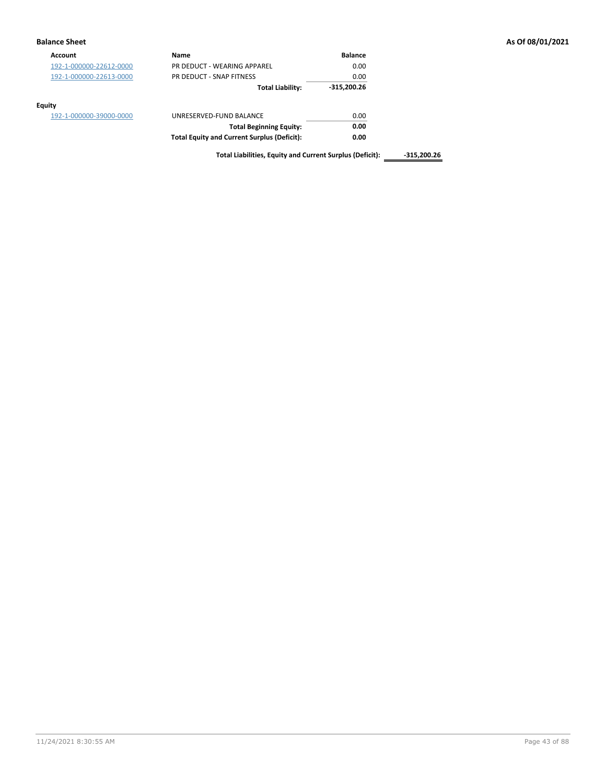| <b>Balance Sheet</b>    |                                                          |                |               | As Of 08/01/2021 |
|-------------------------|----------------------------------------------------------|----------------|---------------|------------------|
| <b>Account</b>          | Name                                                     | <b>Balance</b> |               |                  |
| 192-1-000000-22612-0000 | PR DEDUCT - WEARING APPAREL                              | 0.00           |               |                  |
| 192-1-000000-22613-0000 | PR DEDUCT - SNAP FITNESS                                 | 0.00           |               |                  |
|                         | <b>Total Liability:</b>                                  | $-315,200.26$  |               |                  |
| Equity                  |                                                          |                |               |                  |
| 192-1-000000-39000-0000 | UNRESERVED-FUND BALANCE                                  | 0.00           |               |                  |
|                         | <b>Total Beginning Equity:</b>                           | 0.00           |               |                  |
|                         | <b>Total Equity and Current Surplus (Deficit):</b>       | 0.00           |               |                  |
|                         | Total Liabilities, Equity and Current Surplus (Deficit): |                | $-315,200.26$ |                  |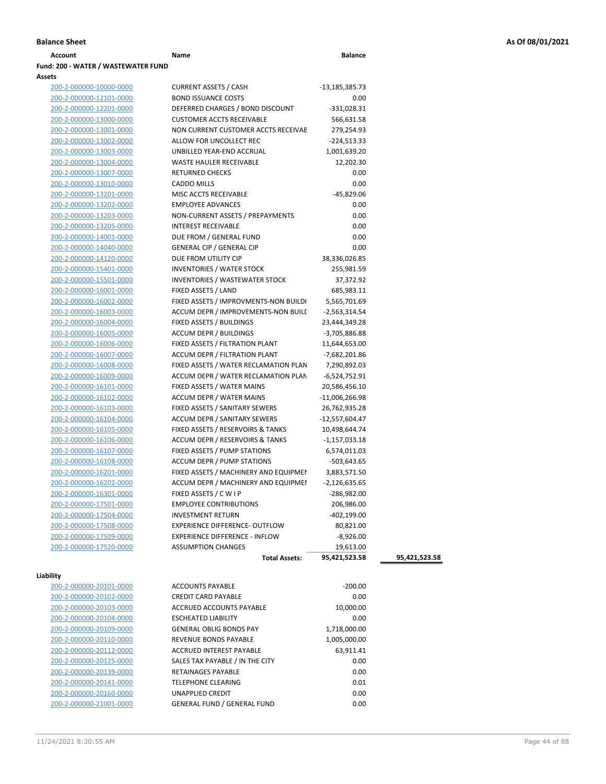| Account                             | Name | <b>Balance</b> |
|-------------------------------------|------|----------------|
| Fund: 200 - WATER / WASTEWATER FUND |      |                |
| $A - - - - -$                       |      |                |

| Assets                  |                                       |                 |               |
|-------------------------|---------------------------------------|-----------------|---------------|
| 200-2-000000-10000-0000 | <b>CURRENT ASSETS / CASH</b>          | -13,185,385.73  |               |
| 200-2-000000-12101-0000 | <b>BOND ISSUANCE COSTS</b>            | 0.00            |               |
| 200-2-000000-12201-0000 | DEFERRED CHARGES / BOND DISCOUNT      | $-331,028.31$   |               |
| 200-2-000000-13000-0000 | <b>CUSTOMER ACCTS RECEIVABLE</b>      | 566,631.58      |               |
| 200-2-000000-13001-0000 | NON CURRENT CUSTOMER ACCTS RECEIVAE   | 279,254.93      |               |
| 200-2-000000-13002-0000 | ALLOW FOR UNCOLLECT REC               | $-224,513.33$   |               |
| 200-2-000000-13003-0000 | UNBILLED YEAR-END ACCRUAL             | 1,001,639.20    |               |
| 200-2-000000-13004-0000 | <b>WASTE HAULER RECEIVABLE</b>        | 12,202.30       |               |
| 200-2-000000-13007-0000 | <b>RETURNED CHECKS</b>                | 0.00            |               |
| 200-2-000000-13010-0000 | CADDO MILLS                           | 0.00            |               |
| 200-2-000000-13201-0000 | MISC ACCTS RECEIVABLE                 | $-45,829.06$    |               |
| 200-2-000000-13202-0000 | <b>EMPLOYEE ADVANCES</b>              | 0.00            |               |
| 200-2-000000-13203-0000 | NON-CURRENT ASSETS / PREPAYMENTS      | 0.00            |               |
| 200-2-000000-13205-0000 | <b>INTEREST RECEIVABLE</b>            | 0.00            |               |
| 200-2-000000-14001-0000 | DUE FROM / GENERAL FUND               | 0.00            |               |
| 200-2-000000-14040-0000 | <b>GENERAL CIP / GENERAL CIP</b>      | 0.00            |               |
| 200-2-000000-14120-0000 | DUE FROM UTILITY CIP                  | 38,336,026.85   |               |
| 200-2-000000-15401-0000 | <b>INVENTORIES / WATER STOCK</b>      | 255,981.59      |               |
| 200-2-000000-15501-0000 | <b>INVENTORIES / WASTEWATER STOCK</b> | 37,372.92       |               |
| 200-2-000000-16001-0000 | FIXED ASSETS / LAND                   | 685,983.11      |               |
| 200-2-000000-16002-0000 | FIXED ASSETS / IMPROVMENTS-NON BUILDI | 5,565,701.69    |               |
| 200-2-000000-16003-0000 | ACCUM DEPR / IMPROVEMENTS-NON BUILI   | $-2,563,314.54$ |               |
| 200-2-000000-16004-0000 | FIXED ASSETS / BUILDINGS              | 23,444,349.28   |               |
| 200-2-000000-16005-0000 | <b>ACCUM DEPR / BUILDINGS</b>         | -3,705,886.88   |               |
| 200-2-000000-16006-0000 | FIXED ASSETS / FILTRATION PLANT       | 11,644,653.00   |               |
| 200-2-000000-16007-0000 | ACCUM DEPR / FILTRATION PLANT         | -7,682,201.86   |               |
| 200-2-000000-16008-0000 | FIXED ASSETS / WATER RECLAMATION PLAN | 7,290,892.03    |               |
| 200-2-000000-16009-0000 | ACCUM DEPR / WATER RECLAMATION PLAN   | $-6,524,752.91$ |               |
| 200-2-000000-16101-0000 | FIXED ASSETS / WATER MAINS            | 20,586,456.10   |               |
| 200-2-000000-16102-0000 | ACCUM DEPR / WATER MAINS              | -11,006,266.98  |               |
| 200-2-000000-16103-0000 | FIXED ASSETS / SANITARY SEWERS        | 26,762,935.28   |               |
| 200-2-000000-16104-0000 | ACCUM DEPR / SANITARY SEWERS          | -12,557,604.47  |               |
| 200-2-000000-16105-0000 | FIXED ASSETS / RESERVOIRS & TANKS     | 10,498,644.74   |               |
| 200-2-000000-16106-0000 | ACCUM DEPR / RESERVOIRS & TANKS       | $-1,157,033.18$ |               |
| 200-2-000000-16107-0000 | FIXED ASSETS / PUMP STATIONS          | 6,574,011.03    |               |
| 200-2-000000-16108-0000 | ACCUM DEPR / PUMP STATIONS            | $-503,643.65$   |               |
| 200-2-000000-16201-0000 | FIXED ASSETS / MACHINERY AND EQUIPMEN | 3,883,571.50    |               |
| 200-2-000000-16202-0000 | ACCUM DEPR / MACHINERY AND EQUIPMEI   | $-2,126,635.65$ |               |
| 200-2-000000-16301-0000 | FIXED ASSETS / C W I P                | $-286,982.00$   |               |
| 200-2-000000-17501-0000 | <b>EMPLOYEE CONTRIBUTIONS</b>         | 206,986.00      |               |
| 200-2-000000-17504-0000 | <b>INVESTMENT RETURN</b>              | -402,199.00     |               |
| 200-2-000000-17508-0000 | EXPERIENCE DIFFERENCE- OUTFLOW        | 80,821.00       |               |
| 200-2-000000-17509-0000 | <b>EXPERIENCE DIFFERENCE - INFLOW</b> | $-8,926.00$     |               |
| 200-2-000000-17520-0000 | <b>ASSUMPTION CHANGES</b>             | 19,613.00       |               |
|                         | <b>Total Assets:</b>                  | 95,421,523.58   | 95,421,523.58 |
|                         |                                       |                 |               |
| Liability               |                                       |                 |               |
| 200-2-000000-20101-0000 | <b>ACCOUNTS PAYABLE</b>               | $-200.00$       |               |
| 200-2-000000-20102-0000 | <b>CREDIT CARD PAYABLE</b>            | 0.00            |               |
| 200-2-000000-20103-0000 | <b>ACCRUED ACCOUNTS PAYABLE</b>       | 10,000.00       |               |
| 200-2-000000-20104-0000 | <b>ESCHEATED LIABILITY</b>            | 0.00            |               |

| <b>ACCOUNTS PAYABLE</b>            | $-200.00$    |  |
|------------------------------------|--------------|--|
| <b>CREDIT CARD PAYABLE</b>         | 0.00         |  |
| ACCRUED ACCOUNTS PAYABLE           | 10,000.00    |  |
| <b>ESCHEATED LIABILITY</b>         | 0.00         |  |
| <b>GENERAL OBLIG BONDS PAY</b>     | 1,718,000.00 |  |
| <b>REVENUE BONDS PAYABLE</b>       | 1,005,000.00 |  |
| <b>ACCRUED INTEREST PAYABLE</b>    | 63.911.41    |  |
| SALES TAX PAYABLE / IN THE CITY    | 0.00         |  |
| <b>RETAINAGES PAYABLE</b>          | 0.00         |  |
| <b>TELEPHONE CLEARING</b>          | 0.01         |  |
| <b>UNAPPLIED CREDIT</b>            | 0.00         |  |
| <b>GENERAL FUND / GENERAL FUND</b> | 0.00         |  |

200-2-000000-20109-0000 200-2-000000-20110-0000 200-2-000000-20112-0000 200-2-000000-20125-0000 200-2-000000-20139-0000 200-2-000000-20141-0000 200-2-000000-20160-0000 200-2-000000-21001-0000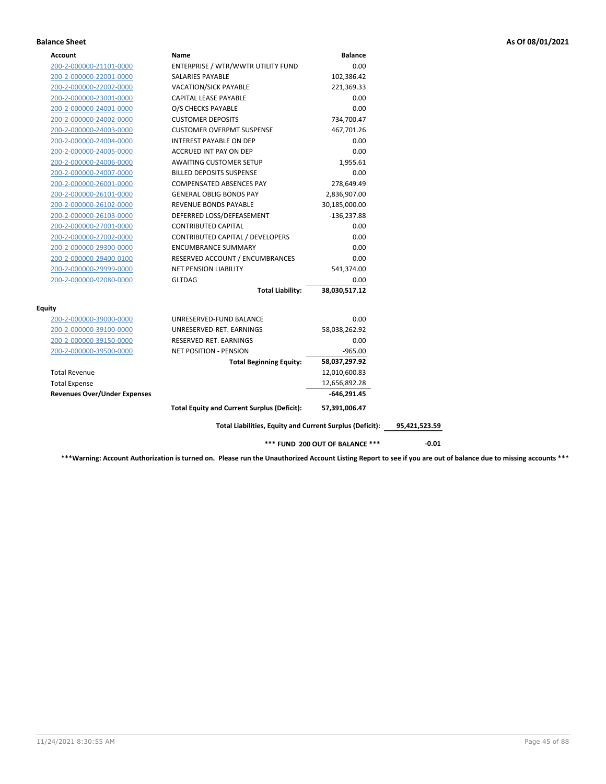### **Balance Sheet As Of 08/01/2021**

| <b>Balance</b><br>Account<br>Name                                         |
|---------------------------------------------------------------------------|
| ENTERPRISE / WTR/WWTR UTILITY FUND<br>0.00<br>200-2-000000-21101-0000     |
| 200-2-000000-22001-0000<br>SALARIES PAYABLE<br>102,386.42                 |
| 200-2-000000-22002-0000<br><b>VACATION/SICK PAYABLE</b><br>221,369.33     |
| 200-2-000000-23001-0000<br>CAPITAL LEASE PAYABLE<br>0.00                  |
| 0.00<br>200-2-000000-24001-0000<br>O/S CHECKS PAYABLE                     |
| 200-2-000000-24002-0000<br><b>CUSTOMER DEPOSITS</b><br>734,700.47         |
| 200-2-000000-24003-0000<br><b>CUSTOMER OVERPMT SUSPENSE</b><br>467,701.26 |
| 200-2-000000-24004-0000<br><b>INTEREST PAYABLE ON DEP</b><br>0.00         |
| 200-2-000000-24005-0000<br>ACCRUED INT PAY ON DEP<br>0.00                 |
| 200-2-000000-24006-0000<br><b>AWAITING CUSTOMER SETUP</b><br>1,955.61     |
| 200-2-000000-24007-0000<br><b>BILLED DEPOSITS SUSPENSE</b><br>0.00        |
| COMPENSATED ABSENCES PAY<br>200-2-000000-26001-0000<br>278,649.49         |
| <b>GENERAL OBLIG BONDS PAY</b><br>200-2-000000-26101-0000<br>2,836,907.00 |
| REVENUE BONDS PAYABLE<br>200-2-000000-26102-0000<br>30,185,000.00         |
| DEFERRED LOSS/DEFEASEMENT<br>200-2-000000-26103-0000<br>$-136,237.88$     |
| 200-2-000000-27001-0000<br><b>CONTRIBUTED CAPITAL</b><br>0.00             |
| CONTRIBUTED CAPITAL / DEVELOPERS<br>0.00<br>200-2-000000-27002-0000       |
| <b>ENCUMBRANCE SUMMARY</b><br>0.00<br>200-2-000000-29300-0000             |
| RESERVED ACCOUNT / ENCUMBRANCES<br>0.00<br>200-2-000000-29400-0100        |
| <b>NET PENSION LIABILITY</b><br>541,374.00<br>200-2-000000-29999-0000     |
| <b>GLTDAG</b><br>200-2-000000-92080-0000<br>0.00                          |
| <b>Total Liability:</b><br>38,030,517.12                                  |
|                                                                           |
| 0.00<br>UNRESERVED-FUND BALANCE<br>200-2-000000-39000-0000                |
| UNRESERVED-RET. EARNINGS<br>58,038,262.92<br>200-2-000000-39100-0000      |
| 0.00<br>RESERVED-RET. EARNINGS<br>200-2-000000-39150-0000                 |
| <b>NET POSITION - PENSION</b><br>$-965.00$<br>200-2-000000-39500-0000     |
| 58,037,297.92<br><b>Total Beginning Equity:</b>                           |
| <b>Total Revenue</b><br>12,010,600.83                                     |
| <b>Total Expense</b><br>12,656,892.28                                     |
| <b>Revenues Over/Under Expenses</b><br>$-646,291.45$                      |
| <b>Total Equity and Current Surplus (Deficit):</b><br>57,391,006.47       |
| Total Liabilities, Equity and Current Surplus (Deficit):<br>95,421,523.59 |
| *** FUND 200 OUT OF BALANCE ***                                           |

**\*\*\*Warning: Account Authorization is turned on. Please run the Unauthorized Account Listing Report to see if you are out of balance due to missing accounts \*\*\***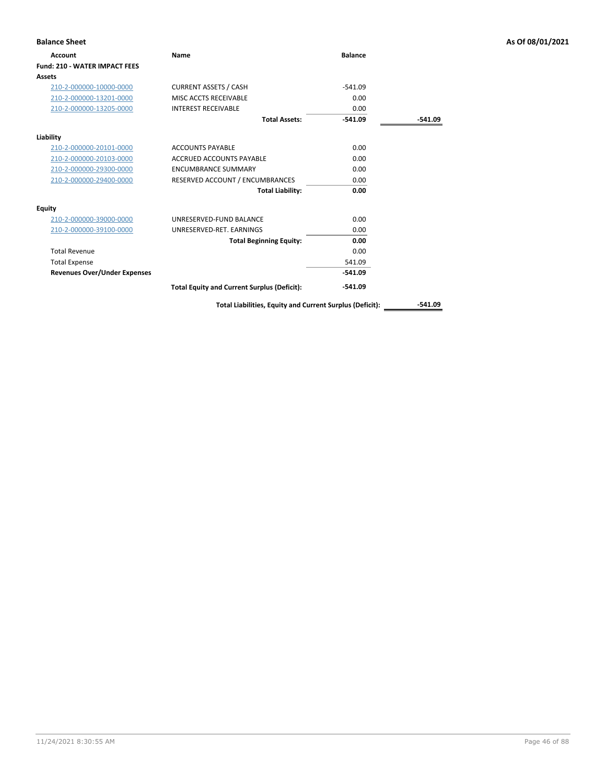| <b>Balance Sheet</b>                 |                                                    |                |           | As Of 08/01/2021 |
|--------------------------------------|----------------------------------------------------|----------------|-----------|------------------|
| <b>Account</b>                       | Name                                               | <b>Balance</b> |           |                  |
| <b>Fund: 210 - WATER IMPACT FEES</b> |                                                    |                |           |                  |
| Assets                               |                                                    |                |           |                  |
| 210-2-000000-10000-0000              | <b>CURRENT ASSETS / CASH</b>                       | $-541.09$      |           |                  |
| 210-2-000000-13201-0000              | MISC ACCTS RECEIVABLE                              | 0.00           |           |                  |
| 210-2-000000-13205-0000              | <b>INTEREST RECEIVABLE</b>                         | 0.00           |           |                  |
|                                      | <b>Total Assets:</b>                               | $-541.09$      | $-541.09$ |                  |
| Liability                            |                                                    |                |           |                  |
| 210-2-000000-20101-0000              | <b>ACCOUNTS PAYABLE</b>                            | 0.00           |           |                  |
| 210-2-000000-20103-0000              | <b>ACCRUED ACCOUNTS PAYABLE</b>                    | 0.00           |           |                  |
| 210-2-000000-29300-0000              | <b>ENCUMBRANCE SUMMARY</b>                         | 0.00           |           |                  |
| 210-2-000000-29400-0000              | RESERVED ACCOUNT / ENCUMBRANCES                    | 0.00           |           |                  |
|                                      | <b>Total Liability:</b>                            | 0.00           |           |                  |
| <b>Equity</b>                        |                                                    |                |           |                  |
| 210-2-000000-39000-0000              | UNRESERVED-FUND BALANCE                            | 0.00           |           |                  |
| 210-2-000000-39100-0000              | UNRESERVED-RET. EARNINGS                           | 0.00           |           |                  |
|                                      | <b>Total Beginning Equity:</b>                     | 0.00           |           |                  |
| <b>Total Revenue</b>                 |                                                    | 0.00           |           |                  |
| <b>Total Expense</b>                 |                                                    | 541.09         |           |                  |
| <b>Revenues Over/Under Expenses</b>  |                                                    | $-541.09$      |           |                  |
|                                      | <b>Total Equity and Current Surplus (Deficit):</b> | $-541.09$      |           |                  |

Total Liabilities, Equity and Current Surplus (Deficit): \_\_\_\_\_\_\_\_\_\_-541.09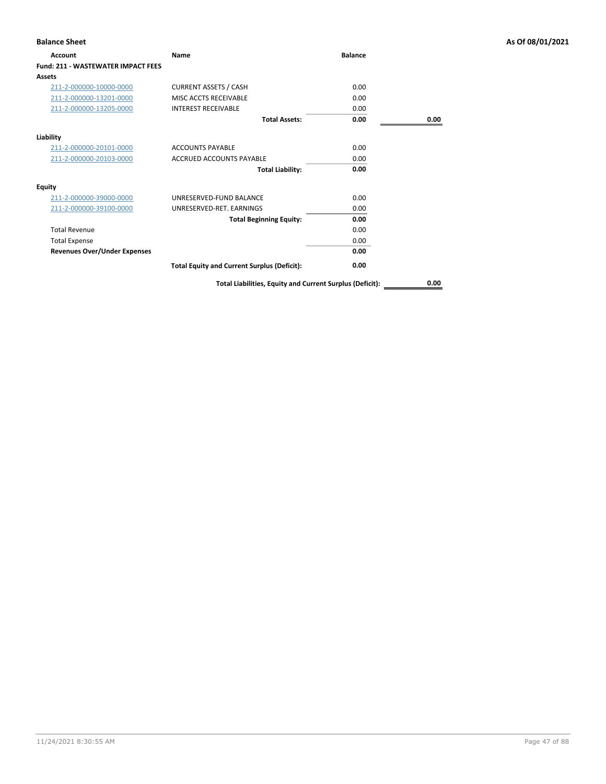| <b>Balance Sheet</b>                      |                                                          |                |      | As Of 08/01/2021 |
|-------------------------------------------|----------------------------------------------------------|----------------|------|------------------|
| Account                                   | Name                                                     | <b>Balance</b> |      |                  |
| <b>Fund: 211 - WASTEWATER IMPACT FEES</b> |                                                          |                |      |                  |
| Assets                                    |                                                          |                |      |                  |
| 211-2-000000-10000-0000                   | <b>CURRENT ASSETS / CASH</b>                             | 0.00           |      |                  |
| 211-2-000000-13201-0000                   | MISC ACCTS RECEIVABLE                                    | 0.00           |      |                  |
| 211-2-000000-13205-0000                   | <b>INTEREST RECEIVABLE</b>                               | 0.00           |      |                  |
|                                           | <b>Total Assets:</b>                                     | 0.00           | 0.00 |                  |
| Liability                                 |                                                          |                |      |                  |
| 211-2-000000-20101-0000                   | <b>ACCOUNTS PAYABLE</b>                                  | 0.00           |      |                  |
| 211-2-000000-20103-0000                   | <b>ACCRUED ACCOUNTS PAYABLE</b>                          | 0.00           |      |                  |
|                                           | <b>Total Liability:</b>                                  | 0.00           |      |                  |
| <b>Equity</b>                             |                                                          |                |      |                  |
| 211-2-000000-39000-0000                   | UNRESERVED-FUND BALANCE                                  | 0.00           |      |                  |
| 211-2-000000-39100-0000                   | UNRESERVED-RET. EARNINGS                                 | 0.00           |      |                  |
|                                           | <b>Total Beginning Equity:</b>                           | 0.00           |      |                  |
| <b>Total Revenue</b>                      |                                                          | 0.00           |      |                  |
| <b>Total Expense</b>                      |                                                          | 0.00           |      |                  |
| <b>Revenues Over/Under Expenses</b>       |                                                          | 0.00           |      |                  |
|                                           | <b>Total Equity and Current Surplus (Deficit):</b>       | 0.00           |      |                  |
|                                           | Total Liabilities, Equity and Current Surplus (Deficit): |                | 0.00 |                  |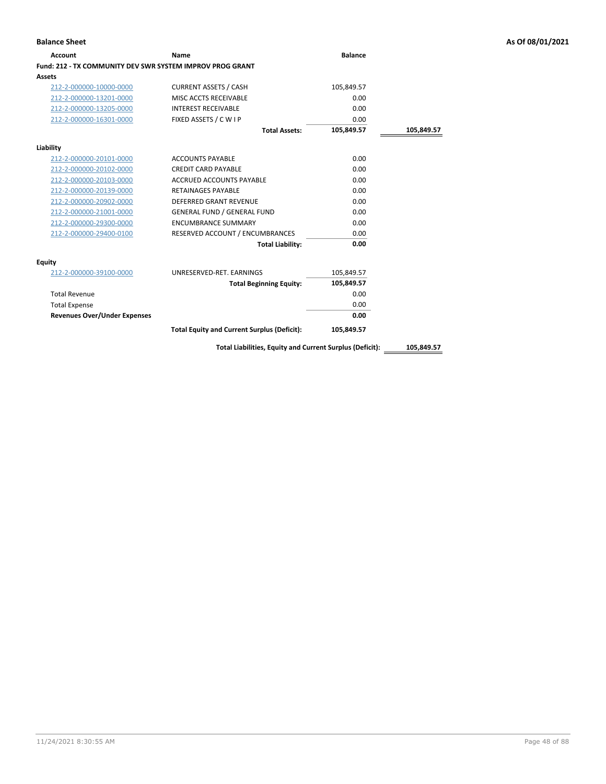| Account                                                   | Name                                                     | <b>Balance</b> |            |
|-----------------------------------------------------------|----------------------------------------------------------|----------------|------------|
| Fund: 212 - TX COMMUNITY DEV SWR SYSTEM IMPROV PROG GRANT |                                                          |                |            |
| Assets                                                    |                                                          |                |            |
| 212-2-000000-10000-0000                                   | <b>CURRENT ASSETS / CASH</b>                             | 105,849.57     |            |
| 212-2-000000-13201-0000                                   | MISC ACCTS RECEIVABLE                                    | 0.00           |            |
| 212-2-000000-13205-0000                                   | <b>INTEREST RECEIVABLE</b>                               | 0.00           |            |
| 212-2-000000-16301-0000                                   | FIXED ASSETS / C W I P                                   | 0.00           |            |
|                                                           | <b>Total Assets:</b>                                     | 105,849.57     | 105,849.57 |
| Liability                                                 |                                                          |                |            |
| 212-2-000000-20101-0000                                   | <b>ACCOUNTS PAYABLE</b>                                  | 0.00           |            |
| 212-2-000000-20102-0000                                   | <b>CREDIT CARD PAYABLE</b>                               | 0.00           |            |
| 212-2-000000-20103-0000                                   | <b>ACCRUED ACCOUNTS PAYABLE</b>                          | 0.00           |            |
| 212-2-000000-20139-0000                                   | <b>RETAINAGES PAYABLE</b>                                | 0.00           |            |
| 212-2-000000-20902-0000                                   | <b>DEFERRED GRANT REVENUE</b>                            | 0.00           |            |
| 212-2-000000-21001-0000                                   | <b>GENERAL FUND / GENERAL FUND</b>                       | 0.00           |            |
| 212-2-000000-29300-0000                                   | <b>ENCUMBRANCE SUMMARY</b>                               | 0.00           |            |
| 212-2-000000-29400-0100                                   | RESERVED ACCOUNT / ENCUMBRANCES                          | 0.00           |            |
|                                                           | <b>Total Liability:</b>                                  | 0.00           |            |
| Equity                                                    |                                                          |                |            |
| 212-2-000000-39100-0000                                   | UNRESERVED-RET. EARNINGS                                 | 105,849.57     |            |
|                                                           | <b>Total Beginning Equity:</b>                           | 105,849.57     |            |
| <b>Total Revenue</b>                                      |                                                          | 0.00           |            |
| <b>Total Expense</b>                                      |                                                          | 0.00           |            |
| <b>Revenues Over/Under Expenses</b>                       |                                                          | 0.00           |            |
|                                                           | <b>Total Equity and Current Surplus (Deficit):</b>       | 105,849.57     |            |
|                                                           | Total Liabilities, Equity and Current Surplus (Deficit): |                | 105,849.57 |

**Balance Sheet As Of 08/01/2021**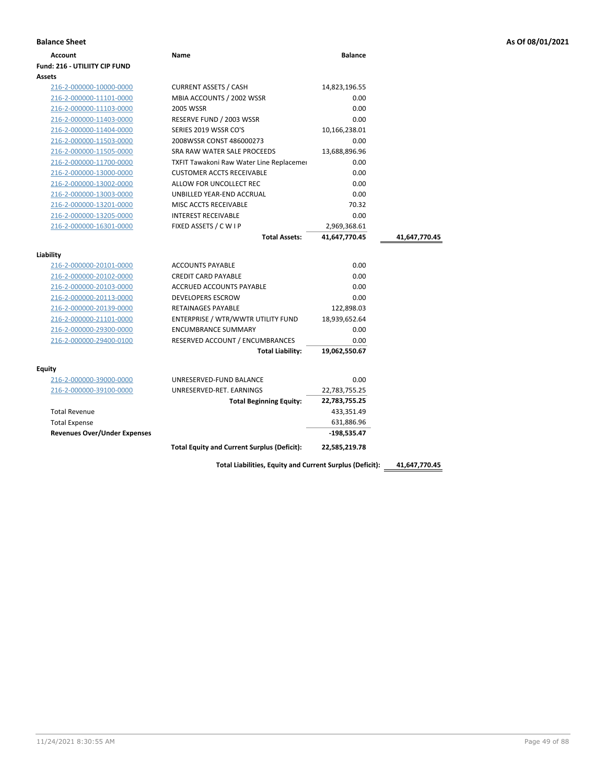| <b>Account</b>             | <b>Name</b>                                     | <b>Balance</b> |
|----------------------------|-------------------------------------------------|----------------|
| d: 216 - UTILIITY CIP FUND |                                                 |                |
| ets                        |                                                 |                |
| 216-2-000000-10000-0000    | <b>CURRENT ASSETS / CASH</b>                    | 14,823,196.55  |
| 216-2-000000-11101-0000    | MBIA ACCOUNTS / 2002 WSSR                       | 0.00           |
| 216-2-000000-11103-0000    | 2005 WSSR                                       | 0.00           |
| 216-2-000000-11403-0000    | RESERVE FUND / 2003 WSSR                        | 0.00           |
| 216-2-000000-11404-0000    | SERIES 2019 WSSR CO'S                           | 10,166,238.01  |
| 216-2-000000-11503-0000    | 2008WSSR CONST 486000273                        | 0.00           |
| 216-2-000000-11505-0000    | SRA RAW WATER SALE PROCEEDS                     | 13.688.896.96  |
| 216-2-000000-11700-0000    | <b>TXFIT Tawakoni Raw Water Line Replacemer</b> | 0.00           |
| 216-2-000000-13000-0000    | <b>CUSTOMER ACCTS RECEIVABLE</b>                | 0.00           |
| 216-2-000000-13002-0000    | ALLOW FOR UNCOLLECT REC                         | 0.00           |
| 216-2-000000-13003-0000    | UNBILLED YEAR-END ACCRUAL                       | 0.00           |

|                                     | <b>Total Equity and Current Surplus (Deficit):</b> | 22,585,219.78 |               |
|-------------------------------------|----------------------------------------------------|---------------|---------------|
| <b>Revenues Over/Under Expenses</b> |                                                    | $-198.535.47$ |               |
| <b>Total Expense</b>                |                                                    | 631,886.96    |               |
| <b>Total Revenue</b>                |                                                    | 433,351.49    |               |
|                                     | <b>Total Beginning Equity:</b>                     | 22,783,755.25 |               |
| 216-2-000000-39100-0000             | UNRESERVED-RET. EARNINGS                           | 22,783,755.25 |               |
| 216-2-000000-39000-0000             | UNRESERVED-FUND BALANCE                            | 0.00          |               |
| <b>Equity</b>                       |                                                    |               |               |
|                                     | <b>Total Liability:</b>                            | 19,062,550.67 |               |
| 216-2-000000-29400-0100             | RESERVED ACCOUNT / ENCUMBRANCES                    | 0.00          |               |
| 216-2-000000-29300-0000             | <b>ENCUMBRANCE SUMMARY</b>                         | 0.00          |               |
| 216-2-000000-21101-0000             | ENTERPRISE / WTR/WWTR UTILITY FUND                 | 18,939,652.64 |               |
| 216-2-000000-20139-0000             | <b>RETAINAGES PAYABLE</b>                          | 122,898.03    |               |
| 216-2-000000-20113-0000             | <b>DEVELOPERS ESCROW</b>                           | 0.00          |               |
| 216-2-000000-20103-0000             | <b>ACCRUED ACCOUNTS PAYABLE</b>                    | 0.00          |               |
| 216-2-000000-20102-0000             | <b>CREDIT CARD PAYABLE</b>                         | 0.00          |               |
| 216-2-000000-20101-0000             | <b>ACCOUNTS PAYABLE</b>                            | 0.00          |               |
| Liability                           |                                                    |               |               |
|                                     | <b>Total Assets:</b>                               | 41,647,770.45 | 41,647,770.45 |
| 216-2-000000-16301-0000             | FIXED ASSETS / C W I P                             | 2,969,368.61  |               |
| 216-2-000000-13205-0000             | <b>INTEREST RECEIVABLE</b>                         | 0.00          |               |
| 216-2-000000-13201-0000             | MISC ACCTS RECEIVABLE                              | 70.32         |               |
| 216-2-000000-13003-0000             | UNBILLED YEAR-END ACCRUAL                          | 0.00          |               |
| 216-2-000000-13002-0000             | ALLOW FOR UNCOLLECT REC                            | 0.00          |               |
| 216-2-000000-13000-0000             | <b>CUSTOMER ACCTS RECEIVABLE</b>                   | 0.00          |               |

**Fund: 216 - UTILIITY CIP FUND**

**Assets**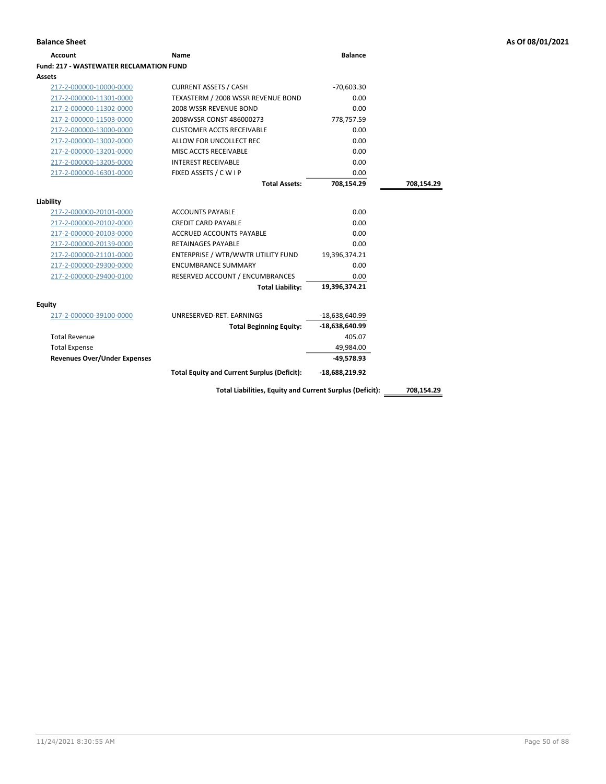| Account                                 | <b>Name</b>                                              | <b>Balance</b>   |            |
|-----------------------------------------|----------------------------------------------------------|------------------|------------|
| Fund: 217 - WASTEWATER RECLAMATION FUND |                                                          |                  |            |
| Assets                                  |                                                          |                  |            |
| 217-2-000000-10000-0000                 | <b>CURRENT ASSETS / CASH</b>                             | $-70,603.30$     |            |
| 217-2-000000-11301-0000                 | TEXASTERM / 2008 WSSR REVENUE BOND                       | 0.00             |            |
| 217-2-000000-11302-0000                 | 2008 WSSR REVENUE BOND                                   | 0.00             |            |
| 217-2-000000-11503-0000                 | 2008WSSR CONST 486000273                                 | 778,757.59       |            |
| 217-2-000000-13000-0000                 | <b>CUSTOMER ACCTS RECEIVABLE</b>                         | 0.00             |            |
| 217-2-000000-13002-0000                 | ALLOW FOR UNCOLLECT REC                                  | 0.00             |            |
| 217-2-000000-13201-0000                 | MISC ACCTS RECEIVABLE                                    | 0.00             |            |
| 217-2-000000-13205-0000                 | <b>INTEREST RECEIVABLE</b>                               | 0.00             |            |
| 217-2-000000-16301-0000                 | FIXED ASSETS / C W I P                                   | 0.00             |            |
|                                         | <b>Total Assets:</b>                                     | 708,154.29       | 708,154.29 |
|                                         |                                                          |                  |            |
| Liability                               |                                                          |                  |            |
| 217-2-000000-20101-0000                 | <b>ACCOUNTS PAYABLE</b>                                  | 0.00             |            |
| 217-2-000000-20102-0000                 | <b>CREDIT CARD PAYABLE</b>                               | 0.00             |            |
| 217-2-000000-20103-0000                 | <b>ACCRUED ACCOUNTS PAYABLE</b>                          | 0.00             |            |
| 217-2-000000-20139-0000                 | <b>RETAINAGES PAYABLE</b>                                | 0.00             |            |
| 217-2-000000-21101-0000                 | ENTERPRISE / WTR/WWTR UTILITY FUND                       | 19,396,374.21    |            |
| 217-2-000000-29300-0000                 | <b>ENCUMBRANCE SUMMARY</b>                               | 0.00             |            |
| 217-2-000000-29400-0100                 | RESERVED ACCOUNT / ENCUMBRANCES                          | 0.00             |            |
|                                         | <b>Total Liability:</b>                                  | 19,396,374.21    |            |
| Equity                                  |                                                          |                  |            |
| 217-2-000000-39100-0000                 | UNRESERVED-RET. EARNINGS                                 | -18,638,640.99   |            |
|                                         | <b>Total Beginning Equity:</b>                           | $-18,638,640.99$ |            |
| <b>Total Revenue</b>                    |                                                          | 405.07           |            |
| <b>Total Expense</b>                    |                                                          | 49,984.00        |            |
| <b>Revenues Over/Under Expenses</b>     |                                                          | $-49,578.93$     |            |
|                                         | <b>Total Equity and Current Surplus (Deficit):</b>       | $-18,688,219.92$ |            |
|                                         | Total Liabilities, Equity and Current Surplus (Deficit): |                  | 708,154.29 |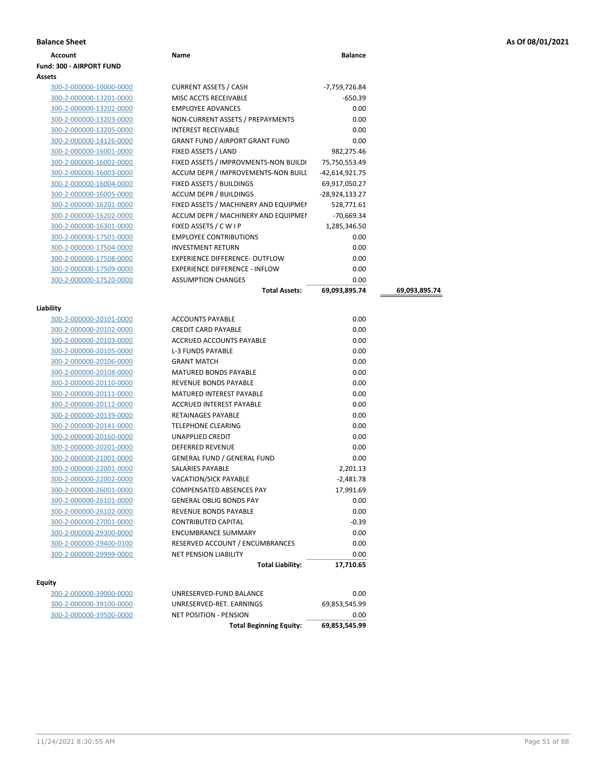|  |  | As Of 08/01/2021 |
|--|--|------------------|
|--|--|------------------|

| <b>Balance Sheet</b>            |                                        |                |
|---------------------------------|----------------------------------------|----------------|
| <b>Account</b>                  | Name                                   | <b>Balance</b> |
| <b>Fund: 300 - AIRPORT FUND</b> |                                        |                |
| Assets                          |                                        |                |
| 300-2-000000-10000-0000         | <b>CURRENT ASSETS / CASH</b>           | -7,759,726.84  |
| 300-2-000000-13201-0000         | MISC ACCTS RECEIVABLE                  | $-650.39$      |
| 300-2-000000-13202-0000         | <b>EMPLOYEE ADVANCES</b>               | 0.00           |
| 300-2-000000-13203-0000         | NON-CURRENT ASSETS / PREPAYMENTS       | 0.00           |
| 300-2-000000-13205-0000         | <b>INTEREST RECEIVABLE</b>             | 0.00           |
| 300-2-000000-14126-0000         | <b>GRANT FUND / AIRPORT GRANT FUND</b> | 0.00           |
| 300-2-000000-16001-0000         | FIXED ASSETS / LAND                    | 982,275.46     |
| 300-2-000000-16002-0000         | FIXED ASSETS / IMPROVMENTS-NON BUILDI  | 75,750,553.49  |
| 300-2-000000-16003-0000         | ACCUM DEPR / IMPROVEMENTS-NON BUILL    | -42.614.921.75 |
| 300-2-000000-16004-0000         | <b>FIXED ASSETS / BUILDINGS</b>        | 69.917.050.27  |

**Liability**

**Equity**

| 300-2-000000-10000-0000                            | <b>CURRENT ASSETS / CASH</b>            | -7,759,726.84  |               |
|----------------------------------------------------|-----------------------------------------|----------------|---------------|
| 300-2-000000-13201-0000                            | MISC ACCTS RECEIVABLE                   | $-650.39$      |               |
| 300-2-000000-13202-0000                            | <b>EMPLOYEE ADVANCES</b>                | 0.00           |               |
| 300-2-000000-13203-0000                            | NON-CURRENT ASSETS / PREPAYMENTS        | 0.00           |               |
| 300-2-000000-13205-0000                            | <b>INTEREST RECEIVABLE</b>              | 0.00           |               |
| 300-2-000000-14126-0000                            | <b>GRANT FUND / AIRPORT GRANT FUND</b>  | 0.00           |               |
| 300-2-000000-16001-0000                            | FIXED ASSETS / LAND                     | 982,275.46     |               |
| 300-2-000000-16002-0000                            | FIXED ASSETS / IMPROVMENTS-NON BUILDI   | 75,750,553.49  |               |
| 300-2-000000-16003-0000                            | ACCUM DEPR / IMPROVEMENTS-NON BUILI     | -42,614,921.75 |               |
| 300-2-000000-16004-0000                            | FIXED ASSETS / BUILDINGS                | 69,917,050.27  |               |
| 300-2-000000-16005-0000                            | <b>ACCUM DEPR / BUILDINGS</b>           | -28,924,133.27 |               |
| 300-2-000000-16201-0000                            | FIXED ASSETS / MACHINERY AND EQUIPMEN   | 528,771.61     |               |
| 300-2-000000-16202-0000                            | ACCUM DEPR / MACHINERY AND EQUIPMEI     | -70,669.34     |               |
| 300-2-000000-16301-0000                            | FIXED ASSETS / C W I P                  | 1,285,346.50   |               |
| 300-2-000000-17501-0000                            | <b>EMPLOYEE CONTRIBUTIONS</b>           | 0.00           |               |
| 300-2-000000-17504-0000                            | <b>INVESTMENT RETURN</b>                | 0.00           |               |
| 300-2-000000-17508-0000                            | <b>EXPERIENCE DIFFERENCE- OUTFLOW</b>   | 0.00           |               |
| 300-2-000000-17509-0000                            | <b>EXPERIENCE DIFFERENCE - INFLOW</b>   | 0.00           |               |
| 300-2-000000-17520-0000                            | <b>ASSUMPTION CHANGES</b>               | 0.00           |               |
|                                                    | <b>Total Assets:</b>                    | 69,093,895.74  | 69,093,895.74 |
|                                                    |                                         |                |               |
| ility                                              |                                         |                |               |
| 300-2-000000-20101-0000                            | <b>ACCOUNTS PAYABLE</b>                 | 0.00           |               |
| 300-2-000000-20102-0000                            | <b>CREDIT CARD PAYABLE</b>              | 0.00           |               |
| 300-2-000000-20103-0000                            | ACCRUED ACCOUNTS PAYABLE                | 0.00           |               |
| 300-2-000000-20105-0000                            | L-3 FUNDS PAYABLE<br><b>GRANT MATCH</b> | 0.00           |               |
| 300-2-000000-20106-0000                            | MATURED BONDS PAYABLE                   | 0.00<br>0.00   |               |
| 300-2-000000-20108-0000                            | REVENUE BONDS PAYABLE                   | 0.00           |               |
| 300-2-000000-20110-0000                            | <b>MATURED INTEREST PAYABLE</b>         | 0.00           |               |
| 300-2-000000-20111-0000                            | ACCRUED INTEREST PAYABLE                | 0.00           |               |
| 300-2-000000-20112-0000<br>300-2-000000-20139-0000 | RETAINAGES PAYABLE                      | 0.00           |               |
| 300-2-000000-20141-0000                            | TELEPHONE CLEARING                      | 0.00           |               |
| 300-2-000000-20160-0000                            | UNAPPLIED CREDIT                        | 0.00           |               |
| 300-2-000000-20201-0000                            | DEFERRED REVENUE                        | 0.00           |               |
| 300-2-000000-21001-0000                            | <b>GENERAL FUND / GENERAL FUND</b>      | 0.00           |               |
| 300-2-000000-22001-0000                            | SALARIES PAYABLE                        | 2,201.13       |               |
| 300-2-000000-22002-0000                            | <b>VACATION/SICK PAYABLE</b>            | $-2,481.78$    |               |
| 300-2-000000-26001-0000                            | <b>COMPENSATED ABSENCES PAY</b>         | 17,991.69      |               |
| 300-2-000000-26101-0000                            | <b>GENERAL OBLIG BONDS PAY</b>          | 0.00           |               |
| 300-2-000000-26102-0000                            | REVENUE BONDS PAYABLE                   | 0.00           |               |
| 300-2-000000-27001-0000                            | <b>CONTRIBUTED CAPITAL</b>              | $-0.39$        |               |
| 300-2-000000-29300-0000                            | <b>ENCUMBRANCE SUMMARY</b>              | 0.00           |               |
| 300-2-000000-29400-0100                            | RESERVED ACCOUNT / ENCUMBRANCES         | 0.00           |               |
| 300-2-000000-29999-0000                            | <b>NET PENSION LIABILITY</b>            | 0.00           |               |
|                                                    | <b>Total Liability:</b>                 | 17,710.65      |               |
|                                                    |                                         |                |               |
| ity                                                |                                         |                |               |
| 300-2-000000-39000-0000                            | UNRESERVED-FUND BALANCE                 | 0.00           |               |
| 300-2-000000-39100-0000                            | UNRESERVED-RET. EARNINGS                | 69,853,545.99  |               |
| 300-2-000000-39500-0000                            | NET POSITION - PENSION                  | 0.00           |               |

**Total Beginning Equity: 69,853,545.99**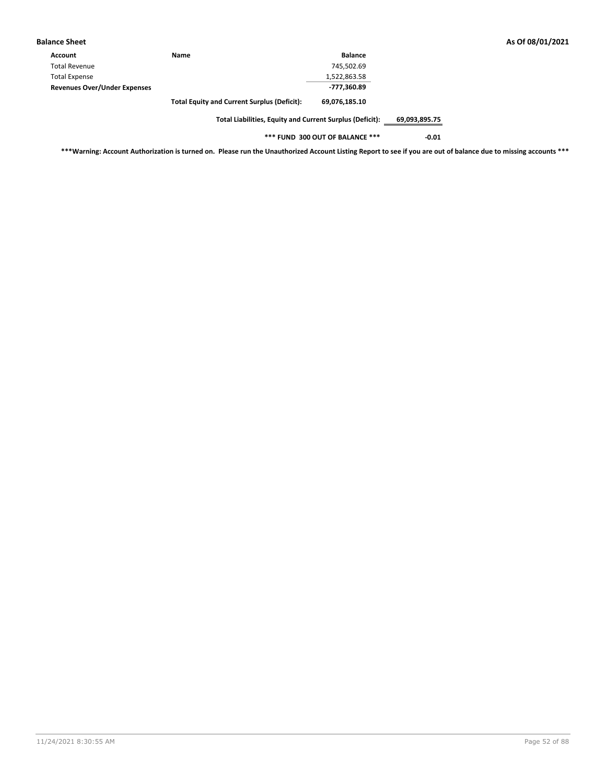| <b>Balance Sheet</b>                |                                                    |                |
|-------------------------------------|----------------------------------------------------|----------------|
| Account                             | <b>Name</b>                                        | <b>Balance</b> |
| <b>Total Revenue</b>                |                                                    | 745,502.69     |
| <b>Total Expense</b>                |                                                    | 1,522,863.58   |
| <b>Revenues Over/Under Expenses</b> |                                                    | -777,360.89    |
|                                     | <b>Total Equity and Current Surplus (Deficit):</b> | 69,076,185.10  |
|                                     |                                                    |                |

**\*\*\* FUND 300 OUT OF BALANCE \*\*\* -0.01**

**\*\*\*Warning: Account Authorization is turned on. Please run the Unauthorized Account Listing Report to see if you are out of balance due to missing accounts \*\*\***

**Balance Sheet As Of 08/01/2021**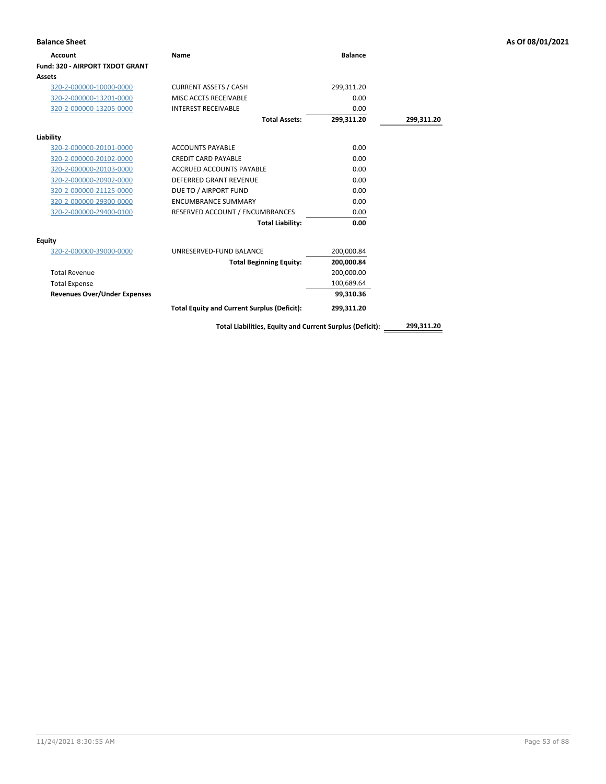| <b>Balance Sheet</b>                |                                                          |                |            | As Of 08/01/2021 |
|-------------------------------------|----------------------------------------------------------|----------------|------------|------------------|
| <b>Account</b>                      | <b>Name</b>                                              | <b>Balance</b> |            |                  |
| Fund: 320 - AIRPORT TXDOT GRANT     |                                                          |                |            |                  |
| Assets                              |                                                          |                |            |                  |
| 320-2-000000-10000-0000             | <b>CURRENT ASSETS / CASH</b>                             | 299,311.20     |            |                  |
| 320-2-000000-13201-0000             | MISC ACCTS RECEIVABLE                                    | 0.00           |            |                  |
| 320-2-000000-13205-0000             | <b>INTEREST RECEIVABLE</b>                               | 0.00           |            |                  |
|                                     | <b>Total Assets:</b>                                     | 299,311.20     | 299,311.20 |                  |
| Liability                           |                                                          |                |            |                  |
| 320-2-000000-20101-0000             | <b>ACCOUNTS PAYABLE</b>                                  | 0.00           |            |                  |
| 320-2-000000-20102-0000             | <b>CREDIT CARD PAYABLE</b>                               | 0.00           |            |                  |
| 320-2-000000-20103-0000             | ACCRUED ACCOUNTS PAYABLE                                 | 0.00           |            |                  |
| 320-2-000000-20902-0000             | <b>DEFERRED GRANT REVENUE</b>                            | 0.00           |            |                  |
| 320-2-000000-21125-0000             | DUE TO / AIRPORT FUND                                    | 0.00           |            |                  |
| 320-2-000000-29300-0000             | <b>ENCUMBRANCE SUMMARY</b>                               | 0.00           |            |                  |
| 320-2-000000-29400-0100             | RESERVED ACCOUNT / ENCUMBRANCES                          | 0.00           |            |                  |
|                                     | <b>Total Liability:</b>                                  | 0.00           |            |                  |
| <b>Equity</b>                       |                                                          |                |            |                  |
| 320-2-000000-39000-0000             | UNRESERVED-FUND BALANCE                                  | 200,000.84     |            |                  |
|                                     | <b>Total Beginning Equity:</b>                           | 200,000.84     |            |                  |
| <b>Total Revenue</b>                |                                                          | 200,000.00     |            |                  |
| <b>Total Expense</b>                |                                                          | 100,689.64     |            |                  |
| <b>Revenues Over/Under Expenses</b> |                                                          | 99,310.36      |            |                  |
|                                     | <b>Total Equity and Current Surplus (Deficit):</b>       | 299,311.20     |            |                  |
|                                     | Total Liabilities, Equity and Current Surplus (Deficit): |                | 299,311.20 |                  |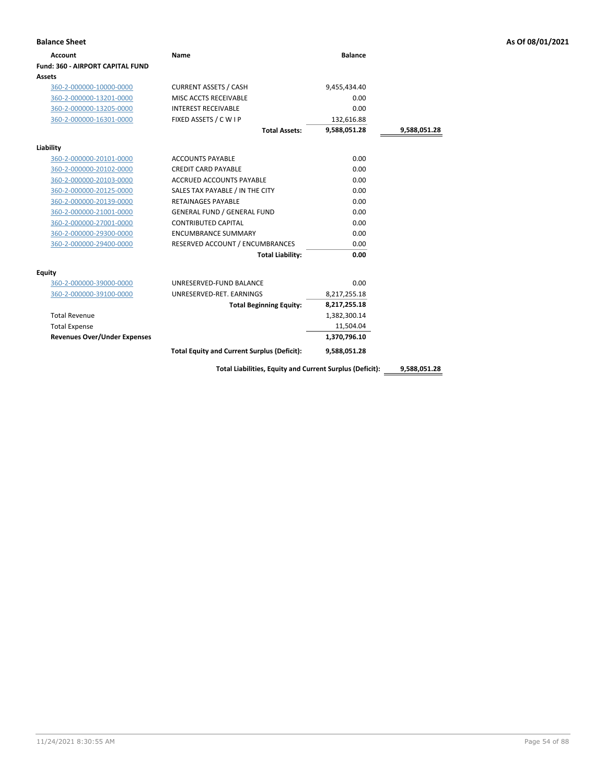| <b>Account</b>                          | <b>Name</b>                                              | <b>Balance</b> |              |
|-----------------------------------------|----------------------------------------------------------|----------------|--------------|
| <b>Fund: 360 - AIRPORT CAPITAL FUND</b> |                                                          |                |              |
| Assets                                  |                                                          |                |              |
| 360-2-000000-10000-0000                 | <b>CURRENT ASSETS / CASH</b>                             | 9,455,434.40   |              |
| 360-2-000000-13201-0000                 | MISC ACCTS RECEIVABLE                                    | 0.00           |              |
| 360-2-000000-13205-0000                 | <b>INTEREST RECEIVABLE</b>                               | 0.00           |              |
| 360-2-000000-16301-0000                 | FIXED ASSETS / C W I P                                   | 132,616.88     |              |
|                                         | <b>Total Assets:</b>                                     | 9,588,051.28   | 9,588,051.28 |
| Liability                               |                                                          |                |              |
| 360-2-000000-20101-0000                 | <b>ACCOUNTS PAYABLE</b>                                  | 0.00           |              |
| 360-2-000000-20102-0000                 | <b>CREDIT CARD PAYABLE</b>                               | 0.00           |              |
| 360-2-000000-20103-0000                 | <b>ACCRUED ACCOUNTS PAYABLE</b>                          | 0.00           |              |
| 360-2-000000-20125-0000                 | SALES TAX PAYABLE / IN THE CITY                          | 0.00           |              |
| 360-2-000000-20139-0000                 | <b>RETAINAGES PAYABLE</b>                                | 0.00           |              |
| 360-2-000000-21001-0000                 | <b>GENERAL FUND / GENERAL FUND</b>                       | 0.00           |              |
| 360-2-000000-27001-0000                 | <b>CONTRIBUTED CAPITAL</b>                               | 0.00           |              |
| 360-2-000000-29300-0000                 | <b>ENCUMBRANCE SUMMARY</b>                               | 0.00           |              |
| 360-2-000000-29400-0000                 | RESERVED ACCOUNT / ENCUMBRANCES                          | 0.00           |              |
|                                         | <b>Total Liability:</b>                                  | 0.00           |              |
| Equity                                  |                                                          |                |              |
| 360-2-000000-39000-0000                 | UNRESERVED-FUND BALANCE                                  | 0.00           |              |
| 360-2-000000-39100-0000                 | UNRESERVED-RET. EARNINGS                                 | 8,217,255.18   |              |
|                                         | <b>Total Beginning Equity:</b>                           | 8,217,255.18   |              |
| <b>Total Revenue</b>                    |                                                          | 1,382,300.14   |              |
| <b>Total Expense</b>                    |                                                          | 11,504.04      |              |
| <b>Revenues Over/Under Expenses</b>     |                                                          | 1,370,796.10   |              |
|                                         | <b>Total Equity and Current Surplus (Deficit):</b>       | 9,588,051.28   |              |
|                                         | Total Liabilities, Equity and Current Surplus (Deficit): |                | 9,588,051.28 |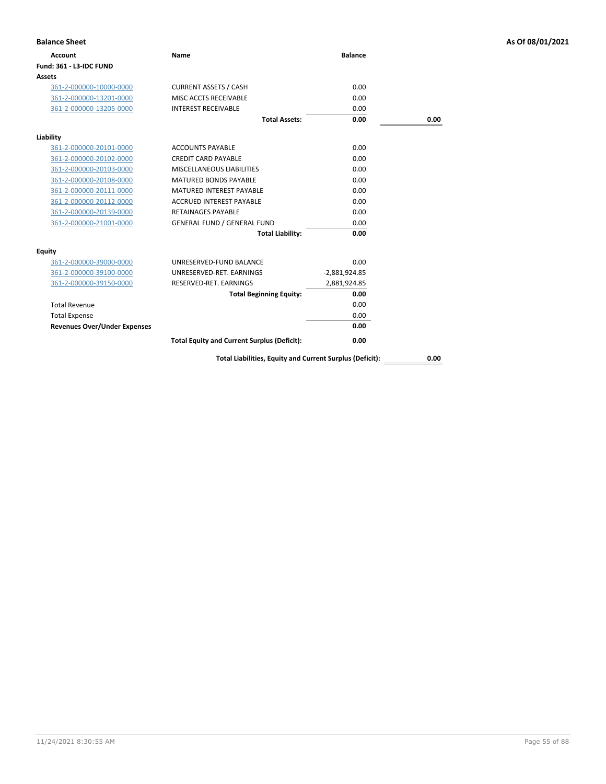| <b>Balance Sheet</b>                |                                                          |                 |      | As Of 08/01/2021 |
|-------------------------------------|----------------------------------------------------------|-----------------|------|------------------|
| <b>Account</b>                      | <b>Name</b>                                              | <b>Balance</b>  |      |                  |
| <b>Fund: 361 - L3-IDC FUND</b>      |                                                          |                 |      |                  |
| Assets                              |                                                          |                 |      |                  |
| 361-2-000000-10000-0000             | <b>CURRENT ASSETS / CASH</b>                             | 0.00            |      |                  |
| 361-2-000000-13201-0000             | MISC ACCTS RECEIVABLE                                    | 0.00            |      |                  |
| 361-2-000000-13205-0000             | <b>INTEREST RECEIVABLE</b>                               | 0.00            |      |                  |
|                                     | <b>Total Assets:</b>                                     | 0.00            | 0.00 |                  |
| Liability                           |                                                          |                 |      |                  |
| 361-2-000000-20101-0000             | <b>ACCOUNTS PAYABLE</b>                                  | 0.00            |      |                  |
| 361-2-000000-20102-0000             | <b>CREDIT CARD PAYABLE</b>                               | 0.00            |      |                  |
| 361-2-000000-20103-0000             | MISCELLANEOUS LIABILITIES                                | 0.00            |      |                  |
| 361-2-000000-20108-0000             | <b>MATURED BONDS PAYABLE</b>                             | 0.00            |      |                  |
| 361-2-000000-20111-0000             | <b>MATURED INTEREST PAYABLE</b>                          | 0.00            |      |                  |
| 361-2-000000-20112-0000             | <b>ACCRUED INTEREST PAYABLE</b>                          | 0.00            |      |                  |
| 361-2-000000-20139-0000             | <b>RETAINAGES PAYABLE</b>                                | 0.00            |      |                  |
| 361-2-000000-21001-0000             | <b>GENERAL FUND / GENERAL FUND</b>                       | 0.00            |      |                  |
|                                     | <b>Total Liability:</b>                                  | 0.00            |      |                  |
| <b>Equity</b>                       |                                                          |                 |      |                  |
| 361-2-000000-39000-0000             | UNRESERVED-FUND BALANCE                                  | 0.00            |      |                  |
| 361-2-000000-39100-0000             | UNRESERVED-RET. EARNINGS                                 | $-2,881,924.85$ |      |                  |
| 361-2-000000-39150-0000             | RESERVED-RET. EARNINGS                                   | 2,881,924.85    |      |                  |
|                                     | <b>Total Beginning Equity:</b>                           | 0.00            |      |                  |
| <b>Total Revenue</b>                |                                                          | 0.00            |      |                  |
| <b>Total Expense</b>                |                                                          | 0.00            |      |                  |
| <b>Revenues Over/Under Expenses</b> |                                                          | 0.00            |      |                  |
|                                     | <b>Total Equity and Current Surplus (Deficit):</b>       | 0.00            |      |                  |
|                                     | Total Liabilities, Equity and Current Surplus (Deficit): |                 | 0.00 |                  |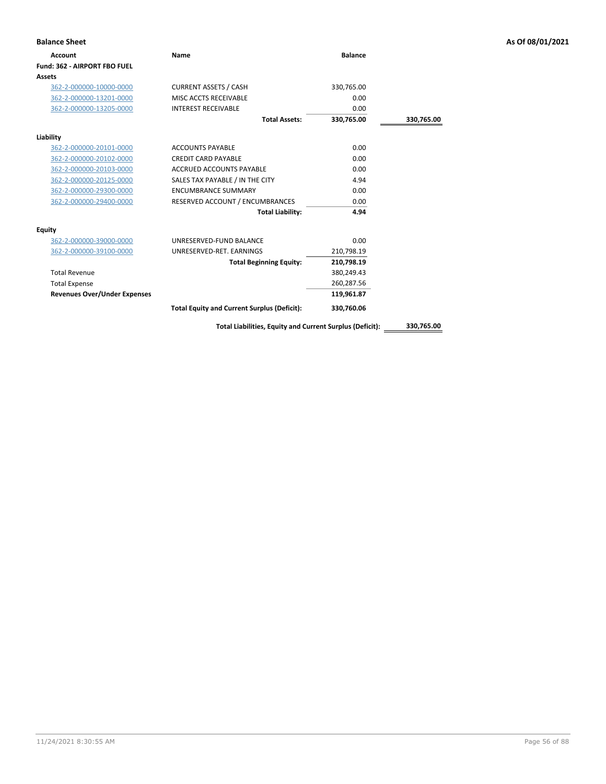| <b>Balance Sheet</b>                |                                                          |                |            | As Of 08/01/2021 |
|-------------------------------------|----------------------------------------------------------|----------------|------------|------------------|
| <b>Account</b>                      | <b>Name</b>                                              | <b>Balance</b> |            |                  |
| Fund: 362 - AIRPORT FBO FUEL        |                                                          |                |            |                  |
| Assets                              |                                                          |                |            |                  |
| 362-2-000000-10000-0000             | <b>CURRENT ASSETS / CASH</b>                             | 330,765.00     |            |                  |
| 362-2-000000-13201-0000             | MISC ACCTS RECEIVABLE                                    | 0.00           |            |                  |
| 362-2-000000-13205-0000             | <b>INTEREST RECEIVABLE</b>                               | 0.00           |            |                  |
|                                     | <b>Total Assets:</b>                                     | 330,765.00     | 330,765.00 |                  |
| Liability                           |                                                          |                |            |                  |
| 362-2-000000-20101-0000             | <b>ACCOUNTS PAYABLE</b>                                  | 0.00           |            |                  |
| 362-2-000000-20102-0000             | <b>CREDIT CARD PAYABLE</b>                               | 0.00           |            |                  |
| 362-2-000000-20103-0000             | <b>ACCRUED ACCOUNTS PAYABLE</b>                          | 0.00           |            |                  |
| 362-2-000000-20125-0000             | SALES TAX PAYABLE / IN THE CITY                          | 4.94           |            |                  |
| 362-2-000000-29300-0000             | <b>ENCUMBRANCE SUMMARY</b>                               | 0.00           |            |                  |
| 362-2-000000-29400-0000             | RESERVED ACCOUNT / ENCUMBRANCES                          | 0.00           |            |                  |
|                                     | <b>Total Liability:</b>                                  | 4.94           |            |                  |
| <b>Equity</b>                       |                                                          |                |            |                  |
| 362-2-000000-39000-0000             | UNRESERVED-FUND BALANCE                                  | 0.00           |            |                  |
| 362-2-000000-39100-0000             | UNRESERVED-RET. EARNINGS                                 | 210,798.19     |            |                  |
|                                     | <b>Total Beginning Equity:</b>                           | 210,798.19     |            |                  |
| <b>Total Revenue</b>                |                                                          | 380,249.43     |            |                  |
| <b>Total Expense</b>                |                                                          | 260,287.56     |            |                  |
| <b>Revenues Over/Under Expenses</b> |                                                          | 119,961.87     |            |                  |
|                                     | <b>Total Equity and Current Surplus (Deficit):</b>       | 330,760.06     |            |                  |
|                                     | Total Liabilities, Equity and Current Surplus (Deficit): |                | 330,765.00 |                  |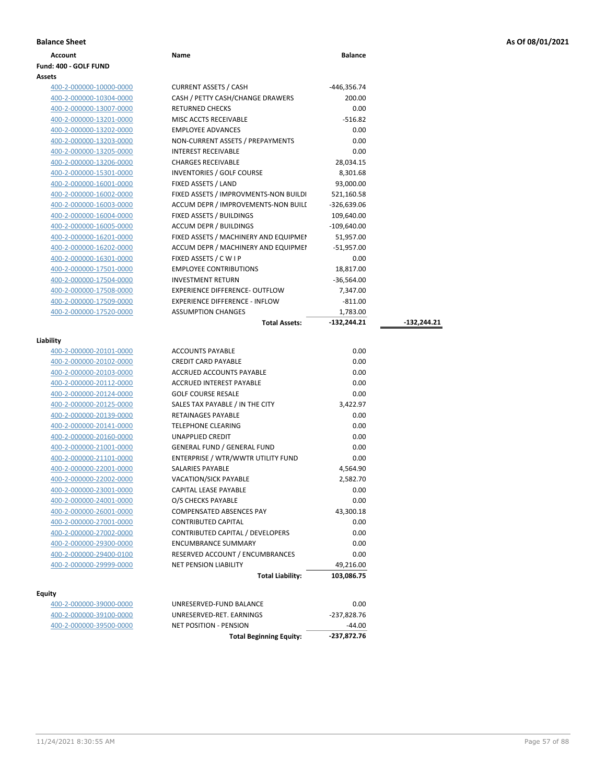| <b>Balance Sheet</b> | As Of 08/01/2021<br>. |
|----------------------|-----------------------|
|----------------------|-----------------------|

**Total Assets: -132,244.21 -132,244.21**

| <b>Balance Sheet</b>  |      |                |
|-----------------------|------|----------------|
| Account               | Name | <b>Balance</b> |
| Fund: 400 - GOLF FUND |      |                |

# **Assets**

| 400-2-000000-10000-0000 | <b>CURRENT ASSETS / CASH</b>          | -446,356.74   |
|-------------------------|---------------------------------------|---------------|
| 400-2-000000-10304-0000 | CASH / PETTY CASH/CHANGE DRAWERS      | 200.00        |
| 400-2-000000-13007-0000 | <b>RETURNED CHECKS</b>                | 0.00          |
| 400-2-000000-13201-0000 | MISC ACCTS RECEIVABLE                 | $-516.82$     |
| 400-2-000000-13202-0000 | <b>EMPLOYEE ADVANCES</b>              | 0.00          |
| 400-2-000000-13203-0000 | NON-CURRENT ASSETS / PREPAYMENTS      | 0.00          |
| 400-2-000000-13205-0000 | <b>INTEREST RECEIVABLE</b>            | 0.00          |
| 400-2-000000-13206-0000 | <b>CHARGES RECEIVABLE</b>             | 28,034.15     |
| 400-2-000000-15301-0000 | <b>INVENTORIES / GOLF COURSE</b>      | 8,301.68      |
| 400-2-000000-16001-0000 | FIXED ASSETS / LAND                   | 93,000.00     |
| 400-2-000000-16002-0000 | FIXED ASSETS / IMPROVMENTS-NON BUILDI | 521,160.58    |
| 400-2-000000-16003-0000 | ACCUM DEPR / IMPROVEMENTS-NON BUILI   | $-326,639.06$ |
| 400-2-000000-16004-0000 | FIXED ASSETS / BUILDINGS              | 109,640.00    |
| 400-2-000000-16005-0000 | <b>ACCUM DEPR / BUILDINGS</b>         | $-109,640.00$ |
| 400-2-000000-16201-0000 | FIXED ASSETS / MACHINERY AND EQUIPMEN | 51,957.00     |
| 400-2-000000-16202-0000 | ACCUM DEPR / MACHINERY AND EQUIPMEI   | $-51,957.00$  |
| 400-2-000000-16301-0000 | FIXED ASSETS / C W I P                | 0.00          |
| 400-2-000000-17501-0000 | <b>EMPLOYEE CONTRIBUTIONS</b>         | 18,817.00     |
| 400-2-000000-17504-0000 | <b>INVESTMENT RETURN</b>              | $-36,564.00$  |
| 400-2-000000-17508-0000 | <b>EXPERIENCE DIFFERENCE- OUTFLOW</b> | 7,347.00      |
| 400-2-000000-17509-0000 | <b>EXPERIENCE DIFFERENCE - INFLOW</b> | $-811.00$     |
| 400-2-000000-17520-0000 | <b>ASSUMPTION CHANGES</b>             | 1,783.00      |

| uabilit |  |
|---------|--|
|         |  |

| oilitv                  |                                    |            |
|-------------------------|------------------------------------|------------|
| 400-2-000000-20101-0000 | <b>ACCOUNTS PAYABLE</b>            | 0.00       |
| 400-2-000000-20102-0000 | <b>CREDIT CARD PAYABLE</b>         | 0.00       |
| 400-2-000000-20103-0000 | <b>ACCRUED ACCOUNTS PAYABLE</b>    | 0.00       |
| 400-2-000000-20112-0000 | <b>ACCRUED INTEREST PAYABLE</b>    | 0.00       |
| 400-2-000000-20124-0000 | <b>GOLF COURSE RESALE</b>          | 0.00       |
| 400-2-000000-20125-0000 | SALES TAX PAYABLE / IN THE CITY    | 3,422.97   |
| 400-2-000000-20139-0000 | <b>RETAINAGES PAYABLE</b>          | 0.00       |
| 400-2-000000-20141-0000 | <b>TELEPHONE CLEARING</b>          | 0.00       |
| 400-2-000000-20160-0000 | <b>UNAPPLIED CREDIT</b>            | 0.00       |
| 400-2-000000-21001-0000 | <b>GENERAL FUND / GENERAL FUND</b> | 0.00       |
| 400-2-000000-21101-0000 | ENTERPRISE / WTR/WWTR UTILITY FUND | 0.00       |
| 400-2-000000-22001-0000 | <b>SALARIES PAYABLE</b>            | 4,564.90   |
| 400-2-000000-22002-0000 | <b>VACATION/SICK PAYABLE</b>       | 2,582.70   |
| 400-2-000000-23001-0000 | <b>CAPITAL LEASE PAYABLE</b>       | 0.00       |
| 400-2-000000-24001-0000 | O/S CHECKS PAYABLE                 | 0.00       |
| 400-2-000000-26001-0000 | <b>COMPENSATED ABSENCES PAY</b>    | 43,300.18  |
| 400-2-000000-27001-0000 | <b>CONTRIBUTED CAPITAL</b>         | 0.00       |
| 400-2-000000-27002-0000 | CONTRIBUTED CAPITAL / DEVELOPERS   | 0.00       |
| 400-2-000000-29300-0000 | <b>ENCUMBRANCE SUMMARY</b>         | 0.00       |
| 400-2-000000-29400-0100 | RESERVED ACCOUNT / ENCUMBRANCES    | 0.00       |
| 400-2-000000-29999-0000 | <b>NET PENSION LIABILITY</b>       | 49,216.00  |
|                         | <b>Total Liability:</b>            | 103,086.75 |
|                         |                                    |            |

### **Equity**

|                         | <b>Total Beginning Equity:</b> | -237,872.76 |
|-------------------------|--------------------------------|-------------|
| 400-2-000000-39500-0000 | NET POSITION - PENSION         | -44.00      |
| 400-2-000000-39100-0000 | UNRESERVED-RET. EARNINGS       | -237,828.76 |
| 400-2-000000-39000-0000 | UNRESERVED-FUND BALANCE        | 0.00        |
|                         |                                |             |

|                                    | <b>Total Assets:</b>    | $-132,244.21$ |  |
|------------------------------------|-------------------------|---------------|--|
|                                    |                         |               |  |
| <b>ACCOUNTS PAYABLE</b>            |                         | 0.00          |  |
| CREDIT CARD PAYABLE                |                         | 0.00          |  |
| <b>ACCRUED ACCOUNTS PAYABLE</b>    |                         | 0.00          |  |
| <b>ACCRUED INTEREST PAYABLE</b>    |                         | 0.00          |  |
| <b>GOLF COURSE RESALE</b>          |                         | 0.00          |  |
| SALES TAX PAYABLE / IN THE CITY    |                         | 3,422.97      |  |
| RETAINAGES PAYABLE                 |                         | 0.00          |  |
| <b>TELEPHONE CLEARING</b>          |                         | 0.00          |  |
| UNAPPLIED CREDIT                   |                         | 0.00          |  |
| GENERAL FUND / GENERAL FUND        |                         | 0.00          |  |
| ENTERPRISE / WTR/WWTR UTILITY FUND |                         | 0.00          |  |
| SALARIES PAYABLE                   |                         | 4,564.90      |  |
| <b>VACATION/SICK PAYABLE</b>       |                         | 2,582.70      |  |
| CAPITAL LEASE PAYABLE              |                         | 0.00          |  |
| O/S CHECKS PAYABLE                 |                         | 0.00          |  |
| COMPENSATED ABSENCES PAY           |                         | 43,300.18     |  |
| CONTRIBUTED CAPITAL                |                         | 0.00          |  |
| CONTRIBUTED CAPITAL / DEVELOPERS   |                         | 0.00          |  |
| <b>ENCUMBRANCE SUMMARY</b>         |                         | 0.00          |  |
| RESERVED ACCOUNT / ENCUMBRANCES    |                         | 0.00          |  |
| <b>NET PENSION LIABILITY</b>       |                         | 49,216.00     |  |
|                                    | <b>Total Liability:</b> | 103,086.75    |  |
| UNRESERVED-FUND BALANCE            |                         | 0.00          |  |
| UNRESERVED-RET. EARNINGS           |                         | $-237,828.76$ |  |
|                                    |                         |               |  |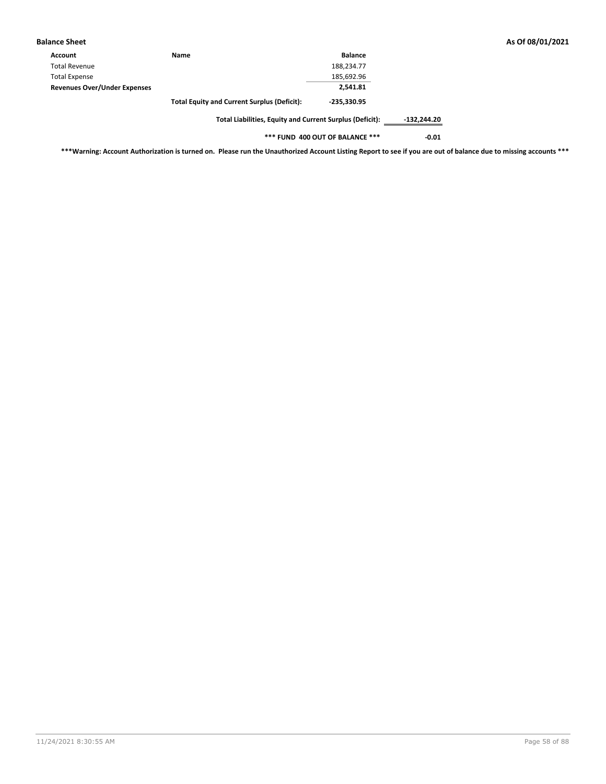| <b>Balance Sheet</b>                |                                                    |                |  |
|-------------------------------------|----------------------------------------------------|----------------|--|
| Account                             | Name                                               | <b>Balance</b> |  |
| <b>Total Revenue</b>                |                                                    | 188,234.77     |  |
| <b>Total Expense</b>                |                                                    | 185,692.96     |  |
| <b>Revenues Over/Under Expenses</b> |                                                    | 2.541.81       |  |
|                                     | <b>Total Equity and Current Surplus (Deficit):</b> | $-235,330.95$  |  |
|                                     |                                                    |                |  |

**\*\*\* FUND 400 OUT OF BALANCE \*\*\* -0.01**

**\*\*\*Warning: Account Authorization is turned on. Please run the Unauthorized Account Listing Report to see if you are out of balance due to missing accounts \*\*\***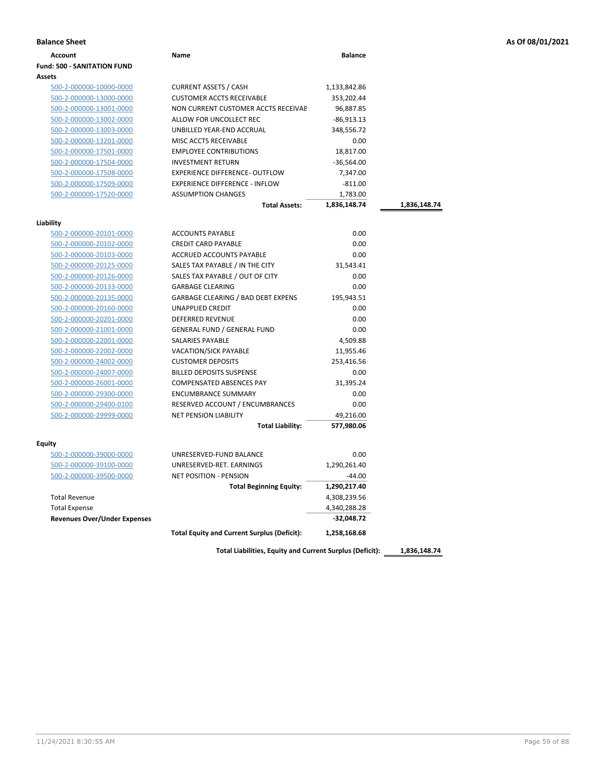|  | As Of 08/01/2021 |  |
|--|------------------|--|
|--|------------------|--|

| <b>Balance Sheet</b>                 |                                                    |                |              | As Of 08/01/2021 |
|--------------------------------------|----------------------------------------------------|----------------|--------------|------------------|
| <b>Account</b>                       | Name                                               | <b>Balance</b> |              |                  |
| <b>Fund: 500 - SANITATION FUND</b>   |                                                    |                |              |                  |
| <b>Assets</b>                        |                                                    |                |              |                  |
| 500-2-000000-10000-0000              | <b>CURRENT ASSETS / CASH</b>                       | 1,133,842.86   |              |                  |
| 500-2-000000-13000-0000              | <b>CUSTOMER ACCTS RECEIVABLE</b>                   | 353,202.44     |              |                  |
| 500-2-000000-13001-0000              | NON CURRENT CUSTOMER ACCTS RECEIVAE                | 96,887.85      |              |                  |
| 500-2-000000-13002-0000              | ALLOW FOR UNCOLLECT REC                            | $-86,913.13$   |              |                  |
| 500-2-000000-13003-0000              | UNBILLED YEAR-END ACCRUAL                          | 348,556.72     |              |                  |
| 500-2-000000-13201-0000              | MISC ACCTS RECEIVABLE                              | 0.00           |              |                  |
| 500-2-000000-17501-0000              | <b>EMPLOYEE CONTRIBUTIONS</b>                      | 18,817.00      |              |                  |
| 500-2-000000-17504-0000              | <b>INVESTMENT RETURN</b>                           | $-36,564.00$   |              |                  |
| 500-2-000000-17508-0000              | <b>EXPERIENCE DIFFERENCE- OUTFLOW</b>              | 7,347.00       |              |                  |
| 500-2-000000-17509-0000              | <b>EXPERIENCE DIFFERENCE - INFLOW</b>              | $-811.00$      |              |                  |
| 500-2-000000-17520-0000              | <b>ASSUMPTION CHANGES</b>                          | 1,783.00       |              |                  |
|                                      | <b>Total Assets:</b>                               | 1,836,148.74   | 1,836,148.74 |                  |
|                                      |                                                    |                |              |                  |
| Liability<br>500-2-000000-20101-0000 | <b>ACCOUNTS PAYABLE</b>                            | 0.00           |              |                  |
| 500-2-000000-20102-0000              | <b>CREDIT CARD PAYABLE</b>                         | 0.00           |              |                  |
| 500-2-000000-20103-0000              | ACCRUED ACCOUNTS PAYABLE                           | 0.00           |              |                  |
| 500-2-000000-20125-0000              | SALES TAX PAYABLE / IN THE CITY                    | 31,543.41      |              |                  |
| 500-2-000000-20126-0000              | SALES TAX PAYABLE / OUT OF CITY                    | 0.00           |              |                  |
| 500-2-000000-20133-0000              | <b>GARBAGE CLEARING</b>                            | 0.00           |              |                  |
| 500-2-000000-20135-0000              | <b>GARBAGE CLEARING / BAD DEBT EXPENS</b>          | 195,943.51     |              |                  |
| 500-2-000000-20160-0000              | UNAPPLIED CREDIT                                   | 0.00           |              |                  |
| 500-2-000000-20201-0000              | <b>DEFERRED REVENUE</b>                            | 0.00           |              |                  |
| 500-2-000000-21001-0000              | <b>GENERAL FUND / GENERAL FUND</b>                 | 0.00           |              |                  |
| 500-2-000000-22001-0000              | SALARIES PAYABLE                                   | 4,509.88       |              |                  |
| 500-2-000000-22002-0000              | VACATION/SICK PAYABLE                              | 11,955.46      |              |                  |
| 500-2-000000-24002-0000              | <b>CUSTOMER DEPOSITS</b>                           | 253,416.56     |              |                  |
| 500-2-000000-24007-0000              | <b>BILLED DEPOSITS SUSPENSE</b>                    | 0.00           |              |                  |
| 500-2-000000-26001-0000              | COMPENSATED ABSENCES PAY                           | 31,395.24      |              |                  |
| 500-2-000000-29300-0000              | <b>ENCUMBRANCE SUMMARY</b>                         | 0.00           |              |                  |
| 500-2-000000-29400-0100              | RESERVED ACCOUNT / ENCUMBRANCES                    | 0.00           |              |                  |
| 500-2-000000-29999-0000              | NET PENSION LIABILITY                              | 49,216.00      |              |                  |
|                                      | <b>Total Liability:</b>                            | 577,980.06     |              |                  |
|                                      |                                                    |                |              |                  |
| <b>Equity</b>                        |                                                    |                |              |                  |
| 500-2-000000-39000-0000              | UNRESERVED-FUND BALANCE                            | 0.00           |              |                  |
| 500-2-000000-39100-0000              | UNRESERVED-RET. EARNINGS                           | 1,290,261.40   |              |                  |
| 500-2-000000-39500-0000              | <b>NET POSITION - PENSION</b>                      | $-44.00$       |              |                  |
|                                      | <b>Total Beginning Equity:</b>                     | 1,290,217.40   |              |                  |
| <b>Total Revenue</b>                 |                                                    | 4,308,239.56   |              |                  |
| <b>Total Expense</b>                 |                                                    | 4,340,288.28   |              |                  |
| <b>Revenues Over/Under Expenses</b>  |                                                    | $-32,048.72$   |              |                  |
|                                      | <b>Total Equity and Current Surplus (Deficit):</b> | 1,258,168.68   |              |                  |
|                                      |                                                    |                |              |                  |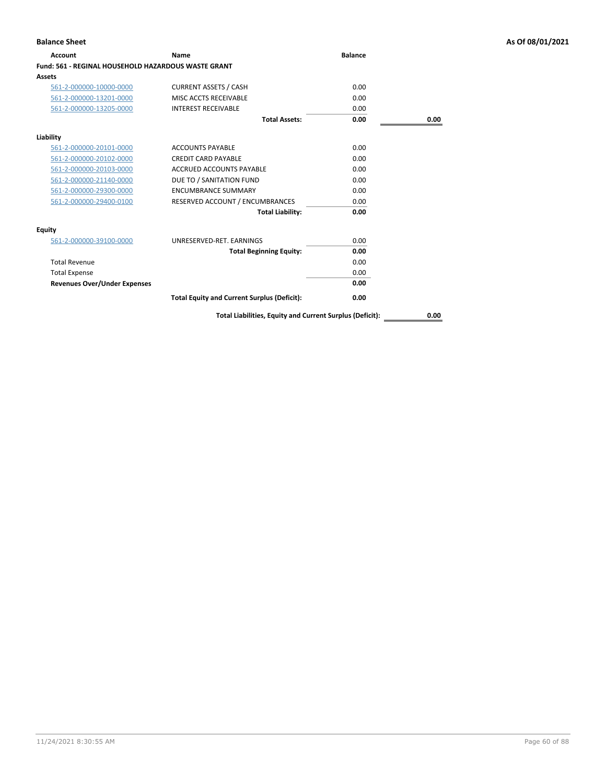| Account                                             | Name                                               | <b>Balance</b> |      |
|-----------------------------------------------------|----------------------------------------------------|----------------|------|
| Fund: 561 - REGINAL HOUSEHOLD HAZARDOUS WASTE GRANT |                                                    |                |      |
| Assets                                              |                                                    |                |      |
| 561-2-000000-10000-0000                             | <b>CURRENT ASSETS / CASH</b>                       | 0.00           |      |
| 561-2-000000-13201-0000                             | MISC ACCTS RECEIVABLE                              | 0.00           |      |
| 561-2-000000-13205-0000                             | <b>INTEREST RECEIVABLE</b>                         | 0.00           |      |
|                                                     | <b>Total Assets:</b>                               | 0.00           | 0.00 |
| Liability                                           |                                                    |                |      |
| 561-2-000000-20101-0000                             | <b>ACCOUNTS PAYABLE</b>                            | 0.00           |      |
| 561-2-000000-20102-0000                             | <b>CREDIT CARD PAYABLE</b>                         | 0.00           |      |
| 561-2-000000-20103-0000                             | ACCRUED ACCOUNTS PAYABLE                           | 0.00           |      |
| 561-2-000000-21140-0000                             | DUE TO / SANITATION FUND                           | 0.00           |      |
| 561-2-000000-29300-0000                             | <b>ENCUMBRANCE SUMMARY</b>                         | 0.00           |      |
| 561-2-000000-29400-0100                             | RESERVED ACCOUNT / ENCUMBRANCES                    | 0.00           |      |
|                                                     | <b>Total Liability:</b>                            | 0.00           |      |
| Equity                                              |                                                    |                |      |
| 561-2-000000-39100-0000                             | UNRESERVED-RET, EARNINGS                           | 0.00           |      |
|                                                     | <b>Total Beginning Equity:</b>                     | 0.00           |      |
| <b>Total Revenue</b>                                |                                                    | 0.00           |      |
| <b>Total Expense</b>                                |                                                    | 0.00           |      |
| <b>Revenues Over/Under Expenses</b>                 |                                                    | 0.00           |      |
|                                                     | <b>Total Equity and Current Surplus (Deficit):</b> | 0.00           |      |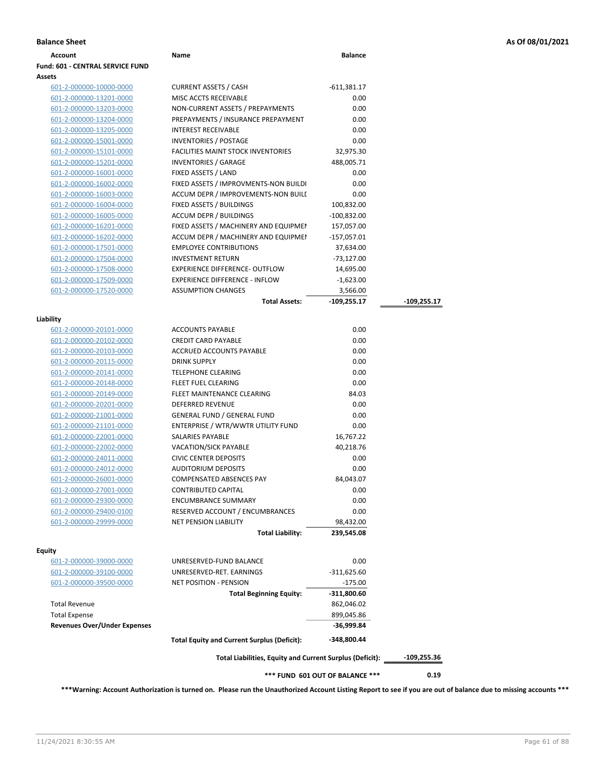| Account                                            | Name                                                       | <b>Balance</b> |             |
|----------------------------------------------------|------------------------------------------------------------|----------------|-------------|
| Fund: 601 - CENTRAL SERVICE FUND                   |                                                            |                |             |
| <b>Assets</b>                                      |                                                            |                |             |
| 601-2-000000-10000-0000                            | <b>CURRENT ASSETS / CASH</b>                               | $-611,381.17$  |             |
| 601-2-000000-13201-0000                            | MISC ACCTS RECEIVABLE                                      | 0.00           |             |
| 601-2-000000-13203-0000                            | NON-CURRENT ASSETS / PREPAYMENTS                           | 0.00           |             |
| 601-2-000000-13204-0000                            | PREPAYMENTS / INSURANCE PREPAYMENT                         | 0.00           |             |
| 601-2-000000-13205-0000                            | <b>INTEREST RECEIVABLE</b>                                 | 0.00           |             |
| 601-2-000000-15001-0000                            | <b>INVENTORIES / POSTAGE</b>                               | 0.00           |             |
| 601-2-000000-15101-0000                            | <b>FACILITIES MAINT STOCK INVENTORIES</b>                  | 32,975.30      |             |
| 601-2-000000-15201-0000                            | <b>INVENTORIES / GARAGE</b>                                | 488,005.71     |             |
| 601-2-000000-16001-0000                            | FIXED ASSETS / LAND                                        | 0.00           |             |
| 601-2-000000-16002-0000                            | FIXED ASSETS / IMPROVMENTS-NON BUILDI                      | 0.00           |             |
| 601-2-000000-16003-0000                            | ACCUM DEPR / IMPROVEMENTS-NON BUILI                        | 0.00           |             |
| 601-2-000000-16004-0000                            | FIXED ASSETS / BUILDINGS                                   | 100,832.00     |             |
| 601-2-000000-16005-0000                            | <b>ACCUM DEPR / BUILDINGS</b>                              | $-100,832.00$  |             |
| 601-2-000000-16201-0000                            | FIXED ASSETS / MACHINERY AND EQUIPMEN                      | 157,057.00     |             |
| 601-2-000000-16202-0000                            | ACCUM DEPR / MACHINERY AND EQUIPMEI                        | -157,057.01    |             |
| 601-2-000000-17501-0000                            | <b>EMPLOYEE CONTRIBUTIONS</b>                              | 37,634.00      |             |
| 601-2-000000-17504-0000                            | <b>INVESTMENT RETURN</b>                                   | $-73,127.00$   |             |
| 601-2-000000-17508-0000                            | <b>EXPERIENCE DIFFERENCE- OUTFLOW</b>                      | 14,695.00      |             |
| 601-2-000000-17509-0000                            | <b>EXPERIENCE DIFFERENCE - INFLOW</b>                      | $-1,623.00$    |             |
| 601-2-000000-17520-0000                            | <b>ASSUMPTION CHANGES</b>                                  | 3,566.00       |             |
|                                                    | <b>Total Assets:</b>                                       | $-109,255.17$  | -109,255.17 |
|                                                    |                                                            |                |             |
| Liability                                          |                                                            |                |             |
| 601-2-000000-20101-0000                            | <b>ACCOUNTS PAYABLE</b>                                    | 0.00           |             |
| 601-2-000000-20102-0000                            | <b>CREDIT CARD PAYABLE</b>                                 | 0.00           |             |
| 601-2-000000-20103-0000                            | ACCRUED ACCOUNTS PAYABLE                                   | 0.00           |             |
| 601-2-000000-20115-0000                            | <b>DRINK SUPPLY</b>                                        | 0.00           |             |
| 601-2-000000-20141-0000                            | <b>TELEPHONE CLEARING</b>                                  | 0.00           |             |
| 601-2-000000-20148-0000                            | FLEET FUEL CLEARING                                        | 0.00           |             |
| 601-2-000000-20149-0000                            | FLEET MAINTENANCE CLEARING                                 | 84.03          |             |
| 601-2-000000-20201-0000                            | <b>DEFERRED REVENUE</b>                                    | 0.00           |             |
| 601-2-000000-21001-0000                            | <b>GENERAL FUND / GENERAL FUND</b>                         | 0.00           |             |
| 601-2-000000-21101-0000                            | ENTERPRISE / WTR/WWTR UTILITY FUND                         | 0.00           |             |
| 601-2-000000-22001-0000                            | SALARIES PAYABLE<br><b>VACATION/SICK PAYABLE</b>           | 16,767.22      |             |
| 601-2-000000-22002-0000                            |                                                            | 40,218.76      |             |
| 601-2-000000-24011-0000                            | <b>CIVIC CENTER DEPOSITS</b><br><b>AUDITORIUM DEPOSITS</b> | 0.00<br>0.00   |             |
| 601-2-000000-24012-0000                            | <b>COMPENSATED ABSENCES PAY</b>                            | 84,043.07      |             |
| 601-2-000000-26001-0000<br>601-2-000000-27001-0000 | <b>CONTRIBUTED CAPITAL</b>                                 | 0.00           |             |
| 601-2-000000-29300-0000                            | <b>ENCUMBRANCE SUMMARY</b>                                 | 0.00           |             |
|                                                    | RESERVED ACCOUNT / ENCUMBRANCES                            | 0.00           |             |
| 601-2-000000-29400-0100<br>601-2-000000-29999-0000 | <b>NET PENSION LIABILITY</b>                               | 98,432.00      |             |
|                                                    | <b>Total Liability:</b>                                    | 239,545.08     |             |
|                                                    |                                                            |                |             |
| <b>Equity</b>                                      |                                                            |                |             |
| 601-2-000000-39000-0000                            | UNRESERVED-FUND BALANCE                                    | 0.00           |             |
| <u>601-2-000000-39100-0000</u>                     | UNRESERVED-RET. EARNINGS                                   | $-311,625.60$  |             |
| 601-2-000000-39500-0000                            | NET POSITION - PENSION                                     | $-175.00$      |             |
|                                                    | <b>Total Beginning Equity:</b>                             | $-311,800.60$  |             |
| <b>Total Revenue</b>                               |                                                            | 862,046.02     |             |
| <b>Total Expense</b>                               |                                                            | 899,045.86     |             |
| <b>Revenues Over/Under Expenses</b>                |                                                            | -36,999.84     |             |
|                                                    | <b>Total Equity and Current Surplus (Deficit):</b>         | -348,800.44    |             |
|                                                    | Total Liabilities, Equity and Current Surplus (Deficit):   |                | -109,255.36 |
| *** FUND 601 OUT OF BALANCE ***                    |                                                            |                | 0.19        |

**\*\*\*Warning: Account Authorization is turned on. Please run the Unauthorized Account Listing Report to see if you are out of balance due to missing accounts \*\*\***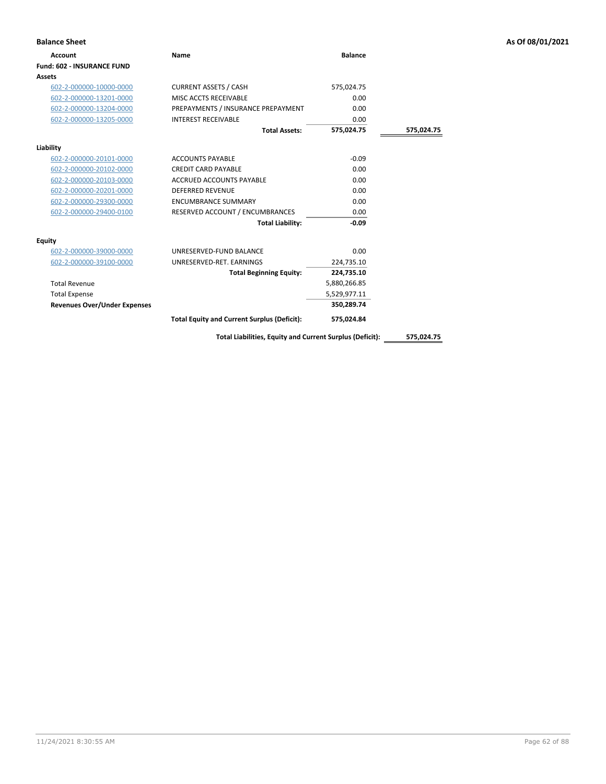| <b>Balance Sheet</b>                |                                                    |                |            | As Of 08/01/2021 |
|-------------------------------------|----------------------------------------------------|----------------|------------|------------------|
| <b>Account</b>                      | Name                                               | <b>Balance</b> |            |                  |
| Fund: 602 - INSURANCE FUND          |                                                    |                |            |                  |
| Assets                              |                                                    |                |            |                  |
| 602-2-000000-10000-0000             | <b>CURRENT ASSETS / CASH</b>                       | 575,024.75     |            |                  |
| 602-2-000000-13201-0000             | MISC ACCTS RECEIVABLE                              | 0.00           |            |                  |
| 602-2-000000-13204-0000             | PREPAYMENTS / INSURANCE PREPAYMENT                 | 0.00           |            |                  |
| 602-2-000000-13205-0000             | <b>INTEREST RECEIVABLE</b>                         | 0.00           |            |                  |
|                                     | <b>Total Assets:</b>                               | 575,024.75     | 575,024.75 |                  |
| Liability                           |                                                    |                |            |                  |
| 602-2-000000-20101-0000             | <b>ACCOUNTS PAYABLE</b>                            | $-0.09$        |            |                  |
| 602-2-000000-20102-0000             | <b>CREDIT CARD PAYABLE</b>                         | 0.00           |            |                  |
| 602-2-000000-20103-0000             | <b>ACCRUED ACCOUNTS PAYABLE</b>                    | 0.00           |            |                  |
| 602-2-000000-20201-0000             | <b>DEFERRED REVENUE</b>                            | 0.00           |            |                  |
| 602-2-000000-29300-0000             | <b>ENCUMBRANCE SUMMARY</b>                         | 0.00           |            |                  |
| 602-2-000000-29400-0100             | RESERVED ACCOUNT / ENCUMBRANCES                    | 0.00           |            |                  |
|                                     | <b>Total Liability:</b>                            | $-0.09$        |            |                  |
| <b>Equity</b>                       |                                                    |                |            |                  |
| 602-2-000000-39000-0000             | UNRESERVED-FUND BALANCE                            | 0.00           |            |                  |
| 602-2-000000-39100-0000             | UNRESERVED-RET. EARNINGS                           | 224,735.10     |            |                  |
|                                     | <b>Total Beginning Equity:</b>                     | 224,735.10     |            |                  |
| <b>Total Revenue</b>                |                                                    | 5,880,266.85   |            |                  |
| <b>Total Expense</b>                |                                                    | 5,529,977.11   |            |                  |
| <b>Revenues Over/Under Expenses</b> |                                                    | 350,289.74     |            |                  |
|                                     | <b>Total Equity and Current Surplus (Deficit):</b> | 575,024.84     |            |                  |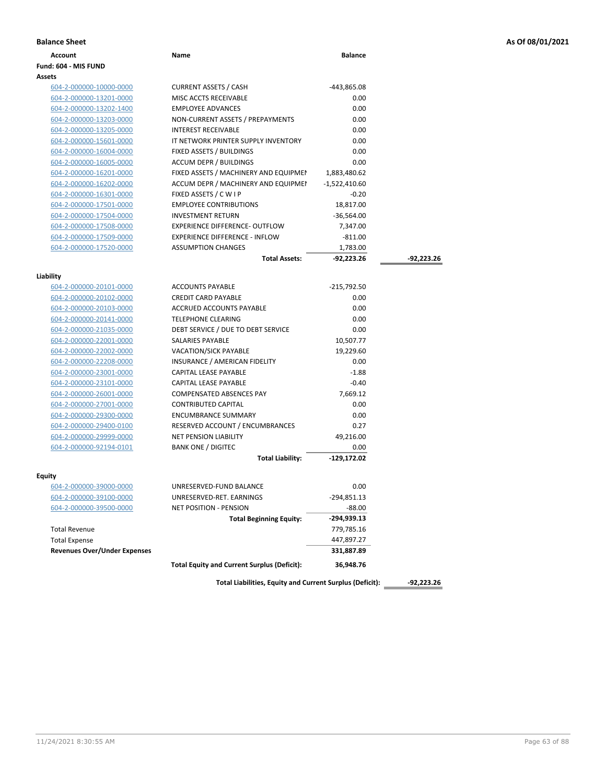|  |  |  |  | As Of 08/01/2021 |
|--|--|--|--|------------------|
|--|--|--|--|------------------|

| <b>Balance Sheet</b>                |                                                          |                 |              | As Of 08/01/2021 |
|-------------------------------------|----------------------------------------------------------|-----------------|--------------|------------------|
| <b>Account</b>                      | Name                                                     | <b>Balance</b>  |              |                  |
| Fund: 604 - MIS FUND                |                                                          |                 |              |                  |
| Assets                              |                                                          |                 |              |                  |
| 604-2-000000-10000-0000             | <b>CURRENT ASSETS / CASH</b>                             | -443,865.08     |              |                  |
| 604-2-000000-13201-0000             | MISC ACCTS RECEIVABLE                                    | 0.00            |              |                  |
| 604-2-000000-13202-1400             | <b>EMPLOYEE ADVANCES</b>                                 | 0.00            |              |                  |
| 604-2-000000-13203-0000             | NON-CURRENT ASSETS / PREPAYMENTS                         | 0.00            |              |                  |
| 604-2-000000-13205-0000             | <b>INTEREST RECEIVABLE</b>                               | 0.00            |              |                  |
| 604-2-000000-15601-0000             | IT NETWORK PRINTER SUPPLY INVENTORY                      | 0.00            |              |                  |
| 604-2-000000-16004-0000             | FIXED ASSETS / BUILDINGS                                 | 0.00            |              |                  |
| 604-2-000000-16005-0000             | <b>ACCUM DEPR / BUILDINGS</b>                            | 0.00            |              |                  |
| 604-2-000000-16201-0000             | FIXED ASSETS / MACHINERY AND EQUIPMEN                    | 1,883,480.62    |              |                  |
| 604-2-000000-16202-0000             | ACCUM DEPR / MACHINERY AND EQUIPMEI                      | $-1,522,410.60$ |              |                  |
| 604-2-000000-16301-0000             | FIXED ASSETS / C W I P                                   | $-0.20$         |              |                  |
| 604-2-000000-17501-0000             | <b>EMPLOYEE CONTRIBUTIONS</b>                            | 18,817.00       |              |                  |
| 604-2-000000-17504-0000             | <b>INVESTMENT RETURN</b>                                 | $-36,564.00$    |              |                  |
| 604-2-000000-17508-0000             | EXPERIENCE DIFFERENCE- OUTFLOW                           | 7,347.00        |              |                  |
| 604-2-000000-17509-0000             | <b>EXPERIENCE DIFFERENCE - INFLOW</b>                    | $-811.00$       |              |                  |
| 604-2-000000-17520-0000             | <b>ASSUMPTION CHANGES</b>                                | 1,783.00        |              |                  |
|                                     | <b>Total Assets:</b>                                     | -92,223.26      | $-92,223.26$ |                  |
| Liability                           |                                                          |                 |              |                  |
| 604-2-000000-20101-0000             | <b>ACCOUNTS PAYABLE</b>                                  | -215,792.50     |              |                  |
| 604-2-000000-20102-0000             | <b>CREDIT CARD PAYABLE</b>                               | 0.00            |              |                  |
| 604-2-000000-20103-0000             | <b>ACCRUED ACCOUNTS PAYABLE</b>                          | 0.00            |              |                  |
| 604-2-000000-20141-0000             | <b>TELEPHONE CLEARING</b>                                | 0.00            |              |                  |
| 604-2-000000-21035-0000             | DEBT SERVICE / DUE TO DEBT SERVICE                       | 0.00            |              |                  |
| 604-2-000000-22001-0000             | SALARIES PAYABLE                                         | 10,507.77       |              |                  |
| 604-2-000000-22002-0000             | VACATION/SICK PAYABLE                                    | 19,229.60       |              |                  |
| 604-2-000000-22208-0000             | INSURANCE / AMERICAN FIDELITY                            | 0.00            |              |                  |
| 604-2-000000-23001-0000             | CAPITAL LEASE PAYABLE                                    | $-1.88$         |              |                  |
| 604-2-000000-23101-0000             | CAPITAL LEASE PAYABLE                                    | $-0.40$         |              |                  |
| 604-2-000000-26001-0000             | <b>COMPENSATED ABSENCES PAY</b>                          | 7,669.12        |              |                  |
| 604-2-000000-27001-0000             | <b>CONTRIBUTED CAPITAL</b>                               | 0.00            |              |                  |
| 604-2-000000-29300-0000             | <b>ENCUMBRANCE SUMMARY</b>                               | 0.00            |              |                  |
| 604-2-000000-29400-0100             | RESERVED ACCOUNT / ENCUMBRANCES                          | 0.27            |              |                  |
| 604-2-000000-29999-0000             | <b>NET PENSION LIABILITY</b>                             | 49,216.00       |              |                  |
| 604-2-000000-92194-0101             | <b>BANK ONE / DIGITEC</b>                                | 0.00            |              |                  |
|                                     | <b>Total Liability:</b>                                  | -129,172.02     |              |                  |
|                                     |                                                          |                 |              |                  |
| Equity<br>604-2-000000-39000-0000   | UNRESERVED-FUND BALANCE                                  | 0.00            |              |                  |
| 604-2-000000-39100-0000             | UNRESERVED-RET. EARNINGS                                 | $-294,851.13$   |              |                  |
| 604-2-000000-39500-0000             | <b>NET POSITION - PENSION</b>                            | $-88.00$        |              |                  |
|                                     | <b>Total Beginning Equity:</b>                           | -294,939.13     |              |                  |
| <b>Total Revenue</b>                |                                                          | 779,785.16      |              |                  |
| <b>Total Expense</b>                |                                                          | 447,897.27      |              |                  |
| <b>Revenues Over/Under Expenses</b> |                                                          | 331,887.89      |              |                  |
|                                     |                                                          |                 |              |                  |
|                                     | <b>Total Equity and Current Surplus (Deficit):</b>       | 36,948.76       |              |                  |
|                                     | Total Liabilities, Equity and Current Surplus (Deficit): |                 | $-92,223.26$ |                  |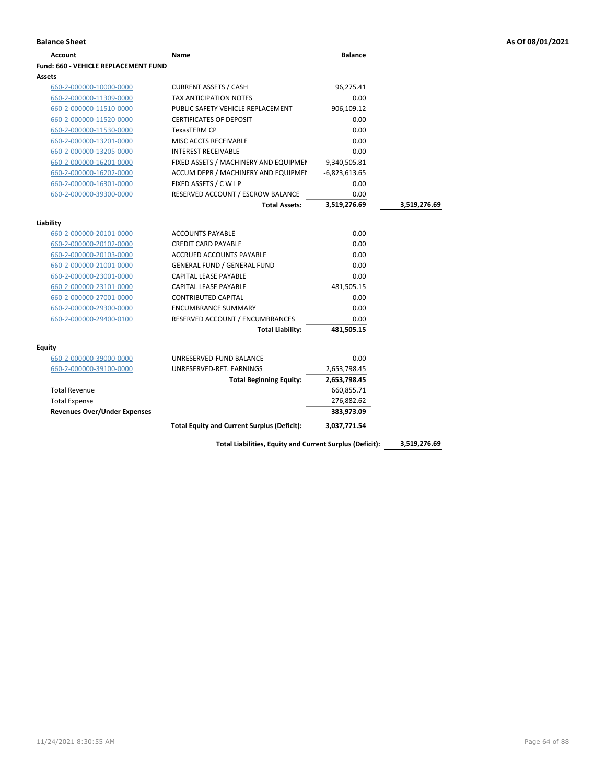| Account                              | <b>Name</b>                                        | <b>Balance</b>  |              |
|--------------------------------------|----------------------------------------------------|-----------------|--------------|
| Fund: 660 - VEHICLE REPLACEMENT FUND |                                                    |                 |              |
| Assets                               |                                                    |                 |              |
| 660-2-000000-10000-0000              | <b>CURRENT ASSETS / CASH</b>                       | 96,275.41       |              |
| 660-2-000000-11309-0000              | <b>TAX ANTICIPATION NOTES</b>                      | 0.00            |              |
| 660-2-000000-11510-0000              | PUBLIC SAFETY VEHICLE REPLACEMENT                  | 906,109.12      |              |
| 660-2-000000-11520-0000              | <b>CERTIFICATES OF DEPOSIT</b>                     | 0.00            |              |
| 660-2-000000-11530-0000              | <b>TexasTERM CP</b>                                | 0.00            |              |
| 660-2-000000-13201-0000              | MISC ACCTS RECEIVABLE                              | 0.00            |              |
| 660-2-000000-13205-0000              | <b>INTEREST RECEIVABLE</b>                         | 0.00            |              |
| 660-2-000000-16201-0000              | FIXED ASSETS / MACHINERY AND EQUIPMEN              | 9,340,505.81    |              |
| 660-2-000000-16202-0000              | ACCUM DEPR / MACHINERY AND EQUIPMEI                | $-6,823,613.65$ |              |
| 660-2-000000-16301-0000              | FIXED ASSETS / C W I P                             | 0.00            |              |
| 660-2-000000-39300-0000              | RESERVED ACCOUNT / ESCROW BALANCE                  | 0.00            |              |
|                                      | <b>Total Assets:</b>                               | 3,519,276.69    | 3,519,276.69 |
| Liability                            |                                                    |                 |              |
| 660-2-000000-20101-0000              | <b>ACCOUNTS PAYABLE</b>                            | 0.00            |              |
| 660-2-000000-20102-0000              | <b>CREDIT CARD PAYABLE</b>                         | 0.00            |              |
| 660-2-000000-20103-0000              | ACCRUED ACCOUNTS PAYABLE                           | 0.00            |              |
| 660-2-000000-21001-0000              | <b>GENERAL FUND / GENERAL FUND</b>                 | 0.00            |              |
| 660-2-000000-23001-0000              | <b>CAPITAL LEASE PAYABLE</b>                       | 0.00            |              |
| 660-2-000000-23101-0000              | <b>CAPITAL LEASE PAYABLE</b>                       | 481,505.15      |              |
| 660-2-000000-27001-0000              | <b>CONTRIBUTED CAPITAL</b>                         | 0.00            |              |
| 660-2-000000-29300-0000              | <b>ENCUMBRANCE SUMMARY</b>                         | 0.00            |              |
| 660-2-000000-29400-0100              | RESERVED ACCOUNT / ENCUMBRANCES                    | 0.00            |              |
|                                      | <b>Total Liability:</b>                            | 481,505.15      |              |
| Equity                               |                                                    |                 |              |
| 660-2-000000-39000-0000              | UNRESERVED-FUND BALANCE                            | 0.00            |              |
| 660-2-000000-39100-0000              | UNRESERVED-RET. EARNINGS                           | 2,653,798.45    |              |
|                                      | <b>Total Beginning Equity:</b>                     | 2,653,798.45    |              |
| <b>Total Revenue</b>                 |                                                    | 660,855.71      |              |
| <b>Total Expense</b>                 |                                                    | 276,882.62      |              |
| <b>Revenues Over/Under Expenses</b>  |                                                    | 383,973.09      |              |
|                                      | <b>Total Equity and Current Surplus (Deficit):</b> | 3,037,771.54    |              |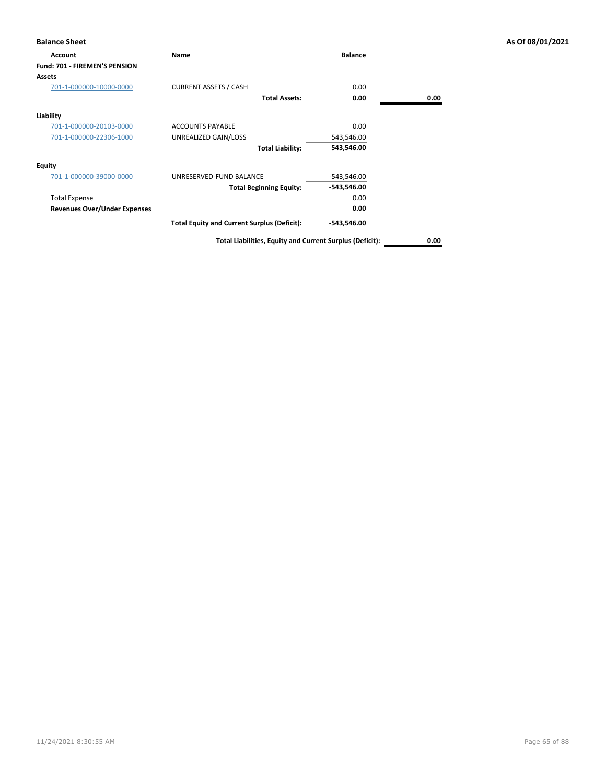| <b>Balance Sheet</b>                 |                                                    |                |      | As Of 08/01/2021 |
|--------------------------------------|----------------------------------------------------|----------------|------|------------------|
| Account                              | Name                                               | <b>Balance</b> |      |                  |
| <b>Fund: 701 - FIREMEN'S PENSION</b> |                                                    |                |      |                  |
| Assets                               |                                                    |                |      |                  |
| 701-1-000000-10000-0000              | <b>CURRENT ASSETS / CASH</b>                       | 0.00           |      |                  |
|                                      | <b>Total Assets:</b>                               | 0.00           | 0.00 |                  |
| Liability                            |                                                    |                |      |                  |
| 701-1-000000-20103-0000              | <b>ACCOUNTS PAYABLE</b>                            | 0.00           |      |                  |
| 701-1-000000-22306-1000              | UNREALIZED GAIN/LOSS                               | 543,546.00     |      |                  |
|                                      | <b>Total Liability:</b>                            | 543,546.00     |      |                  |
| <b>Equity</b>                        |                                                    |                |      |                  |
| 701-1-000000-39000-0000              | UNRESERVED-FUND BALANCE                            | $-543,546.00$  |      |                  |
|                                      | <b>Total Beginning Equity:</b>                     | -543,546.00    |      |                  |
| <b>Total Expense</b>                 |                                                    | 0.00           |      |                  |
| <b>Revenues Over/Under Expenses</b>  |                                                    | 0.00           |      |                  |
|                                      | <b>Total Equity and Current Surplus (Deficit):</b> | -543,546.00    |      |                  |
|                                      |                                                    |                |      |                  |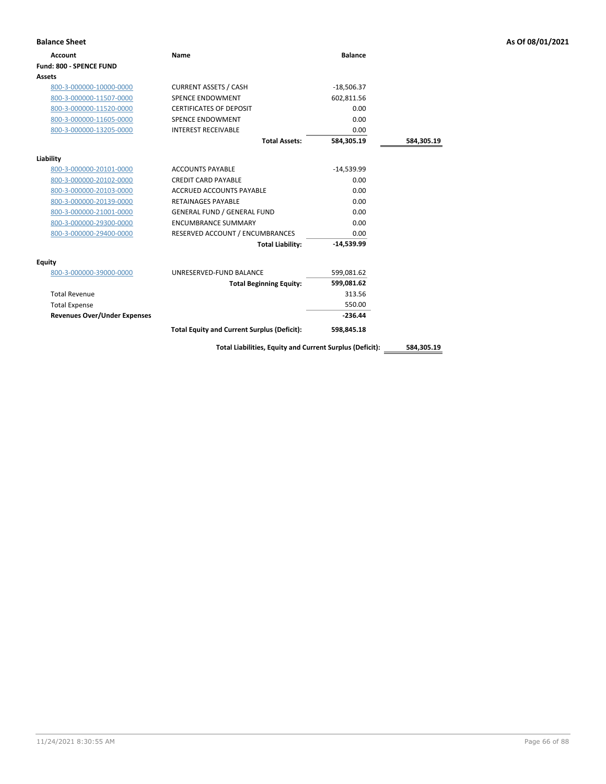| <b>Balance Sheet</b>                |                                                          |                |            | As Of 08/01/2021 |
|-------------------------------------|----------------------------------------------------------|----------------|------------|------------------|
| <b>Account</b>                      | <b>Name</b>                                              | <b>Balance</b> |            |                  |
| Fund: 800 - SPENCE FUND             |                                                          |                |            |                  |
| Assets                              |                                                          |                |            |                  |
| 800-3-000000-10000-0000             | <b>CURRENT ASSETS / CASH</b>                             | $-18,506.37$   |            |                  |
| 800-3-000000-11507-0000             | <b>SPENCE ENDOWMENT</b>                                  | 602,811.56     |            |                  |
| 800-3-000000-11520-0000             | <b>CERTIFICATES OF DEPOSIT</b>                           | 0.00           |            |                  |
| 800-3-000000-11605-0000             | SPENCE ENDOWMENT                                         | 0.00           |            |                  |
| 800-3-000000-13205-0000             | <b>INTEREST RECEIVABLE</b>                               | 0.00           |            |                  |
|                                     | <b>Total Assets:</b>                                     | 584,305.19     | 584,305.19 |                  |
| Liability                           |                                                          |                |            |                  |
| 800-3-000000-20101-0000             | <b>ACCOUNTS PAYABLE</b>                                  | $-14,539.99$   |            |                  |
| 800-3-000000-20102-0000             | <b>CREDIT CARD PAYABLE</b>                               | 0.00           |            |                  |
| 800-3-000000-20103-0000             | <b>ACCRUED ACCOUNTS PAYABLE</b>                          | 0.00           |            |                  |
| 800-3-000000-20139-0000             | <b>RETAINAGES PAYABLE</b>                                | 0.00           |            |                  |
| 800-3-000000-21001-0000             | <b>GENERAL FUND / GENERAL FUND</b>                       | 0.00           |            |                  |
| 800-3-000000-29300-0000             | <b>ENCUMBRANCE SUMMARY</b>                               | 0.00           |            |                  |
| 800-3-000000-29400-0000             | RESERVED ACCOUNT / ENCUMBRANCES                          | 0.00           |            |                  |
|                                     | <b>Total Liability:</b>                                  | $-14,539.99$   |            |                  |
| <b>Equity</b>                       |                                                          |                |            |                  |
| 800-3-000000-39000-0000             | UNRESERVED-FUND BALANCE                                  | 599,081.62     |            |                  |
|                                     | <b>Total Beginning Equity:</b>                           | 599,081.62     |            |                  |
| <b>Total Revenue</b>                |                                                          | 313.56         |            |                  |
| <b>Total Expense</b>                |                                                          | 550.00         |            |                  |
| <b>Revenues Over/Under Expenses</b> |                                                          | $-236.44$      |            |                  |
|                                     | <b>Total Equity and Current Surplus (Deficit):</b>       | 598,845.18     |            |                  |
|                                     | Total Liabilities, Equity and Current Surplus (Deficit): |                | 584,305.19 |                  |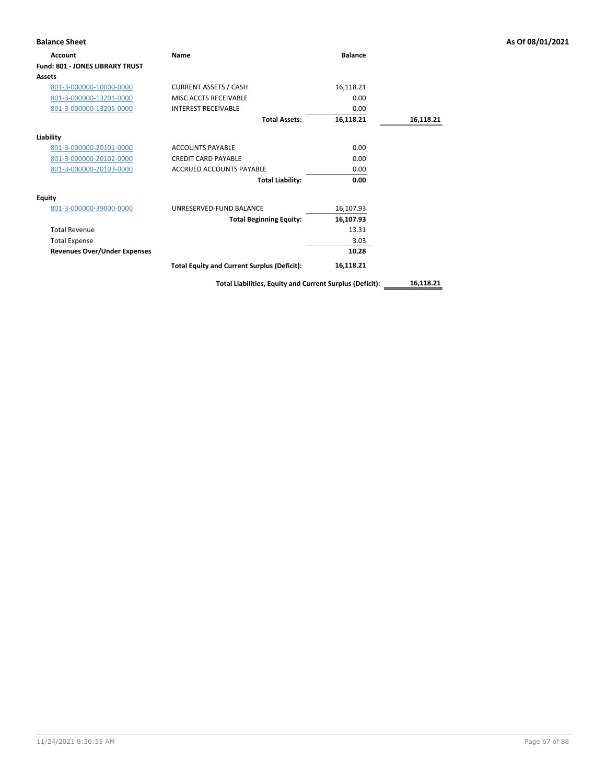| <b>Balance Sheet</b>                |                                                          |                |           | As Of 08/01/2021 |
|-------------------------------------|----------------------------------------------------------|----------------|-----------|------------------|
| Account                             | Name                                                     | <b>Balance</b> |           |                  |
| Fund: 801 - JONES LIBRARY TRUST     |                                                          |                |           |                  |
| <b>Assets</b>                       |                                                          |                |           |                  |
| 801-3-000000-10000-0000             | <b>CURRENT ASSETS / CASH</b>                             | 16,118.21      |           |                  |
| 801-3-000000-13201-0000             | MISC ACCTS RECEIVABLE                                    | 0.00           |           |                  |
| 801-3-000000-13205-0000             | <b>INTEREST RECEIVABLE</b>                               | 0.00           |           |                  |
|                                     | <b>Total Assets:</b>                                     | 16,118.21      | 16,118.21 |                  |
| Liability                           |                                                          |                |           |                  |
| 801-3-000000-20101-0000             | <b>ACCOUNTS PAYABLE</b>                                  | 0.00           |           |                  |
| 801-3-000000-20102-0000             | <b>CREDIT CARD PAYABLE</b>                               | 0.00           |           |                  |
| 801-3-000000-20103-0000             | <b>ACCRUED ACCOUNTS PAYABLE</b>                          | 0.00           |           |                  |
|                                     | <b>Total Liability:</b>                                  | 0.00           |           |                  |
| <b>Equity</b>                       |                                                          |                |           |                  |
| 801-3-000000-39000-0000             | UNRESERVED-FUND BALANCE                                  | 16,107.93      |           |                  |
|                                     | <b>Total Beginning Equity:</b>                           | 16,107.93      |           |                  |
| <b>Total Revenue</b>                |                                                          | 13.31          |           |                  |
| <b>Total Expense</b>                |                                                          | 3.03           |           |                  |
| <b>Revenues Over/Under Expenses</b> |                                                          | 10.28          |           |                  |
|                                     | <b>Total Equity and Current Surplus (Deficit):</b>       | 16,118.21      |           |                  |
|                                     | Total Liabilities, Equity and Current Surplus (Deficit): |                | 16,118.21 |                  |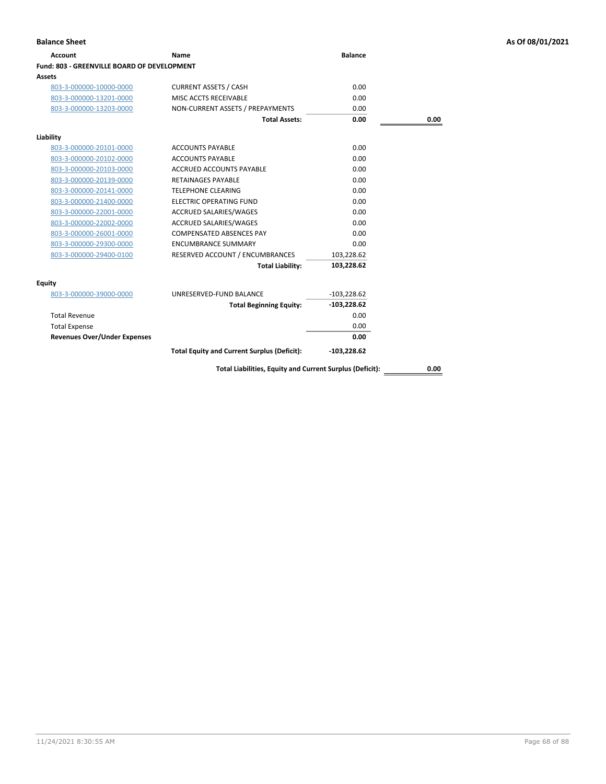| Account                                     | Name                                               | <b>Balance</b> |      |
|---------------------------------------------|----------------------------------------------------|----------------|------|
| Fund: 803 - GREENVILLE BOARD OF DEVELOPMENT |                                                    |                |      |
| Assets                                      |                                                    |                |      |
| 803-3-000000-10000-0000                     | <b>CURRENT ASSETS / CASH</b>                       | 0.00           |      |
| 803-3-000000-13201-0000                     | MISC ACCTS RECEIVABLE                              | 0.00           |      |
| 803-3-000000-13203-0000                     | NON-CURRENT ASSETS / PREPAYMENTS                   | 0.00           |      |
|                                             | <b>Total Assets:</b>                               | 0.00           | 0.00 |
| Liability                                   |                                                    |                |      |
|                                             | <b>ACCOUNTS PAYABLE</b>                            | 0.00           |      |
| 803-3-000000-20101-0000                     |                                                    |                |      |
| 803-3-000000-20102-0000                     | <b>ACCOUNTS PAYABLE</b>                            | 0.00           |      |
| 803-3-000000-20103-0000                     | <b>ACCRUED ACCOUNTS PAYABLE</b>                    | 0.00           |      |
| 803-3-000000-20139-0000                     | <b>RETAINAGES PAYABLE</b>                          | 0.00           |      |
| 803-3-000000-20141-0000                     | <b>TELEPHONE CLEARING</b>                          | 0.00           |      |
| 803-3-000000-21400-0000                     | <b>ELECTRIC OPERATING FUND</b>                     | 0.00           |      |
| 803-3-000000-22001-0000                     | <b>ACCRUED SALARIES/WAGES</b>                      | 0.00           |      |
| 803-3-000000-22002-0000                     | <b>ACCRUED SALARIES/WAGES</b>                      | 0.00           |      |
| 803-3-000000-26001-0000                     | <b>COMPENSATED ABSENCES PAY</b>                    | 0.00           |      |
| 803-3-000000-29300-0000                     | <b>ENCUMBRANCE SUMMARY</b>                         | 0.00           |      |
| 803-3-000000-29400-0100                     | RESERVED ACCOUNT / ENCUMBRANCES                    | 103,228.62     |      |
|                                             | <b>Total Liability:</b>                            | 103,228.62     |      |
| <b>Equity</b>                               |                                                    |                |      |
| 803-3-000000-39000-0000                     | UNRESERVED-FUND BALANCE                            | $-103,228.62$  |      |
|                                             | <b>Total Beginning Equity:</b>                     | $-103,228.62$  |      |
| <b>Total Revenue</b>                        |                                                    | 0.00           |      |
| <b>Total Expense</b>                        |                                                    | 0.00           |      |
| <b>Revenues Over/Under Expenses</b>         |                                                    | 0.00           |      |
|                                             | <b>Total Equity and Current Surplus (Deficit):</b> | $-103,228.62$  |      |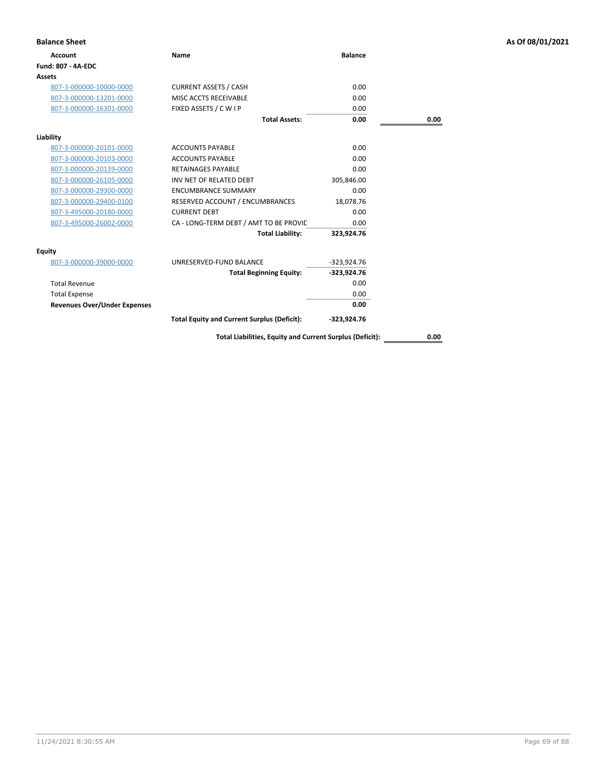| <b>Balance Sheet</b>                |                                                          |                |      | As Of 08/01/2021 |
|-------------------------------------|----------------------------------------------------------|----------------|------|------------------|
| <b>Account</b>                      | Name                                                     | <b>Balance</b> |      |                  |
| <b>Fund: 807 - 4A-EDC</b>           |                                                          |                |      |                  |
| Assets                              |                                                          |                |      |                  |
| 807-3-000000-10000-0000             | <b>CURRENT ASSETS / CASH</b>                             | 0.00           |      |                  |
| 807-3-000000-13201-0000             | MISC ACCTS RECEIVABLE                                    | 0.00           |      |                  |
| 807-3-000000-16301-0000             | FIXED ASSETS / C W I P                                   | 0.00           |      |                  |
|                                     | <b>Total Assets:</b>                                     | 0.00           | 0.00 |                  |
| Liability                           |                                                          |                |      |                  |
| 807-3-000000-20101-0000             | <b>ACCOUNTS PAYABLE</b>                                  | 0.00           |      |                  |
| 807-3-000000-20103-0000             | <b>ACCOUNTS PAYABLE</b>                                  | 0.00           |      |                  |
| 807-3-000000-20139-0000             | <b>RETAINAGES PAYABLE</b>                                | 0.00           |      |                  |
| 807-3-000000-26105-0000             | INV NET OF RELATED DEBT                                  | 305,846.00     |      |                  |
| 807-3-000000-29300-0000             | <b>ENCUMBRANCE SUMMARY</b>                               | 0.00           |      |                  |
| 807-3-000000-29400-0100             | RESERVED ACCOUNT / ENCUMBRANCES                          | 18,078.76      |      |                  |
| 807-3-495000-20180-0000             | <b>CURRENT DEBT</b>                                      | 0.00           |      |                  |
| 807-3-495000-26002-0000             | CA - LONG-TERM DEBT / AMT TO BE PROVIC                   | 0.00           |      |                  |
|                                     | <b>Total Liability:</b>                                  | 323,924.76     |      |                  |
| Equity                              |                                                          |                |      |                  |
| 807-3-000000-39000-0000             | UNRESERVED-FUND BALANCE                                  | $-323,924.76$  |      |                  |
|                                     | <b>Total Beginning Equity:</b>                           | $-323,924.76$  |      |                  |
| <b>Total Revenue</b>                |                                                          | 0.00           |      |                  |
| <b>Total Expense</b>                |                                                          | 0.00           |      |                  |
| <b>Revenues Over/Under Expenses</b> |                                                          | 0.00           |      |                  |
|                                     | <b>Total Equity and Current Surplus (Deficit):</b>       | -323,924.76    |      |                  |
|                                     | Total Liabilities, Equity and Current Surplus (Deficit): |                | 0.00 |                  |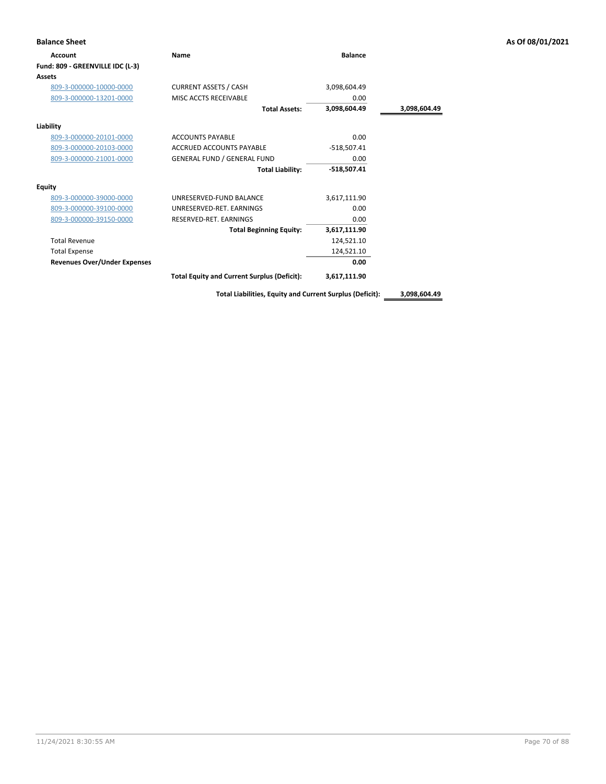| <b>Balance Sheet</b>                |                                                    |                |              | As Of 08/01/2021 |
|-------------------------------------|----------------------------------------------------|----------------|--------------|------------------|
| Account                             | Name                                               | <b>Balance</b> |              |                  |
| Fund: 809 - GREENVILLE IDC (L-3)    |                                                    |                |              |                  |
| <b>Assets</b>                       |                                                    |                |              |                  |
| 809-3-000000-10000-0000             | <b>CURRENT ASSETS / CASH</b>                       | 3,098,604.49   |              |                  |
| 809-3-000000-13201-0000             | MISC ACCTS RECEIVABLE                              | 0.00           |              |                  |
|                                     | <b>Total Assets:</b>                               | 3,098,604.49   | 3,098,604.49 |                  |
| Liability                           |                                                    |                |              |                  |
| 809-3-000000-20101-0000             | <b>ACCOUNTS PAYABLE</b>                            | 0.00           |              |                  |
| 809-3-000000-20103-0000             | ACCRUED ACCOUNTS PAYABLE                           | $-518,507.41$  |              |                  |
| 809-3-000000-21001-0000             | <b>GENERAL FUND / GENERAL FUND</b>                 | 0.00           |              |                  |
|                                     | <b>Total Liability:</b>                            | $-518,507.41$  |              |                  |
| <b>Equity</b>                       |                                                    |                |              |                  |
| 809-3-000000-39000-0000             | UNRESERVED-FUND BALANCE                            | 3,617,111.90   |              |                  |
| 809-3-000000-39100-0000             | UNRESERVED-RET. EARNINGS                           | 0.00           |              |                  |
| 809-3-000000-39150-0000             | RESERVED-RET. EARNINGS                             | 0.00           |              |                  |
|                                     | <b>Total Beginning Equity:</b>                     | 3,617,111.90   |              |                  |
| <b>Total Revenue</b>                |                                                    | 124,521.10     |              |                  |
| <b>Total Expense</b>                |                                                    | 124,521.10     |              |                  |
| <b>Revenues Over/Under Expenses</b> |                                                    | 0.00           |              |                  |
|                                     | <b>Total Equity and Current Surplus (Deficit):</b> | 3,617,111.90   |              |                  |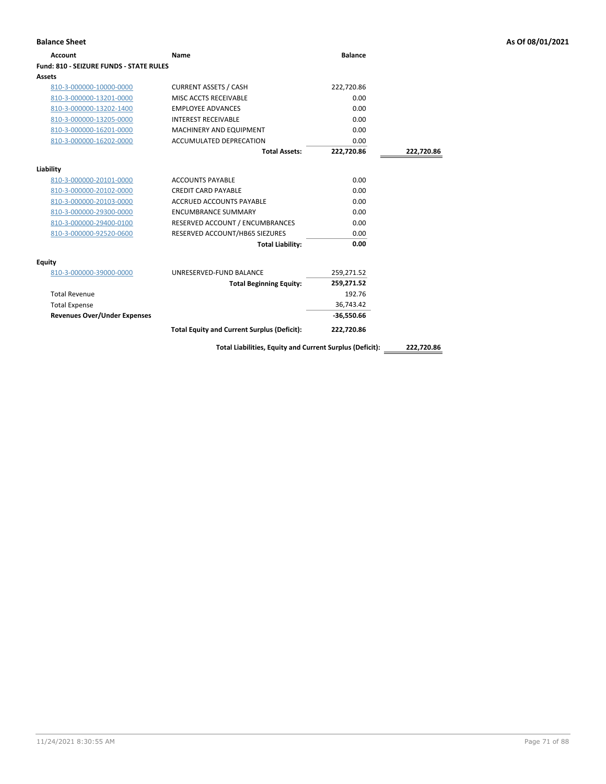| <b>Balance Sheet</b>                    |                                                          |                |            | As Of 08/01/2021 |
|-----------------------------------------|----------------------------------------------------------|----------------|------------|------------------|
| <b>Account</b>                          | <b>Name</b>                                              | <b>Balance</b> |            |                  |
| Fund: 810 - SEIZURE FUNDS - STATE RULES |                                                          |                |            |                  |
| Assets                                  |                                                          |                |            |                  |
| 810-3-000000-10000-0000                 | <b>CURRENT ASSETS / CASH</b>                             | 222,720.86     |            |                  |
| 810-3-000000-13201-0000                 | MISC ACCTS RECEIVABLE                                    | 0.00           |            |                  |
| 810-3-000000-13202-1400                 | <b>EMPLOYEE ADVANCES</b>                                 | 0.00           |            |                  |
| 810-3-000000-13205-0000                 | <b>INTEREST RECEIVABLE</b>                               | 0.00           |            |                  |
| 810-3-000000-16201-0000                 | MACHINERY AND EQUIPMENT                                  | 0.00           |            |                  |
| 810-3-000000-16202-0000                 | ACCUMULATED DEPRECATION                                  | 0.00           |            |                  |
|                                         | <b>Total Assets:</b>                                     | 222,720.86     | 222,720.86 |                  |
| Liability                               |                                                          |                |            |                  |
| 810-3-000000-20101-0000                 | <b>ACCOUNTS PAYABLE</b>                                  | 0.00           |            |                  |
| 810-3-000000-20102-0000                 | <b>CREDIT CARD PAYABLE</b>                               | 0.00           |            |                  |
| 810-3-000000-20103-0000                 | ACCRUED ACCOUNTS PAYABLE                                 | 0.00           |            |                  |
| 810-3-000000-29300-0000                 | <b>ENCUMBRANCE SUMMARY</b>                               | 0.00           |            |                  |
| 810-3-000000-29400-0100                 | RESERVED ACCOUNT / ENCUMBRANCES                          | 0.00           |            |                  |
| 810-3-000000-92520-0600                 | RESERVED ACCOUNT/HB65 SIEZURES                           | 0.00           |            |                  |
|                                         | <b>Total Liability:</b>                                  | 0.00           |            |                  |
| Equity                                  |                                                          |                |            |                  |
| 810-3-000000-39000-0000                 | UNRESERVED-FUND BALANCE                                  | 259,271.52     |            |                  |
|                                         | <b>Total Beginning Equity:</b>                           | 259,271.52     |            |                  |
| <b>Total Revenue</b>                    |                                                          | 192.76         |            |                  |
| <b>Total Expense</b>                    |                                                          | 36,743.42      |            |                  |
| <b>Revenues Over/Under Expenses</b>     |                                                          | $-36,550.66$   |            |                  |
|                                         | <b>Total Equity and Current Surplus (Deficit):</b>       | 222,720.86     |            |                  |
|                                         | Total Liabilities, Equity and Current Surplus (Deficit): |                | 222,720.86 |                  |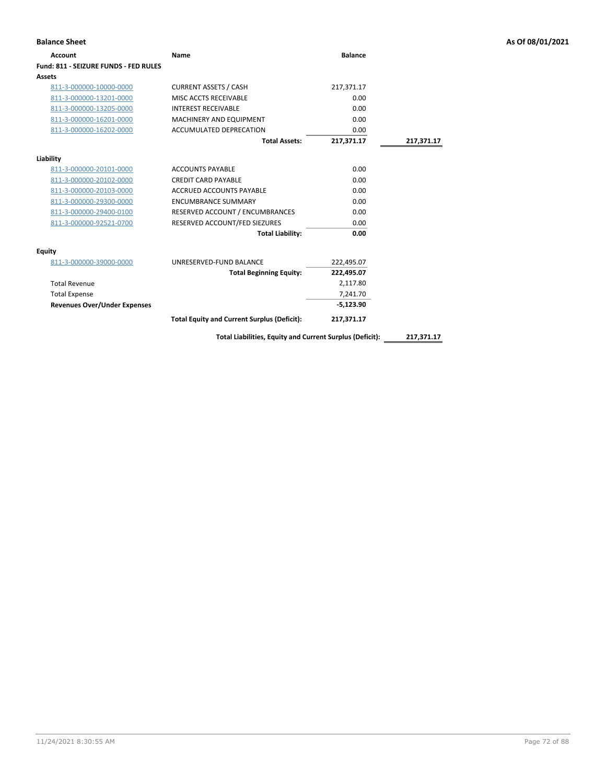| <b>Account</b>                        | Name                                                     | <b>Balance</b> |            |
|---------------------------------------|----------------------------------------------------------|----------------|------------|
| Fund: 811 - SEIZURE FUNDS - FED RULES |                                                          |                |            |
| Assets                                |                                                          |                |            |
| 811-3-000000-10000-0000               | <b>CURRENT ASSETS / CASH</b>                             | 217,371.17     |            |
| 811-3-000000-13201-0000               | MISC ACCTS RECEIVABLE                                    | 0.00           |            |
| 811-3-000000-13205-0000               | <b>INTEREST RECEIVABLE</b>                               | 0.00           |            |
| 811-3-000000-16201-0000               | MACHINERY AND EQUIPMENT                                  | 0.00           |            |
| 811-3-000000-16202-0000               | ACCUMULATED DEPRECATION                                  | 0.00           |            |
|                                       | <b>Total Assets:</b>                                     | 217,371.17     | 217,371.17 |
| Liability                             |                                                          |                |            |
| 811-3-000000-20101-0000               | <b>ACCOUNTS PAYABLE</b>                                  | 0.00           |            |
| 811-3-000000-20102-0000               | <b>CREDIT CARD PAYABLE</b>                               | 0.00           |            |
| 811-3-000000-20103-0000               | <b>ACCRUED ACCOUNTS PAYABLE</b>                          | 0.00           |            |
| 811-3-000000-29300-0000               | <b>ENCUMBRANCE SUMMARY</b>                               | 0.00           |            |
| 811-3-000000-29400-0100               | RESERVED ACCOUNT / ENCUMBRANCES                          | 0.00           |            |
| 811-3-000000-92521-0700               | RESERVED ACCOUNT/FED SIEZURES                            | 0.00           |            |
|                                       | <b>Total Liability:</b>                                  | 0.00           |            |
| Equity                                |                                                          |                |            |
| 811-3-000000-39000-0000               | UNRESERVED-FUND BALANCE                                  | 222,495.07     |            |
|                                       | <b>Total Beginning Equity:</b>                           | 222,495.07     |            |
| <b>Total Revenue</b>                  |                                                          | 2,117.80       |            |
| <b>Total Expense</b>                  |                                                          | 7,241.70       |            |
| <b>Revenues Over/Under Expenses</b>   |                                                          | $-5,123.90$    |            |
|                                       | <b>Total Equity and Current Surplus (Deficit):</b>       | 217,371.17     |            |
|                                       | Total Liabilities, Equity and Current Surplus (Deficit): |                | 217,371.17 |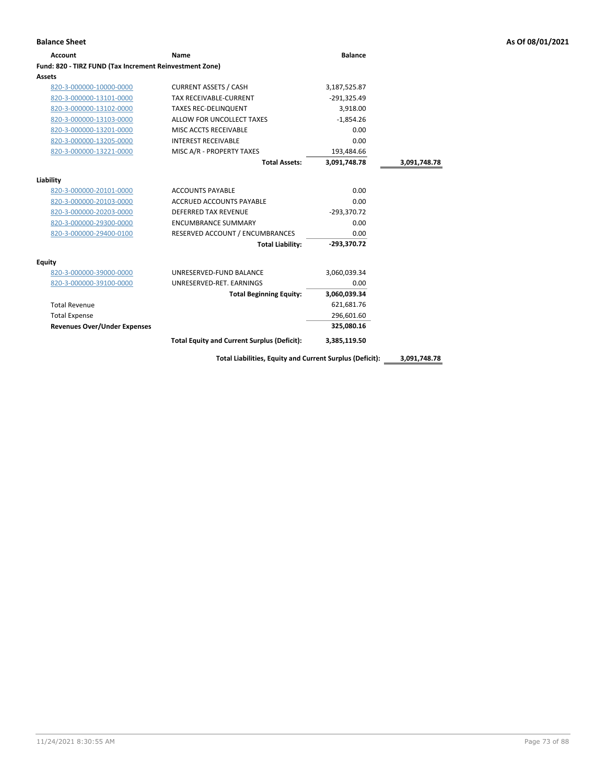| <b>Account</b>                                          | Name                                               | <b>Balance</b> |              |
|---------------------------------------------------------|----------------------------------------------------|----------------|--------------|
| Fund: 820 - TIRZ FUND (Tax Increment Reinvestment Zone) |                                                    |                |              |
| Assets                                                  |                                                    |                |              |
| 820-3-000000-10000-0000                                 | <b>CURRENT ASSETS / CASH</b>                       | 3,187,525.87   |              |
| 820-3-000000-13101-0000                                 | TAX RECEIVABLE-CURRENT                             | $-291,325.49$  |              |
| 820-3-000000-13102-0000                                 | <b>TAXES REC-DELINQUENT</b>                        | 3,918.00       |              |
| 820-3-000000-13103-0000                                 | ALLOW FOR UNCOLLECT TAXES                          | $-1,854.26$    |              |
| 820-3-000000-13201-0000                                 | MISC ACCTS RECEIVABLE                              | 0.00           |              |
| 820-3-000000-13205-0000                                 | <b>INTEREST RECEIVABLE</b>                         | 0.00           |              |
| 820-3-000000-13221-0000                                 | MISC A/R - PROPERTY TAXES                          | 193,484.66     |              |
|                                                         | <b>Total Assets:</b>                               | 3.091.748.78   | 3,091,748.78 |
| Liability                                               |                                                    |                |              |
| 820-3-000000-20101-0000                                 | <b>ACCOUNTS PAYABLE</b>                            | 0.00           |              |
| 820-3-000000-20103-0000                                 | ACCRUED ACCOUNTS PAYABLE                           | 0.00           |              |
| 820-3-000000-20203-0000                                 | <b>DEFERRED TAX REVENUE</b>                        | $-293,370.72$  |              |
| 820-3-000000-29300-0000                                 | <b>ENCUMBRANCE SUMMARY</b>                         | 0.00           |              |
| 820-3-000000-29400-0100                                 | RESERVED ACCOUNT / ENCUMBRANCES                    | 0.00           |              |
|                                                         | <b>Total Liability:</b>                            | $-293.370.72$  |              |
| Equity                                                  |                                                    |                |              |
| 820-3-000000-39000-0000                                 | UNRESERVED-FUND BALANCE                            | 3,060,039.34   |              |
| 820-3-000000-39100-0000                                 | UNRESERVED-RET, EARNINGS                           | 0.00           |              |
|                                                         | <b>Total Beginning Equity:</b>                     | 3,060,039.34   |              |
| <b>Total Revenue</b>                                    |                                                    | 621,681.76     |              |
| <b>Total Expense</b>                                    |                                                    | 296,601.60     |              |
| <b>Revenues Over/Under Expenses</b>                     |                                                    | 325,080.16     |              |
|                                                         | <b>Total Equity and Current Surplus (Deficit):</b> | 3,385,119.50   |              |
|                                                         |                                                    |                |              |

**Total Liabilities, Equity and Current Surplus (Deficit): 3,091,748.78**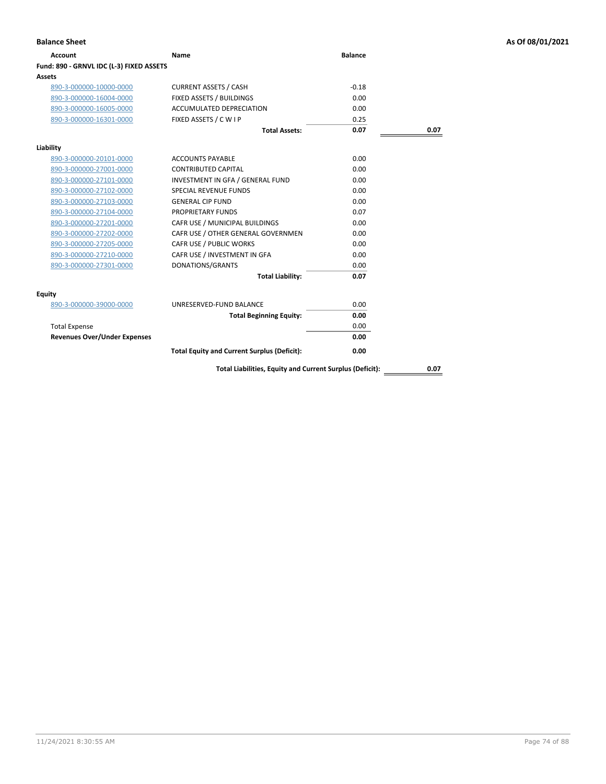| Account                                  | Name                                                     | <b>Balance</b> |      |
|------------------------------------------|----------------------------------------------------------|----------------|------|
| Fund: 890 - GRNVL IDC (L-3) FIXED ASSETS |                                                          |                |      |
| Assets                                   |                                                          |                |      |
| 890-3-000000-10000-0000                  | <b>CURRENT ASSETS / CASH</b>                             | $-0.18$        |      |
| 890-3-000000-16004-0000                  | FIXED ASSETS / BUILDINGS                                 | 0.00           |      |
| 890-3-000000-16005-0000                  | <b>ACCUMULATED DEPRECIATION</b>                          | 0.00           |      |
| 890-3-000000-16301-0000                  | FIXED ASSETS / C W I P                                   | 0.25           |      |
|                                          | <b>Total Assets:</b>                                     | 0.07           | 0.07 |
| Liability                                |                                                          |                |      |
| 890-3-000000-20101-0000                  | <b>ACCOUNTS PAYABLE</b>                                  | 0.00           |      |
| 890-3-000000-27001-0000                  | <b>CONTRIBUTED CAPITAL</b>                               | 0.00           |      |
| 890-3-000000-27101-0000                  | INVESTMENT IN GFA / GENERAL FUND                         | 0.00           |      |
| 890-3-000000-27102-0000                  | <b>SPECIAL REVENUE FUNDS</b>                             | 0.00           |      |
| 890-3-000000-27103-0000                  | <b>GENERAL CIP FUND</b>                                  | 0.00           |      |
| 890-3-000000-27104-0000                  | <b>PROPRIETARY FUNDS</b>                                 | 0.07           |      |
| 890-3-000000-27201-0000                  | CAFR USE / MUNICIPAL BUILDINGS                           | 0.00           |      |
| 890-3-000000-27202-0000                  | CAFR USE / OTHER GENERAL GOVERNMEN                       | 0.00           |      |
| 890-3-000000-27205-0000                  | CAFR USE / PUBLIC WORKS                                  | 0.00           |      |
| 890-3-000000-27210-0000                  | CAFR USE / INVESTMENT IN GFA                             | 0.00           |      |
| 890-3-000000-27301-0000                  | DONATIONS/GRANTS                                         | 0.00           |      |
|                                          | <b>Total Liability:</b>                                  | 0.07           |      |
| Equity                                   |                                                          |                |      |
| 890-3-000000-39000-0000                  | UNRESERVED-FUND BALANCE                                  | 0.00           |      |
|                                          | <b>Total Beginning Equity:</b>                           | 0.00           |      |
| <b>Total Expense</b>                     |                                                          | 0.00           |      |
| <b>Revenues Over/Under Expenses</b>      |                                                          | 0.00           |      |
|                                          | <b>Total Equity and Current Surplus (Deficit):</b>       | 0.00           |      |
|                                          | Total Liabilities, Equity and Current Surplus (Deficit): |                | 0.07 |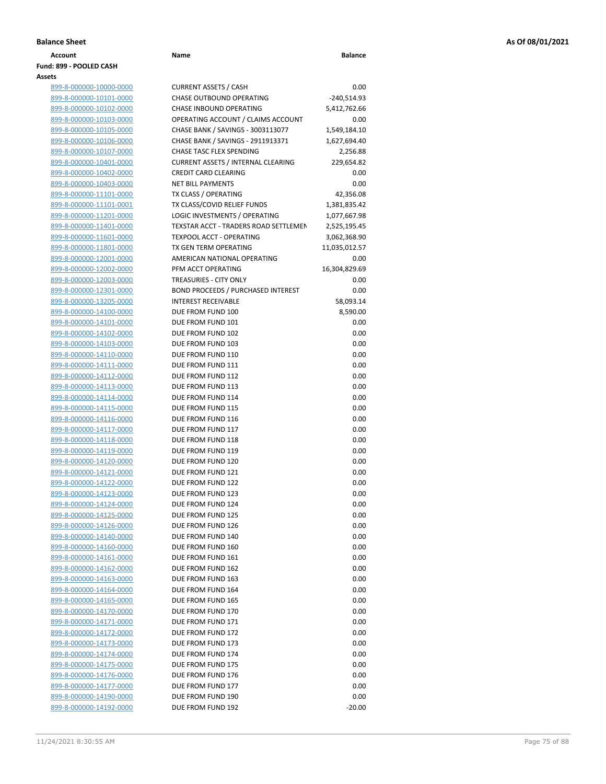| <b>Balance Sheet</b> |      |                |
|----------------------|------|----------------|
| Account              | Name | <b>Balance</b> |

# **Fund: 899 - POOLED CASH Assets**

| 899-8-000000-10000-0000        |
|--------------------------------|
| 899-8-000000-10101-0000        |
| 899-8-000000-10102-0000        |
| 899-8-000000-10103-0000        |
| 899-8-000000-10105-0000        |
| 899-8-000000-10106-0000        |
| 899-8-000000-10107-0000        |
| <u>899-8-000000-10401-0000</u> |
| 899-8-000000-10402-0000        |
| 899-8-000000-10403-0000        |
| 899-8-000000-11101-0000        |
| 899-8-000000-11101-0001        |
| 899-8-000000-11201-0000        |
| 899-8-000000-11401-0000        |
| 899-8-000000-11601-0000        |
| 899-8-000000-11801-0000        |
| 899-8-000000-12001-0000        |
| 899-8-000000-12002-0000        |
| 899-8-000000-12003-0000        |
| 899-8-000000-12301-0000        |
| 899-8-000000-13205-0000        |
| 899-8-000000-14100-0000        |
| 899-8-000000-14101-0000        |
| 899-8-000000-14102-0000        |
| 899-8-000000-14103-0000        |
| 899-8-000000-14110-0000        |
| 899-8-000000-14111-0000        |
| 899-8-000000-14112-0000        |
| 899-8-000000-14113-0000        |
| 899-8-000000-14114-0000        |
| 899-8-000000-14115-0000        |
| 899-8-000000-14116-0000        |
| 899-8-000000-14117-0000        |
| 899-8-000000-14118-0000        |
| 899-8-000000-14119-0000        |
| 899-8-000000-14120-0000        |
| 899-8-000000-14121-0000        |
| 899-8-000000-14122-0000        |
| 899-8-000000-14123-0000        |
| 899-8-000000-14124-0000        |
| 899-8-000000-14125-0000        |
| 899-8-000000-14126-0000        |
| 899-8-000000-14140-0000        |
| 899-8-000000-14160-0000        |
| 899-8-000000-14161-0000        |
| 899-8-000000-14162-0000        |
| <u>899-8-000000-14163-0000</u> |
| 899-8-000000-14164-0000        |
| 899-8-000000-14165-0000        |
| 899-8-000000-14170-0000        |
| 899-8-000000-14171-0000        |
| 899-8-000000-14172-0000        |
| 899-8-000000-14173-0000        |
| 899-8-000000-14174-0000        |
| 899-8-000000-14175-0000        |
| 899-8-000000-14176-0000        |
| <u>899-8-000000-14177-0000</u> |
| 899-8-000000-14190-0000        |
| 899-8-000000-14192-0000        |

| ts                             |                                           |               |
|--------------------------------|-------------------------------------------|---------------|
| 899-8-000000-10000-0000        | <b>CURRENT ASSETS / CASH</b>              | 0.00          |
| 899-8-000000-10101-0000        | <b>CHASE OUTBOUND OPERATING</b>           | -240,514.93   |
| 899-8-000000-10102-0000        | CHASE INBOUND OPERATING                   | 5,412,762.66  |
| 899-8-000000-10103-0000        | OPERATING ACCOUNT / CLAIMS ACCOUNT        | 0.00          |
| 899-8-000000-10105-0000        | CHASE BANK / SAVINGS - 3003113077         | 1,549,184.10  |
| 899-8-000000-10106-0000        | CHASE BANK / SAVINGS - 2911913371         | 1,627,694.40  |
| 899-8-000000-10107-0000        | CHASE TASC FLEX SPENDING                  | 2,256.88      |
| 899-8-000000-10401-0000        | <b>CURRENT ASSETS / INTERNAL CLEARING</b> | 229,654.82    |
| 899-8-000000-10402-0000        | <b>CREDIT CARD CLEARING</b>               | 0.00          |
| 899-8-000000-10403-0000        | <b>NET BILL PAYMENTS</b>                  | 0.00          |
| 899-8-000000-11101-0000        | TX CLASS / OPERATING                      | 42,356.08     |
| 899-8-000000-11101-0001        | TX CLASS/COVID RELIEF FUNDS               | 1,381,835.42  |
| 899-8-000000-11201-0000        | LOGIC INVESTMENTS / OPERATING             | 1,077,667.98  |
| 899-8-000000-11401-0000        | TEXSTAR ACCT - TRADERS ROAD SETTLEMEN     | 2,525,195.45  |
| 899-8-000000-11601-0000        | TEXPOOL ACCT - OPERATING                  | 3,062,368.90  |
| 899-8-000000-11801-0000        | TX GEN TERM OPERATING                     | 11,035,012.57 |
| 899-8-000000-12001-0000        | AMERICAN NATIONAL OPERATING               | 0.00          |
| 899-8-000000-12002-0000        | PFM ACCT OPERATING                        | 16,304,829.69 |
| 899-8-000000-12003-0000        | <b>TREASURIES - CITY ONLY</b>             | 0.00          |
| 899-8-000000-12301-0000        | <b>BOND PROCEEDS / PURCHASED INTEREST</b> | 0.00          |
| 899-8-000000-13205-0000        | <b>INTEREST RECEIVABLE</b>                | 58,093.14     |
| 899-8-000000-14100-0000        | DUE FROM FUND 100                         | 8,590.00      |
| 899-8-000000-14101-0000        | DUE FROM FUND 101                         | 0.00          |
| 899-8-000000-14102-0000        | DUE FROM FUND 102                         | 0.00          |
| 899-8-000000-14103-0000        | DUE FROM FUND 103                         | 0.00          |
| 899-8-000000-14110-0000        | DUE FROM FUND 110                         | 0.00          |
| 899-8-000000-14111-0000        | DUE FROM FUND 111                         | 0.00          |
| 899-8-000000-14112-0000        | DUE FROM FUND 112                         | 0.00          |
| 899-8-000000-14113-0000        | DUE FROM FUND 113                         | 0.00          |
| 899-8-000000-14114-0000        | DUE FROM FUND 114                         | 0.00          |
| 899-8-000000-14115-0000        | DUE FROM FUND 115                         | 0.00          |
| 899-8-000000-14116-0000        | DUE FROM FUND 116                         | 0.00          |
| 899-8-000000-14117-0000        | DUE FROM FUND 117                         | 0.00          |
| 899-8-000000-14118-0000        | DUE FROM FUND 118                         | 0.00          |
| 899-8-000000-14119-0000        | DUE FROM FUND 119                         | 0.00          |
| 899-8-000000-14120-0000        | DUE FROM FUND 120                         | 0.00          |
| 899-8-000000-14121-0000        | DUE FROM FUND 121                         | 0.00          |
| 899-8-000000-14122-0000        | DUE FROM FUND 122                         | 0.00          |
| 899-8-000000-14123-0000        | DUE FROM FUND 123                         | 0.00          |
| 899-8-000000-14124-0000        | DUE FROM FUND 124                         | 0.00          |
| 899-8-000000-14125-0000        | DUE FROM FUND 125                         | 0.00          |
| 899-8-000000-14126-0000        | DUE FROM FUND 126                         | 0.00          |
| 899-8-000000-14140-0000        | DUE FROM FUND 140                         | 0.00          |
| 899-8-000000-14160-0000        | DUE FROM FUND 160                         | 0.00          |
| <u>899-8-000000-14161-0000</u> | DUE FROM FUND 161                         | 0.00          |
| 899-8-000000-14162-0000        | DUE FROM FUND 162                         | 0.00          |
| 899-8-000000-14163-0000        | DUE FROM FUND 163                         | 0.00          |
| 899-8-000000-14164-0000        | DUE FROM FUND 164                         | 0.00          |
| 899-8-000000-14165-0000        | DUE FROM FUND 165                         | 0.00          |
| 899-8-000000-14170-0000        | DUE FROM FUND 170                         | 0.00          |
| 899-8-000000-14171-0000        | DUE FROM FUND 171                         | 0.00          |
| 899-8-000000-14172-0000        | DUE FROM FUND 172                         | 0.00          |
| 899-8-000000-14173-0000        | DUE FROM FUND 173                         | 0.00          |
| 899-8-000000-14174-0000        | DUE FROM FUND 174                         | 0.00          |
| 899-8-000000-14175-0000        | DUE FROM FUND 175                         | 0.00          |
| 899-8-000000-14176-0000        | DUE FROM FUND 176                         | 0.00          |
| 899-8-000000-14177-0000        | DUE FROM FUND 177                         | 0.00          |
| 899-8-000000-14190-0000        | DUE FROM FUND 190                         | 0.00          |
| 899-8-000000-14192-0000        | DUE FROM FUND 192                         | $-20.00$      |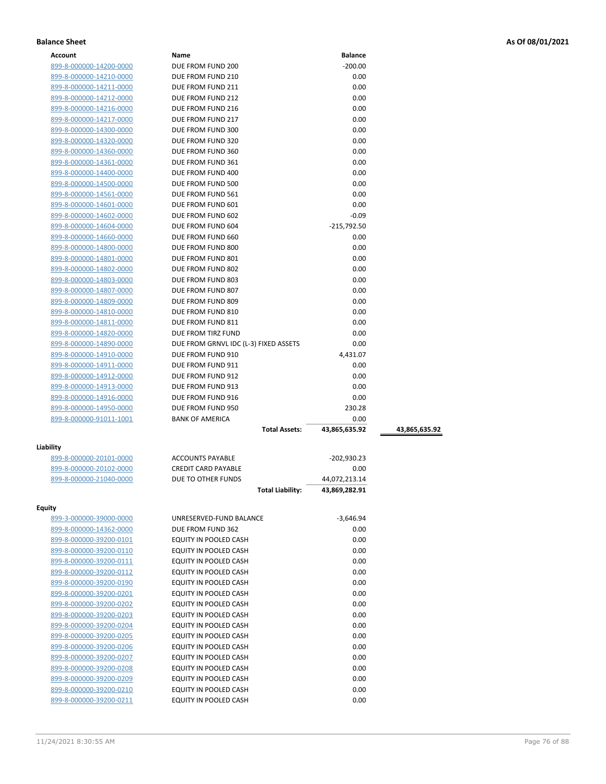| Account                                            | Name                                                  | <b>Balance</b>      |               |
|----------------------------------------------------|-------------------------------------------------------|---------------------|---------------|
| 899-8-000000-14200-0000                            | DUE FROM FUND 200                                     | $-200.00$           |               |
| 899-8-000000-14210-0000                            | DUE FROM FUND 210                                     | 0.00                |               |
| 899-8-000000-14211-0000                            | DUE FROM FUND 211                                     | 0.00                |               |
| 899-8-000000-14212-0000                            | DUE FROM FUND 212                                     | 0.00                |               |
| 899-8-000000-14216-0000                            | DUE FROM FUND 216                                     | 0.00                |               |
| 899-8-000000-14217-0000                            | DUE FROM FUND 217                                     | 0.00                |               |
| 899-8-000000-14300-0000                            | DUE FROM FUND 300                                     | 0.00                |               |
| 899-8-000000-14320-0000                            | DUE FROM FUND 320                                     | 0.00                |               |
| 899-8-000000-14360-0000                            | DUE FROM FUND 360                                     | 0.00                |               |
| 899-8-000000-14361-0000                            | DUE FROM FUND 361                                     | 0.00                |               |
| 899-8-000000-14400-0000                            | DUE FROM FUND 400                                     | 0.00                |               |
| 899-8-000000-14500-0000                            | DUE FROM FUND 500                                     | 0.00                |               |
| 899-8-000000-14561-0000                            | DUE FROM FUND 561                                     | 0.00                |               |
| 899-8-000000-14601-0000                            | DUE FROM FUND 601                                     | 0.00                |               |
| 899-8-000000-14602-0000                            | DUE FROM FUND 602                                     | $-0.09$             |               |
| 899-8-000000-14604-0000                            | DUE FROM FUND 604                                     | $-215,792.50$       |               |
| 899-8-000000-14660-0000                            | DUE FROM FUND 660                                     | 0.00                |               |
| 899-8-000000-14800-0000                            | DUE FROM FUND 800                                     | 0.00                |               |
| 899-8-000000-14801-0000                            | DUE FROM FUND 801                                     | 0.00                |               |
| 899-8-000000-14802-0000                            | DUE FROM FUND 802                                     | 0.00                |               |
| 899-8-000000-14803-0000                            | DUE FROM FUND 803                                     | 0.00                |               |
| 899-8-000000-14807-0000                            | DUE FROM FUND 807                                     | 0.00                |               |
| 899-8-000000-14809-0000                            | DUE FROM FUND 809                                     | 0.00                |               |
| 899-8-000000-14810-0000                            | DUE FROM FUND 810                                     | 0.00                |               |
| 899-8-000000-14811-0000                            | DUE FROM FUND 811                                     | 0.00                |               |
| 899-8-000000-14820-0000                            | DUE FROM TIRZ FUND                                    | 0.00                |               |
| 899-8-000000-14890-0000                            | DUE FROM GRNVL IDC (L-3) FIXED ASSETS                 | 0.00                |               |
| 899-8-000000-14910-0000                            | DUE FROM FUND 910                                     | 4,431.07            |               |
| 899-8-000000-14911-0000                            | DUE FROM FUND 911                                     | 0.00                |               |
| 899-8-000000-14912-0000                            | DUE FROM FUND 912                                     | 0.00                |               |
| 899-8-000000-14913-0000                            | DUE FROM FUND 913                                     | 0.00                |               |
| 899-8-000000-14916-0000                            | DUE FROM FUND 916                                     | 0.00                |               |
| 899-8-000000-14950-0000                            | DUE FROM FUND 950                                     | 230.28              |               |
| 899-8-000000-91011-1001                            | <b>BANK OF AMERICA</b>                                | 0.00                |               |
|                                                    | <b>Total Assets:</b>                                  | 43,865,635.92       | 43,865,635.92 |
|                                                    |                                                       |                     |               |
| Liability                                          |                                                       |                     |               |
| <u>899-8-000000-20101-0000</u>                     | <b>ACCOUNTS PAYABLE</b><br><b>CREDIT CARD PAYABLE</b> | -202,930.23<br>0.00 |               |
| 899-8-000000-20102-0000<br>899-8-000000-21040-0000 | DUE TO OTHER FUNDS                                    | 44,072,213.14       |               |
|                                                    | <b>Total Liability:</b>                               | 43,869,282.91       |               |
|                                                    |                                                       |                     |               |
| <b>Equity</b>                                      |                                                       |                     |               |
| 899-3-000000-39000-0000                            | UNRESERVED-FUND BALANCE                               | $-3,646.94$         |               |
| 899-8-000000-14362-0000                            | DUE FROM FUND 362                                     | 0.00                |               |
| 899-8-000000-39200-0101                            | EQUITY IN POOLED CASH                                 | 0.00                |               |
| 899-8-000000-39200-0110                            | EQUITY IN POOLED CASH                                 | 0.00                |               |
| 899-8-000000-39200-0111                            | EQUITY IN POOLED CASH                                 | 0.00                |               |
| 899-8-000000-39200-0112                            | EQUITY IN POOLED CASH                                 | 0.00                |               |
| 899-8-000000-39200-0190                            | EQUITY IN POOLED CASH                                 | 0.00                |               |
| 899-8-000000-39200-0201                            | EQUITY IN POOLED CASH                                 | 0.00                |               |
| 899-8-000000-39200-0202                            | EQUITY IN POOLED CASH                                 | 0.00                |               |
| 899-8-000000-39200-0203                            | EQUITY IN POOLED CASH                                 | 0.00                |               |
| 899-8-000000-39200-0204                            | EQUITY IN POOLED CASH                                 | 0.00                |               |
| 899-8-000000-39200-0205                            | EQUITY IN POOLED CASH                                 | 0.00                |               |
| 899-8-000000-39200-0206                            | EQUITY IN POOLED CASH                                 | 0.00                |               |
| 899-8-000000-39200-0207                            | EQUITY IN POOLED CASH                                 | 0.00                |               |
| 899-8-000000-39200-0208                            | EQUITY IN POOLED CASH                                 | 0.00                |               |

899-8-000000-39200-0209 EQUITY IN POOLED CASH 0.00 899-8-000000-39200-0210 EQUITY IN POOLED CASH 0.00 899-8-000000-39200-0211 EQUITY IN POOLED CASH 0.00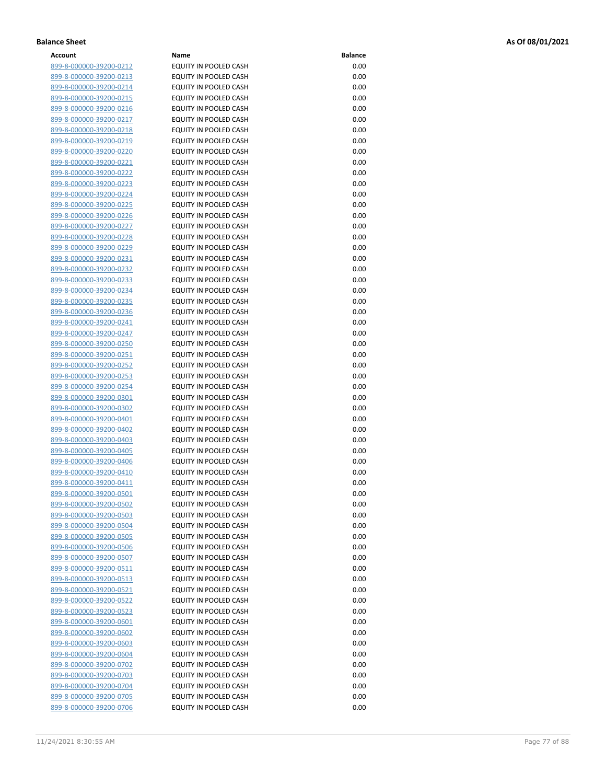| Account                        | Name                         | <b>Balance</b> |
|--------------------------------|------------------------------|----------------|
| 899-8-000000-39200-0212        | EQUITY IN POOLED CASH        | 0.00           |
| 899-8-000000-39200-0213        | EQUITY IN POOLED CASH        | 0.00           |
| 899-8-000000-39200-0214        | EQUITY IN POOLED CASH        | 0.00           |
| 899-8-000000-39200-0215        | EQUITY IN POOLED CASH        | 0.00           |
| 899-8-000000-39200-0216        | EQUITY IN POOLED CASH        | 0.00           |
|                                | <b>EQUITY IN POOLED CASH</b> | 0.00           |
| 899-8-000000-39200-0217        |                              |                |
| 899-8-000000-39200-0218        | EQUITY IN POOLED CASH        | 0.00           |
| 899-8-000000-39200-0219        | EQUITY IN POOLED CASH        | 0.00           |
| 899-8-000000-39200-0220        | EQUITY IN POOLED CASH        | 0.00           |
| 899-8-000000-39200-0221        | EQUITY IN POOLED CASH        | 0.00           |
| 899-8-000000-39200-0222        | EQUITY IN POOLED CASH        | 0.00           |
| 899-8-000000-39200-0223        | EQUITY IN POOLED CASH        | 0.00           |
| 899-8-000000-39200-0224        | EQUITY IN POOLED CASH        | 0.00           |
| 899-8-000000-39200-0225        | EQUITY IN POOLED CASH        | 0.00           |
| 899-8-000000-39200-0226        | EQUITY IN POOLED CASH        | 0.00           |
| 899-8-000000-39200-0227        | EQUITY IN POOLED CASH        | 0.00           |
| 899-8-000000-39200-0228        | EQUITY IN POOLED CASH        | 0.00           |
| 899-8-000000-39200-0229        | EQUITY IN POOLED CASH        | 0.00           |
| 899-8-000000-39200-0231        | EQUITY IN POOLED CASH        | 0.00           |
| 899-8-000000-39200-0232        | EQUITY IN POOLED CASH        | 0.00           |
| 899-8-000000-39200-0233        | EQUITY IN POOLED CASH        | 0.00           |
| 899-8-000000-39200-0234        | EQUITY IN POOLED CASH        | 0.00           |
| 899-8-000000-39200-0235        | EQUITY IN POOLED CASH        | 0.00           |
| 899-8-000000-39200-0236        | EQUITY IN POOLED CASH        | 0.00           |
| 899-8-000000-39200-0241        | EQUITY IN POOLED CASH        | 0.00           |
|                                | <b>EQUITY IN POOLED CASH</b> | 0.00           |
| 899-8-000000-39200-0247        | EQUITY IN POOLED CASH        | 0.00           |
| 899-8-000000-39200-0250        |                              |                |
| 899-8-000000-39200-0251        | EQUITY IN POOLED CASH        | 0.00           |
| 899-8-000000-39200-0252        | EQUITY IN POOLED CASH        | 0.00           |
| 899-8-000000-39200-0253        | EQUITY IN POOLED CASH        | 0.00           |
| 899-8-000000-39200-0254        | EQUITY IN POOLED CASH        | 0.00           |
| 899-8-000000-39200-0301        | EQUITY IN POOLED CASH        | 0.00           |
| 899-8-000000-39200-0302        | EQUITY IN POOLED CASH        | 0.00           |
| 899-8-000000-39200-0401        | EQUITY IN POOLED CASH        | 0.00           |
| 899-8-000000-39200-0402        | EQUITY IN POOLED CASH        | 0.00           |
| 899-8-000000-39200-0403        | EQUITY IN POOLED CASH        | 0.00           |
| 899-8-000000-39200-0405        | EQUITY IN POOLED CASH        | 0.00           |
| 899-8-000000-39200-0406        | EQUITY IN POOLED CASH        | 0.00           |
| 899-8-000000-39200-0410        | EQUITY IN POOLED CASH        | 0.00           |
| 899-8-000000-39200-0411        | EQUITY IN POOLED CASH        | 0.00           |
| <u>899-8-000000-39200-0501</u> | EQUITY IN POOLED CASH        | 0.00           |
| 899-8-000000-39200-0502        | EQUITY IN POOLED CASH        | 0.00           |
| 899-8-000000-39200-0503        | EQUITY IN POOLED CASH        | 0.00           |
| 899-8-000000-39200-0504        | EQUITY IN POOLED CASH        | 0.00           |
| 899-8-000000-39200-0505        | EQUITY IN POOLED CASH        | 0.00           |
| 899-8-000000-39200-0506        | EQUITY IN POOLED CASH        | 0.00           |
| 899-8-000000-39200-0507        | EQUITY IN POOLED CASH        | 0.00           |
| <u>899-8-000000-39200-0511</u> | EQUITY IN POOLED CASH        | 0.00           |
| 899-8-000000-39200-0513        | EQUITY IN POOLED CASH        | 0.00           |
| 899-8-000000-39200-0521        | EQUITY IN POOLED CASH        | 0.00           |
| 899-8-000000-39200-0522        | EQUITY IN POOLED CASH        | 0.00           |
| 899-8-000000-39200-0523        | EQUITY IN POOLED CASH        | 0.00           |
| <u>899-8-000000-39200-0601</u> | EQUITY IN POOLED CASH        | 0.00           |
| 899-8-000000-39200-0602        | EQUITY IN POOLED CASH        | 0.00           |
|                                |                              |                |
| 899-8-000000-39200-0603        | EQUITY IN POOLED CASH        | 0.00           |
| 899-8-000000-39200-0604        | EQUITY IN POOLED CASH        | 0.00           |
| 899-8-000000-39200-0702        | EQUITY IN POOLED CASH        | 0.00           |
| <u>899-8-000000-39200-0703</u> | EQUITY IN POOLED CASH        | 0.00           |
| 899-8-000000-39200-0704        | EQUITY IN POOLED CASH        | 0.00           |
| 899-8-000000-39200-0705        | EQUITY IN POOLED CASH        | 0.00           |
| 899-8-000000-39200-0706        | EQUITY IN POOLED CASH        | 0.00           |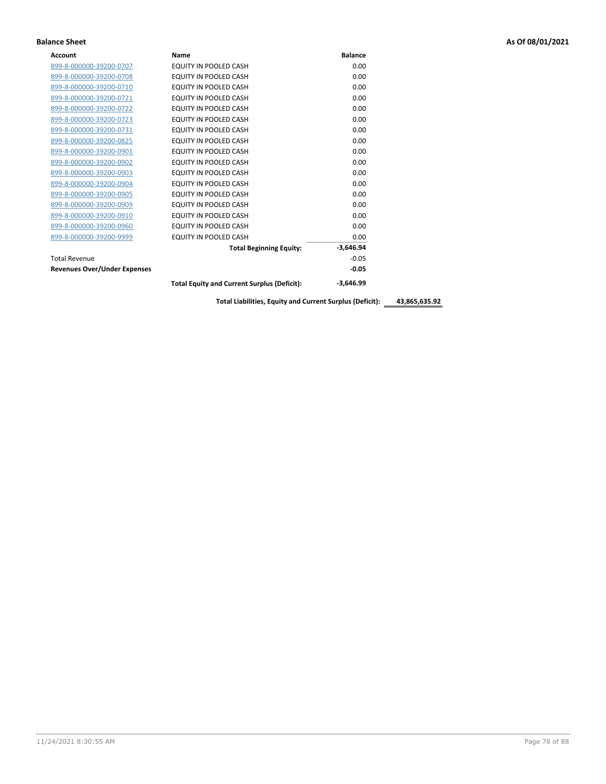| <b>Account</b>                      | Name                                               | <b>Balance</b> |
|-------------------------------------|----------------------------------------------------|----------------|
| 899-8-000000-39200-0707             | EQUITY IN POOLED CASH                              | 0.00           |
| 899-8-000000-39200-0708             | EQUITY IN POOLED CASH                              | 0.00           |
| 899-8-000000-39200-0710             | EQUITY IN POOLED CASH                              | 0.00           |
| 899-8-000000-39200-0721             | EQUITY IN POOLED CASH                              | 0.00           |
| 899-8-000000-39200-0722             | EQUITY IN POOLED CASH                              | 0.00           |
| 899-8-000000-39200-0723             | EQUITY IN POOLED CASH                              | 0.00           |
| 899-8-000000-39200-0731             | EQUITY IN POOLED CASH                              | 0.00           |
| 899-8-000000-39200-0825             | EQUITY IN POOLED CASH                              | 0.00           |
| 899-8-000000-39200-0901             | EQUITY IN POOLED CASH                              | 0.00           |
| 899-8-000000-39200-0902             | EQUITY IN POOLED CASH                              | 0.00           |
| 899-8-000000-39200-0903             | <b>EQUITY IN POOLED CASH</b>                       | 0.00           |
| 899-8-000000-39200-0904             | EQUITY IN POOLED CASH                              | 0.00           |
| 899-8-000000-39200-0905             | EQUITY IN POOLED CASH                              | 0.00           |
| 899-8-000000-39200-0909             | EQUITY IN POOLED CASH                              | 0.00           |
| 899-8-000000-39200-0910             | <b>EQUITY IN POOLED CASH</b>                       | 0.00           |
| 899-8-000000-39200-0960             | <b>EQUITY IN POOLED CASH</b>                       | 0.00           |
| 899-8-000000-39200-9999             | EQUITY IN POOLED CASH                              | 0.00           |
|                                     | <b>Total Beginning Equity:</b>                     | $-3,646.94$    |
| <b>Total Revenue</b>                |                                                    | $-0.05$        |
| <b>Revenues Over/Under Expenses</b> |                                                    | $-0.05$        |
|                                     | <b>Total Equity and Current Surplus (Deficit):</b> | $-3.646.99$    |

**Total Liabilities, Equity and Current Surplus (Deficit): 43,865,635.92**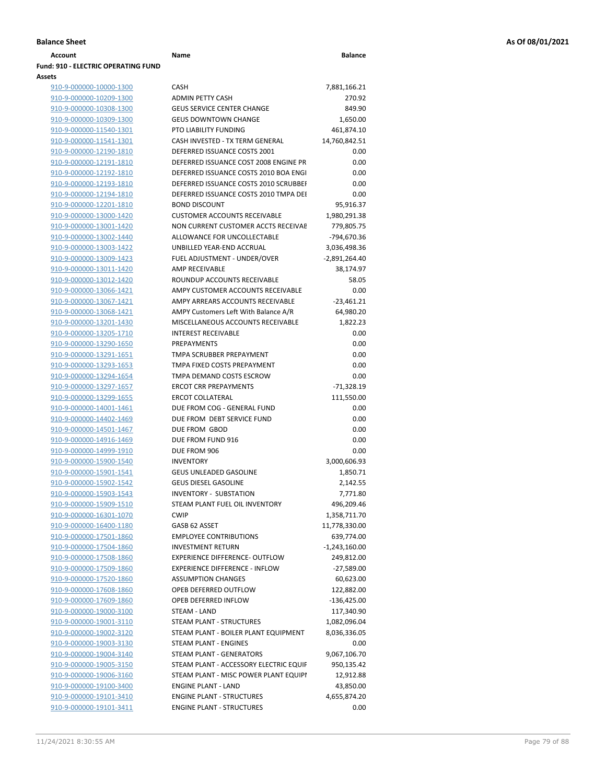| <b>Account</b>                             | Name                                   | <b>Balance</b>  |
|--------------------------------------------|----------------------------------------|-----------------|
| <b>Fund: 910 - ELECTRIC OPERATING FUND</b> |                                        |                 |
| Assets                                     |                                        |                 |
| 910-9-000000-10000-1300                    | <b>CASH</b>                            | 7,881,166.21    |
| 910-9-000000-10209-1300                    | <b>ADMIN PETTY CASH</b>                | 270.92          |
| 910-9-000000-10308-1300                    | <b>GEUS SERVICE CENTER CHANGE</b>      | 849.90          |
| 910-9-000000-10309-1300                    | <b>GEUS DOWNTOWN CHANGE</b>            | 1,650.00        |
| 910-9-000000-11540-1301                    | PTO LIABILITY FUNDING                  | 461,874.10      |
| 910-9-000000-11541-1301                    | CASH INVESTED - TX TERM GENERAL        | 14,760,842.51   |
| 910-9-000000-12190-1810                    | DEFERRED ISSUANCE COSTS 2001           | 0.00            |
| 910-9-000000-12191-1810                    | DEFERRED ISSUANCE COST 2008 ENGINE PR  | 0.00            |
| 910-9-000000-12192-1810                    | DEFERRED ISSUANCE COSTS 2010 BOA ENGL  | 0.00            |
| 910-9-000000-12193-1810                    | DEFERRED ISSUANCE COSTS 2010 SCRUBBEI  | 0.00            |
|                                            | DEFERRED ISSUANCE COSTS 2010 TMPA DEL  | 0.00            |
| 910-9-000000-12194-1810                    |                                        |                 |
| 910-9-000000-12201-1810                    | <b>BOND DISCOUNT</b>                   | 95,916.37       |
| 910-9-000000-13000-1420                    | <b>CUSTOMER ACCOUNTS RECEIVABLE</b>    | 1,980,291.38    |
| 910-9-000000-13001-1420                    | NON CURRENT CUSTOMER ACCTS RECEIVAE    | 779,805.75      |
| 910-9-000000-13002-1440                    | ALLOWANCE FOR UNCOLLECTABLE            | -794,670.36     |
| 910-9-000000-13003-1422                    | UNBILLED YEAR-END ACCRUAL              | 3,036,498.36    |
| 910-9-000000-13009-1423                    | FUEL ADJUSTMENT - UNDER/OVER           | $-2,891,264.40$ |
| 910-9-000000-13011-1420                    | AMP RECEIVABLE                         | 38,174.97       |
| 910-9-000000-13012-1420                    | ROUNDUP ACCOUNTS RECEIVABLE            | 58.05           |
| 910-9-000000-13066-1421                    | AMPY CUSTOMER ACCOUNTS RECEIVABLE      | 0.00            |
| 910-9-000000-13067-1421                    | AMPY ARREARS ACCOUNTS RECEIVABLE       | $-23,461.21$    |
| 910-9-000000-13068-1421                    | AMPY Customers Left With Balance A/R   | 64,980.20       |
| 910-9-000000-13201-1430                    | MISCELLANEOUS ACCOUNTS RECEIVABLE      | 1,822.23        |
| 910-9-000000-13205-1710                    | <b>INTEREST RECEIVABLE</b>             | 0.00            |
| 910-9-000000-13290-1650                    | <b>PREPAYMENTS</b>                     | 0.00            |
| 910-9-000000-13291-1651                    | TMPA SCRUBBER PREPAYMENT               | 0.00            |
| 910-9-000000-13293-1653                    | TMPA FIXED COSTS PREPAYMENT            | 0.00            |
|                                            |                                        |                 |
| 910-9-000000-13294-1654                    | TMPA DEMAND COSTS ESCROW               | 0.00            |
| 910-9-000000-13297-1657                    | <b>ERCOT CRR PREPAYMENTS</b>           | $-71,328.19$    |
| 910-9-000000-13299-1655                    | <b>ERCOT COLLATERAL</b>                | 111,550.00      |
| 910-9-000000-14001-1461                    | DUE FROM COG - GENERAL FUND            | 0.00            |
| 910-9-000000-14402-1469                    | DUE FROM DEBT SERVICE FUND             | 0.00            |
| 910-9-000000-14501-1467                    | DUE FROM GBOD                          | 0.00            |
| 910-9-000000-14916-1469                    | DUE FROM FUND 916                      | 0.00            |
| 910-9-000000-14999-1910                    | DUE FROM 906                           | 0.00            |
| 910-9-000000-15900-1540                    | <b>INVENTORY</b>                       | 3,000,606.93    |
| 910-9-000000-15901-1541                    | GEUS UNLEADED GASOLINE                 | 1,850.71        |
| 910-9-000000-15902-1542                    | <b>GEUS DIESEL GASOLINE</b>            | 2,142.55        |
| 910-9-000000-15903-1543                    | INVENTORY - SUBSTATION                 | 7,771.80        |
| 910-9-000000-15909-1510                    | STEAM PLANT FUEL OIL INVENTORY         | 496,209.46      |
| 910-9-000000-16301-1070                    | <b>CWIP</b>                            | 1,358,711.70    |
| 910-9-000000-16400-1180                    | GASB 62 ASSET                          | 11,778,330.00   |
| 910-9-000000-17501-1860                    | <b>EMPLOYEE CONTRIBUTIONS</b>          | 639,774.00      |
| 910-9-000000-17504-1860                    | <b>INVESTMENT RETURN</b>               | $-1,243,160.00$ |
| 910-9-000000-17508-1860                    | EXPERIENCE DIFFERENCE- OUTFLOW         | 249,812.00      |
|                                            | <b>EXPERIENCE DIFFERENCE - INFLOW</b>  |                 |
| 910-9-000000-17509-1860                    |                                        | $-27,589.00$    |
| 910-9-000000-17520-1860                    | <b>ASSUMPTION CHANGES</b>              | 60,623.00       |
| 910-9-000000-17608-1860                    | OPEB DEFERRED OUTFLOW                  | 122,882.00      |
| 910-9-000000-17609-1860                    | OPEB DEFERRED INFLOW                   | $-136,425.00$   |
| 910-9-000000-19000-3100                    | STEAM - LAND                           | 117,340.90      |
| 910-9-000000-19001-3110                    | STEAM PLANT - STRUCTURES               | 1,082,096.04    |
| 910-9-000000-19002-3120                    | STEAM PLANT - BOILER PLANT EQUIPMENT   | 8,036,336.05    |
| 910-9-000000-19003-3130                    | STEAM PLANT - ENGINES                  | 0.00            |
| 910-9-000000-19004-3140                    | STEAM PLANT - GENERATORS               | 9,067,106.70    |
| 910-9-000000-19005-3150                    | STEAM PLANT - ACCESSORY ELECTRIC EQUIF | 950,135.42      |
| 910-9-000000-19006-3160                    | STEAM PLANT - MISC POWER PLANT EQUIPI  | 12,912.88       |
| 910-9-000000-19100-3400                    | <b>ENGINE PLANT - LAND</b>             | 43,850.00       |
| 910-9-000000-19101-3410                    | <b>ENGINE PLANT - STRUCTURES</b>       | 4,655,874.20    |

| 910-9-000000-12193-1810 | DEFERRED ISSUANCE COSTS 2010 SCRUBBEF  | 0.00            |
|-------------------------|----------------------------------------|-----------------|
| 910-9-000000-12194-1810 | DEFERRED ISSUANCE COSTS 2010 TMPA DEI  | 0.00            |
| 910-9-000000-12201-1810 | <b>BOND DISCOUNT</b>                   | 95,916.37       |
| 910-9-000000-13000-1420 | <b>CUSTOMER ACCOUNTS RECEIVABLE</b>    | 1,980,291.38    |
| 910-9-000000-13001-1420 | NON CURRENT CUSTOMER ACCTS RECEIVAE    | 779,805.75      |
| 910-9-000000-13002-1440 | ALLOWANCE FOR UNCOLLECTABLE            | -794,670.36     |
| 910-9-000000-13003-1422 | UNBILLED YEAR-END ACCRUAL              | 3,036,498.36    |
| 910-9-000000-13009-1423 | FUEL ADJUSTMENT - UNDER/OVER           | $-2,891,264.40$ |
| 910-9-000000-13011-1420 | <b>AMP RECEIVABLE</b>                  | 38,174.97       |
| 910-9-000000-13012-1420 | ROUNDUP ACCOUNTS RECEIVABLE            | 58.05           |
| 910-9-000000-13066-1421 | AMPY CUSTOMER ACCOUNTS RECEIVABLE      | 0.00            |
| 910-9-000000-13067-1421 | AMPY ARREARS ACCOUNTS RECEIVABLE       | $-23,461.21$    |
| 910-9-000000-13068-1421 | AMPY Customers Left With Balance A/R   | 64,980.20       |
| 910-9-000000-13201-1430 | MISCELLANEOUS ACCOUNTS RECEIVABLE      | 1,822.23        |
| 910-9-000000-13205-1710 | <b>INTEREST RECEIVABLE</b>             | 0.00            |
| 910-9-000000-13290-1650 | PREPAYMENTS                            | 0.00            |
| 910-9-000000-13291-1651 | TMPA SCRUBBER PREPAYMENT               | 0.00            |
| 910-9-000000-13293-1653 | TMPA FIXED COSTS PREPAYMENT            | 0.00            |
| 910-9-000000-13294-1654 | TMPA DEMAND COSTS ESCROW               | 0.00            |
| 910-9-000000-13297-1657 | <b>ERCOT CRR PREPAYMENTS</b>           | $-71,328.19$    |
| 910-9-000000-13299-1655 | <b>ERCOT COLLATERAL</b>                | 111,550.00      |
| 910-9-000000-14001-1461 | DUE FROM COG - GENERAL FUND            | 0.00            |
| 910-9-000000-14402-1469 | DUE FROM DEBT SERVICE FUND             | 0.00            |
| 910-9-000000-14501-1467 | DUE FROM GBOD                          | 0.00            |
| 910-9-000000-14916-1469 | DUE FROM FUND 916                      | 0.00            |
| 910-9-000000-14999-1910 | DUE FROM 906                           | 0.00            |
| 910-9-000000-15900-1540 | <b>INVENTORY</b>                       | 3,000,606.93    |
| 910-9-000000-15901-1541 | <b>GEUS UNLEADED GASOLINE</b>          | 1,850.71        |
| 910-9-000000-15902-1542 | <b>GEUS DIESEL GASOLINE</b>            | 2,142.55        |
| 910-9-000000-15903-1543 | <b>INVENTORY - SUBSTATION</b>          | 7,771.80        |
| 910-9-000000-15909-1510 | STEAM PLANT FUEL OIL INVENTORY         | 496,209.46      |
| 910-9-000000-16301-1070 | <b>CWIP</b>                            | 1,358,711.70    |
| 910-9-000000-16400-1180 | GASB 62 ASSET                          | 11,778,330.00   |
| 910-9-000000-17501-1860 | <b>EMPLOYEE CONTRIBUTIONS</b>          | 639,774.00      |
| 910-9-000000-17504-1860 | <b>INVESTMENT RETURN</b>               | $-1,243,160.00$ |
| 910-9-000000-17508-1860 | <b>EXPERIENCE DIFFERENCE- OUTFLOW</b>  | 249,812.00      |
| 910-9-000000-17509-1860 | <b>EXPERIENCE DIFFERENCE - INFLOW</b>  | $-27,589.00$    |
| 910-9-000000-17520-1860 | <b>ASSUMPTION CHANGES</b>              | 60,623.00       |
| 910-9-000000-17608-1860 | OPEB DEFERRED OUTFLOW                  | 122,882.00      |
| 910-9-000000-17609-1860 | OPEB DEFERRED INFLOW                   | $-136,425.00$   |
| 910-9-000000-19000-3100 | STEAM - LAND                           | 117,340.90      |
| 910-9-000000-19001-3110 | STEAM PLANT - STRUCTURES               | 1,082,096.04    |
| 910-9-000000-19002-3120 | STEAM PLANT - BOILER PLANT EQUIPMENT   | 8,036,336.05    |
| 910-9-000000-19003-3130 | STEAM PLANT - ENGINES                  | 0.00            |
| 910-9-000000-19004-3140 | STEAM PLANT - GENERATORS               | 9,067,106.70    |
| 910-9-000000-19005-3150 | STEAM PLANT - ACCESSORY ELECTRIC EQUIF | 950,135.42      |
| 910-9-000000-19006-3160 | STEAM PLANT - MISC POWER PLANT EQUIPI  | 12,912.88       |
| 910-9-000000-19100-3400 | <b>ENGINE PLANT - LAND</b>             | 43,850.00       |
| 910-9-000000-19101-3410 | <b>ENGINE PLANT - STRUCTURES</b>       | 4,655,874.20    |
| 910-9-000000-19101-3411 | <b>ENGINE PLANT - STRUCTURES</b>       | 0.00            |
|                         |                                        |                 |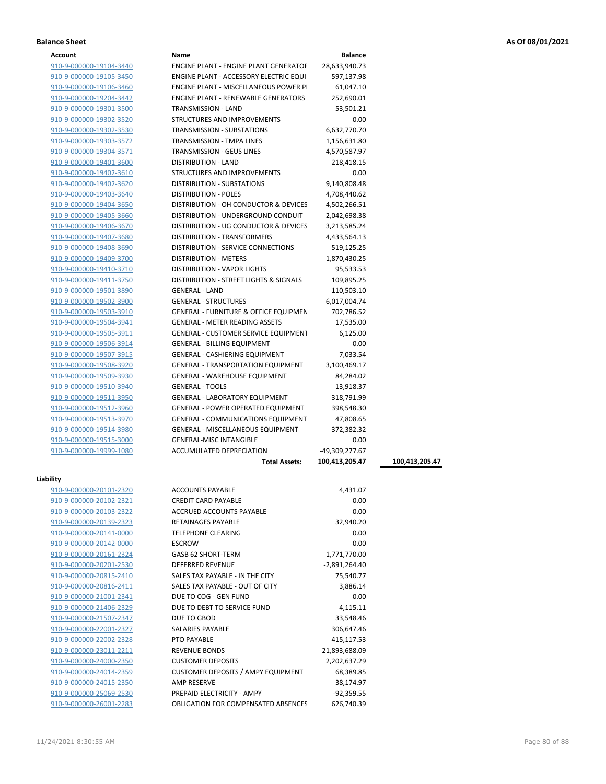| Account |
|---------|
|---------|

| Account                 | Name                                                               | <b>Balance</b>  |                |
|-------------------------|--------------------------------------------------------------------|-----------------|----------------|
| 910-9-000000-19104-3440 | ENGINE PLANT - ENGINE PLANT GENERATOF                              | 28,633,940.73   |                |
| 910-9-000000-19105-3450 | ENGINE PLANT - ACCESSORY ELECTRIC EQUI                             | 597,137.98      |                |
| 910-9-000000-19106-3460 | ENGINE PLANT - MISCELLANEOUS POWER P                               | 61,047.10       |                |
| 910-9-000000-19204-3442 | <b>ENGINE PLANT - RENEWABLE GENERATORS</b>                         | 252,690.01      |                |
| 910-9-000000-19301-3500 | <b>TRANSMISSION - LAND</b>                                         | 53,501.21       |                |
| 910-9-000000-19302-3520 | STRUCTURES AND IMPROVEMENTS                                        | 0.00            |                |
| 910-9-000000-19302-3530 | TRANSMISSION - SUBSTATIONS                                         | 6,632,770.70    |                |
| 910-9-000000-19303-3572 | TRANSMISSION - TMPA LINES                                          | 1,156,631.80    |                |
| 910-9-000000-19304-3571 | <b>TRANSMISSION - GEUS LINES</b>                                   | 4,570,587.97    |                |
| 910-9-000000-19401-3600 | DISTRIBUTION - LAND                                                | 218,418.15      |                |
| 910-9-000000-19402-3610 | STRUCTURES AND IMPROVEMENTS                                        | 0.00            |                |
| 910-9-000000-19402-3620 | <b>DISTRIBUTION - SUBSTATIONS</b>                                  | 9,140,808.48    |                |
| 910-9-000000-19403-3640 | <b>DISTRIBUTION - POLES</b>                                        | 4,708,440.62    |                |
| 910-9-000000-19404-3650 | DISTRIBUTION - OH CONDUCTOR & DEVICES                              | 4,502,266.51    |                |
| 910-9-000000-19405-3660 | DISTRIBUTION - UNDERGROUND CONDUIT                                 | 2,042,698.38    |                |
| 910-9-000000-19406-3670 | DISTRIBUTION - UG CONDUCTOR & DEVICES                              | 3,213,585.24    |                |
| 910-9-000000-19407-3680 | DISTRIBUTION - TRANSFORMERS                                        | 4,433,564.13    |                |
| 910-9-000000-19408-3690 | DISTRIBUTION - SERVICE CONNECTIONS                                 | 519,125.25      |                |
|                         |                                                                    |                 |                |
| 910-9-000000-19409-3700 | <b>DISTRIBUTION - METERS</b><br><b>DISTRIBUTION - VAPOR LIGHTS</b> | 1,870,430.25    |                |
| 910-9-000000-19410-3710 |                                                                    | 95,533.53       |                |
| 910-9-000000-19411-3750 | DISTRIBUTION - STREET LIGHTS & SIGNALS                             | 109,895.25      |                |
| 910-9-000000-19501-3890 | <b>GENERAL - LAND</b>                                              | 110,503.10      |                |
| 910-9-000000-19502-3900 | <b>GENERAL - STRUCTURES</b>                                        | 6,017,004.74    |                |
| 910-9-000000-19503-3910 | <b>GENERAL - FURNITURE &amp; OFFICE EQUIPMEN</b>                   | 702,786.52      |                |
| 910-9-000000-19504-3941 | <b>GENERAL - METER READING ASSETS</b>                              | 17,535.00       |                |
| 910-9-000000-19505-3911 | <b>GENERAL - CUSTOMER SERVICE EQUIPMENT</b>                        | 6,125.00        |                |
| 910-9-000000-19506-3914 | <b>GENERAL - BILLING EQUIPMENT</b>                                 | 0.00            |                |
| 910-9-000000-19507-3915 | <b>GENERAL - CASHIERING EQUIPMENT</b>                              | 7,033.54        |                |
| 910-9-000000-19508-3920 | <b>GENERAL - TRANSPORTATION EQUIPMENT</b>                          | 3,100,469.17    |                |
| 910-9-000000-19509-3930 | <b>GENERAL - WAREHOUSE EQUIPMENT</b>                               | 84,284.02       |                |
| 910-9-000000-19510-3940 | <b>GENERAL - TOOLS</b>                                             | 13,918.37       |                |
| 910-9-000000-19511-3950 | <b>GENERAL - LABORATORY EQUIPMENT</b>                              | 318,791.99      |                |
| 910-9-000000-19512-3960 | <b>GENERAL - POWER OPERATED EQUIPMENT</b>                          | 398,548.30      |                |
| 910-9-000000-19513-3970 | <b>GENERAL - COMMUNICATIONS EQUIPMENT</b>                          | 47,808.65       |                |
| 910-9-000000-19514-3980 | <b>GENERAL - MISCELLANEOUS EQUIPMENT</b>                           | 372,382.32      |                |
| 910-9-000000-19515-3000 | <b>GENERAL-MISC INTANGIBLE</b>                                     | 0.00            |                |
| 910-9-000000-19999-1080 | <b>ACCUMULATED DEPRECIATION</b>                                    | -49,309,277.67  |                |
|                         | <b>Total Assets:</b>                                               | 100,413,205.47  | 100,413,205.47 |
|                         |                                                                    |                 |                |
| Liability               |                                                                    |                 |                |
| 910-9-000000-20101-2320 | <b>ACCOUNTS PAYABLE</b>                                            | 4,431.07        |                |
| 910-9-000000-20102-2321 | <b>CREDIT CARD PAYABLE</b>                                         | 0.00            |                |
| 910-9-000000-20103-2322 | ACCRUED ACCOUNTS PAYABLE                                           | 0.00            |                |
| 910-9-000000-20139-2323 | <b>RETAINAGES PAYABLE</b>                                          | 32,940.20       |                |
| 910-9-000000-20141-0000 | <b>TELEPHONE CLEARING</b>                                          | 0.00            |                |
| 910-9-000000-20142-0000 | <b>ESCROW</b>                                                      | 0.00            |                |
| 910-9-000000-20161-2324 | GASB 62 SHORT-TERM                                                 | 1,771,770.00    |                |
| 910-9-000000-20201-2530 | DEFERRED REVENUE                                                   | $-2,891,264.40$ |                |
| 910-9-000000-20815-2410 | SALES TAX PAYABLE - IN THE CITY                                    | 75,540.77       |                |
| 910-9-000000-20816-2411 | SALES TAX PAYABLE - OUT OF CITY                                    | 3,886.14        |                |
| 910-9-000000-21001-2341 | DUE TO COG - GEN FUND                                              | 0.00            |                |
| 910-9-000000-21406-2329 | DUE TO DEBT TO SERVICE FUND                                        | 4,115.11        |                |
| 910-9-000000-21507-2347 | DUE TO GBOD                                                        | 33,548.46       |                |
| 910-9-000000-22001-2327 | SALARIES PAYABLE                                                   | 306,647.46      |                |
| 910-9-000000-22002-2328 | PTO PAYABLE                                                        | 415,117.53      |                |
| 910-9-000000-23011-2211 | <b>REVENUE BONDS</b>                                               | 21,893,688.09   |                |
| 910-9-000000-24000-2350 | <b>CUSTOMER DEPOSITS</b>                                           | 2,202,637.29    |                |
| 910-9-000000-24014-2359 | CUSTOMER DEPOSITS / AMPY EQUIPMENT                                 | 68,389.85       |                |
| 910-9-000000-24015-2350 | AMP RESERVE                                                        | 38,174.97       |                |
| 910-9-000000-25069-2530 | PREPAID ELECTRICITY - AMPY                                         | -92,359.55      |                |

910-9-000000-26001-2283 OBLIGATION FOR COMPENSATED ABSENCES 626,740.39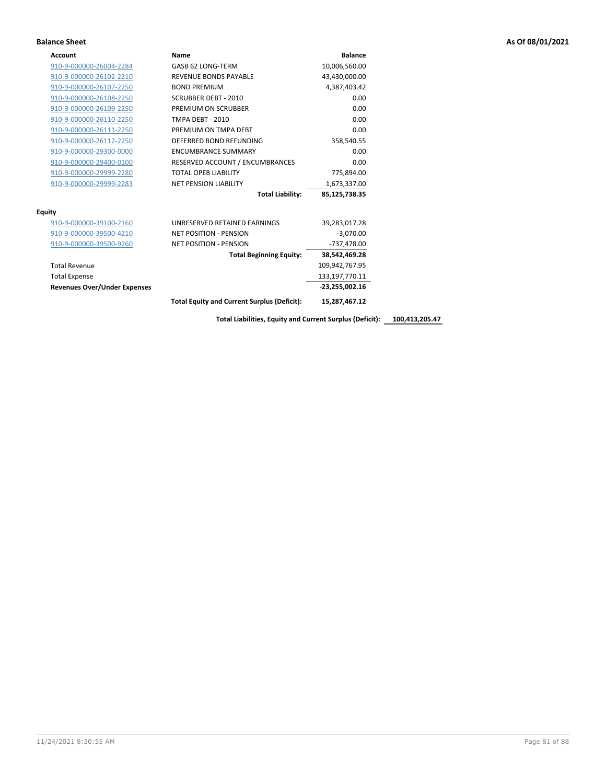| Account                             | Name                                               | <b>Balance</b>    |
|-------------------------------------|----------------------------------------------------|-------------------|
| 910-9-000000-26004-2284             | GASB 62 LONG-TERM                                  | 10,006,560.00     |
| 910-9-000000-26102-2210             | <b>REVENUE BONDS PAYABLE</b>                       | 43,430,000.00     |
| 910-9-000000-26107-2250             | <b>BOND PREMIUM</b>                                | 4,387,403.42      |
| 910-9-000000-26108-2250             | <b>SCRUBBER DEBT - 2010</b>                        | 0.00              |
| 910-9-000000-26109-2250             | PREMIUM ON SCRUBBER                                | 0.00              |
| 910-9-000000-26110-2250             | <b>TMPA DEBT - 2010</b>                            | 0.00              |
| 910-9-000000-26111-2250             | PREMIUM ON TMPA DEBT                               | 0.00              |
| 910-9-000000-26112-2250             | DEFERRED BOND REFUNDING                            | 358,540.55        |
| 910-9-000000-29300-0000             | <b>ENCUMBRANCE SUMMARY</b>                         | 0.00              |
| 910-9-000000-29400-0100             | RESERVED ACCOUNT / ENCUMBRANCES                    | 0.00              |
| 910-9-000000-29999-2280             | <b>TOTAL OPEB LIABILITY</b>                        | 775,894.00        |
| 910-9-000000-29999-2283             | <b>NET PENSION LIABILITY</b>                       | 1,673,337.00      |
|                                     | <b>Total Liability:</b>                            | 85,125,738.35     |
| <b>Equity</b>                       |                                                    |                   |
| 910-9-000000-39100-2160             | UNRESERVED RETAINED EARNINGS                       | 39,283,017.28     |
| 910-9-000000-39500-4210             | <b>NET POSITION - PENSION</b>                      | $-3,070.00$       |
| 910-9-000000-39500-9260             | <b>NET POSITION - PENSION</b>                      | -737,478.00       |
|                                     | <b>Total Beginning Equity:</b>                     | 38,542,469.28     |
| <b>Total Revenue</b>                |                                                    | 109,942,767.95    |
| <b>Total Expense</b>                |                                                    | 133, 197, 770. 11 |
| <b>Revenues Over/Under Expenses</b> |                                                    | $-23,255,002.16$  |
|                                     | <b>Total Equity and Current Surplus (Deficit):</b> | 15,287,467.12     |

**Total Liabilities, Equity and Current Surplus (Deficit): 100,413,205.47**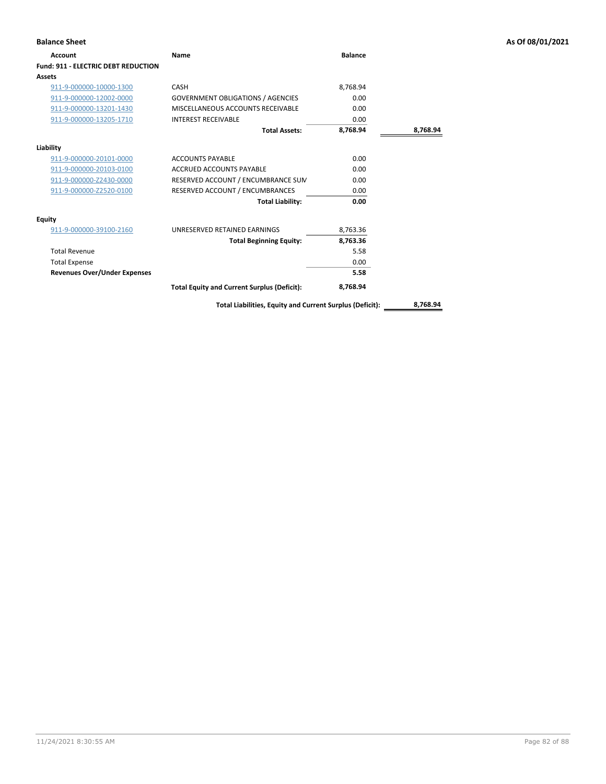| <b>Balance Sheet</b>                       |                                                          |                |          | As Of 08/01/2021 |
|--------------------------------------------|----------------------------------------------------------|----------------|----------|------------------|
| Account                                    | <b>Name</b>                                              | <b>Balance</b> |          |                  |
| <b>Fund: 911 - ELECTRIC DEBT REDUCTION</b> |                                                          |                |          |                  |
| Assets                                     |                                                          |                |          |                  |
| 911-9-000000-10000-1300                    | CASH                                                     | 8,768.94       |          |                  |
| 911-9-000000-12002-0000                    | <b>GOVERNMENT OBLIGATIONS / AGENCIES</b>                 | 0.00           |          |                  |
| 911-9-000000-13201-1430                    | MISCELLANEOUS ACCOUNTS RECEIVABLE                        | 0.00           |          |                  |
| 911-9-000000-13205-1710                    | <b>INTEREST RECEIVABLE</b>                               | 0.00           |          |                  |
|                                            | <b>Total Assets:</b>                                     | 8,768.94       | 8,768.94 |                  |
| Liability                                  |                                                          |                |          |                  |
| 911-9-000000-20101-0000                    | <b>ACCOUNTS PAYABLE</b>                                  | 0.00           |          |                  |
| 911-9-000000-20103-0100                    | <b>ACCRUED ACCOUNTS PAYABLE</b>                          | 0.00           |          |                  |
| 911-9-000000-Z2430-0000                    | RESERVED ACCOUNT / ENCUMBRANCE SUM                       | 0.00           |          |                  |
| 911-9-000000-Z2520-0100                    | RESERVED ACCOUNT / ENCUMBRANCES                          | 0.00           |          |                  |
|                                            | <b>Total Liability:</b>                                  | 0.00           |          |                  |
| <b>Equity</b>                              |                                                          |                |          |                  |
| 911-9-000000-39100-2160                    | UNRESERVED RETAINED EARNINGS                             | 8,763.36       |          |                  |
|                                            | <b>Total Beginning Equity:</b>                           | 8,763.36       |          |                  |
| <b>Total Revenue</b>                       |                                                          | 5.58           |          |                  |
| <b>Total Expense</b>                       |                                                          | 0.00           |          |                  |
| <b>Revenues Over/Under Expenses</b>        |                                                          | 5.58           |          |                  |
|                                            | <b>Total Equity and Current Surplus (Deficit):</b>       | 8,768.94       |          |                  |
|                                            | Total Liabilities, Equity and Current Surplus (Deficit): |                | 8,768.94 |                  |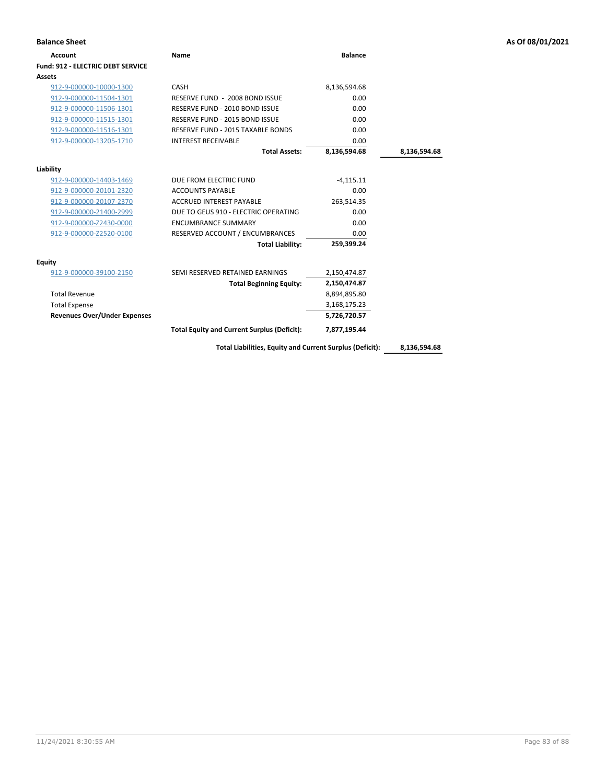| <b>Balance Sheet</b>                     |                                                          |                |              | As Of 08/01/2021 |
|------------------------------------------|----------------------------------------------------------|----------------|--------------|------------------|
| <b>Account</b>                           | <b>Name</b>                                              | <b>Balance</b> |              |                  |
| <b>Fund: 912 - ELECTRIC DEBT SERVICE</b> |                                                          |                |              |                  |
| Assets                                   |                                                          |                |              |                  |
| 912-9-000000-10000-1300                  | CASH                                                     | 8,136,594.68   |              |                  |
| 912-9-000000-11504-1301                  | RESERVE FUND - 2008 BOND ISSUE                           | 0.00           |              |                  |
| 912-9-000000-11506-1301                  | RESERVE FUND - 2010 BOND ISSUE                           | 0.00           |              |                  |
| 912-9-000000-11515-1301                  | RESERVE FUND - 2015 BOND ISSUE                           | 0.00           |              |                  |
| 912-9-000000-11516-1301                  | RESERVE FUND - 2015 TAXABLE BONDS                        | 0.00           |              |                  |
| 912-9-000000-13205-1710                  | <b>INTEREST RECEIVABLE</b>                               | 0.00           |              |                  |
|                                          | <b>Total Assets:</b>                                     | 8,136,594.68   | 8,136,594.68 |                  |
| Liability                                |                                                          |                |              |                  |
| 912-9-000000-14403-1469                  | DUE FROM ELECTRIC FUND                                   | $-4,115.11$    |              |                  |
| 912-9-000000-20101-2320                  | <b>ACCOUNTS PAYABLE</b>                                  | 0.00           |              |                  |
| 912-9-000000-20107-2370                  | <b>ACCRUED INTEREST PAYABLE</b>                          | 263,514.35     |              |                  |
| 912-9-000000-21400-2999                  | DUE TO GEUS 910 - ELECTRIC OPERATING                     | 0.00           |              |                  |
| 912-9-000000-Z2430-0000                  | <b>ENCUMBRANCE SUMMARY</b>                               | 0.00           |              |                  |
| 912-9-000000-Z2520-0100                  | RESERVED ACCOUNT / ENCUMBRANCES                          | 0.00           |              |                  |
|                                          | <b>Total Liability:</b>                                  | 259,399.24     |              |                  |
| <b>Equity</b>                            |                                                          |                |              |                  |
| 912-9-000000-39100-2150                  | SEMI RESERVED RETAINED EARNINGS                          | 2,150,474.87   |              |                  |
|                                          | <b>Total Beginning Equity:</b>                           | 2,150,474.87   |              |                  |
| <b>Total Revenue</b>                     |                                                          | 8,894,895.80   |              |                  |
| <b>Total Expense</b>                     |                                                          | 3,168,175.23   |              |                  |
| <b>Revenues Over/Under Expenses</b>      |                                                          | 5,726,720.57   |              |                  |
|                                          | <b>Total Equity and Current Surplus (Deficit):</b>       | 7,877,195.44   |              |                  |
|                                          | Total Liabilities, Equity and Current Surplus (Deficit): |                | 8,136,594.68 |                  |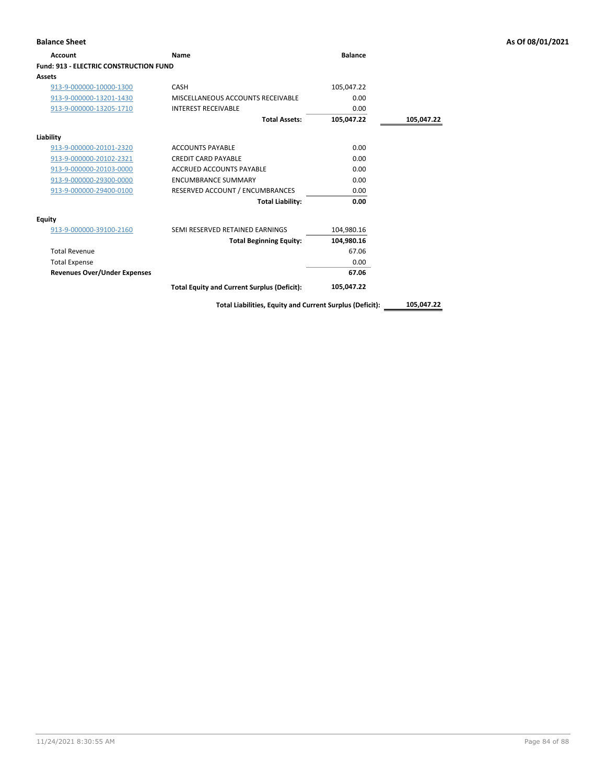| Account                                       | Name                                               | <b>Balance</b> |            |
|-----------------------------------------------|----------------------------------------------------|----------------|------------|
| <b>Fund: 913 - ELECTRIC CONSTRUCTION FUND</b> |                                                    |                |            |
| <b>Assets</b>                                 |                                                    |                |            |
| 913-9-000000-10000-1300                       | CASH                                               | 105,047.22     |            |
| 913-9-000000-13201-1430                       | MISCELLANEOUS ACCOUNTS RECEIVABLE                  | 0.00           |            |
| 913-9-000000-13205-1710                       | <b>INTEREST RECEIVABLE</b>                         | 0.00           |            |
|                                               | <b>Total Assets:</b>                               | 105,047.22     | 105,047.22 |
| Liability                                     |                                                    |                |            |
| 913-9-000000-20101-2320                       | <b>ACCOUNTS PAYABLE</b>                            | 0.00           |            |
| 913-9-000000-20102-2321                       | <b>CREDIT CARD PAYABLE</b>                         | 0.00           |            |
| 913-9-000000-20103-0000                       | ACCRUED ACCOUNTS PAYABLE                           | 0.00           |            |
| 913-9-000000-29300-0000                       | <b>ENCUMBRANCE SUMMARY</b>                         | 0.00           |            |
| 913-9-000000-29400-0100                       | RESERVED ACCOUNT / ENCUMBRANCES                    | 0.00           |            |
|                                               | <b>Total Liability:</b>                            | 0.00           |            |
| Equity                                        |                                                    |                |            |
| 913-9-000000-39100-2160                       | SEMI RESERVED RETAINED EARNINGS                    | 104,980.16     |            |
|                                               | <b>Total Beginning Equity:</b>                     | 104,980.16     |            |
| <b>Total Revenue</b>                          |                                                    | 67.06          |            |
| <b>Total Expense</b>                          |                                                    | 0.00           |            |
| <b>Revenues Over/Under Expenses</b>           |                                                    | 67.06          |            |
|                                               | <b>Total Equity and Current Surplus (Deficit):</b> | 105,047.22     |            |

**Total Liabilities, Equity and Current Surplus (Deficit): 105,047.22**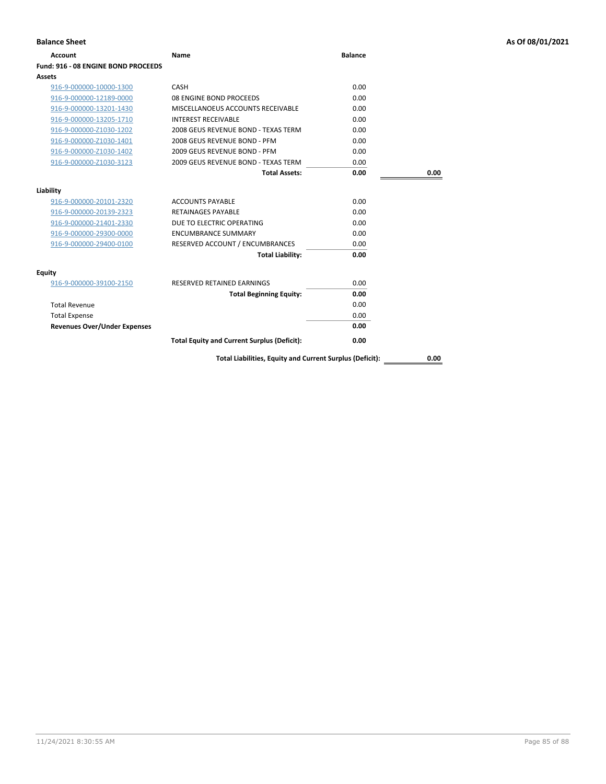| <b>Balance Sheet</b>                |                                                          |                |      | As Of 08/01/2021 |
|-------------------------------------|----------------------------------------------------------|----------------|------|------------------|
| <b>Account</b>                      | <b>Name</b>                                              | <b>Balance</b> |      |                  |
| Fund: 916 - 08 ENGINE BOND PROCEEDS |                                                          |                |      |                  |
| Assets                              |                                                          |                |      |                  |
| 916-9-000000-10000-1300             | CASH                                                     | 0.00           |      |                  |
| 916-9-000000-12189-0000             | 08 ENGINE BOND PROCEEDS                                  | 0.00           |      |                  |
| 916-9-000000-13201-1430             | MISCELLANOEUS ACCOUNTS RECEIVABLE                        | 0.00           |      |                  |
| 916-9-000000-13205-1710             | <b>INTEREST RECEIVABLE</b>                               | 0.00           |      |                  |
| 916-9-000000-Z1030-1202             | 2008 GEUS REVENUE BOND - TEXAS TERM                      | 0.00           |      |                  |
| 916-9-000000-Z1030-1401             | 2008 GEUS REVENUE BOND - PFM                             | 0.00           |      |                  |
| 916-9-000000-Z1030-1402             | 2009 GEUS REVENUE BOND - PFM                             | 0.00           |      |                  |
| 916-9-000000-Z1030-3123             | 2009 GEUS REVENUE BOND - TEXAS TERM                      | 0.00           |      |                  |
|                                     | <b>Total Assets:</b>                                     | 0.00           | 0.00 |                  |
| Liability                           |                                                          |                |      |                  |
| 916-9-000000-20101-2320             | <b>ACCOUNTS PAYABLE</b>                                  | 0.00           |      |                  |
| 916-9-000000-20139-2323             | <b>RETAINAGES PAYABLE</b>                                | 0.00           |      |                  |
| 916-9-000000-21401-2330             | DUE TO ELECTRIC OPERATING                                | 0.00           |      |                  |
| 916-9-000000-29300-0000             | <b>ENCUMBRANCE SUMMARY</b>                               | 0.00           |      |                  |
| 916-9-000000-29400-0100             | RESERVED ACCOUNT / ENCUMBRANCES                          | 0.00           |      |                  |
|                                     | <b>Total Liability:</b>                                  | 0.00           |      |                  |
| Equity                              |                                                          |                |      |                  |
| 916-9-000000-39100-2150             | RESERVED RETAINED EARNINGS                               | 0.00           |      |                  |
|                                     | <b>Total Beginning Equity:</b>                           | 0.00           |      |                  |
| <b>Total Revenue</b>                |                                                          | 0.00           |      |                  |
| <b>Total Expense</b>                |                                                          | 0.00           |      |                  |
| <b>Revenues Over/Under Expenses</b> |                                                          | 0.00           |      |                  |
|                                     | <b>Total Equity and Current Surplus (Deficit):</b>       | 0.00           |      |                  |
|                                     | Total Liabilities, Equity and Current Surplus (Deficit): |                | 0.00 |                  |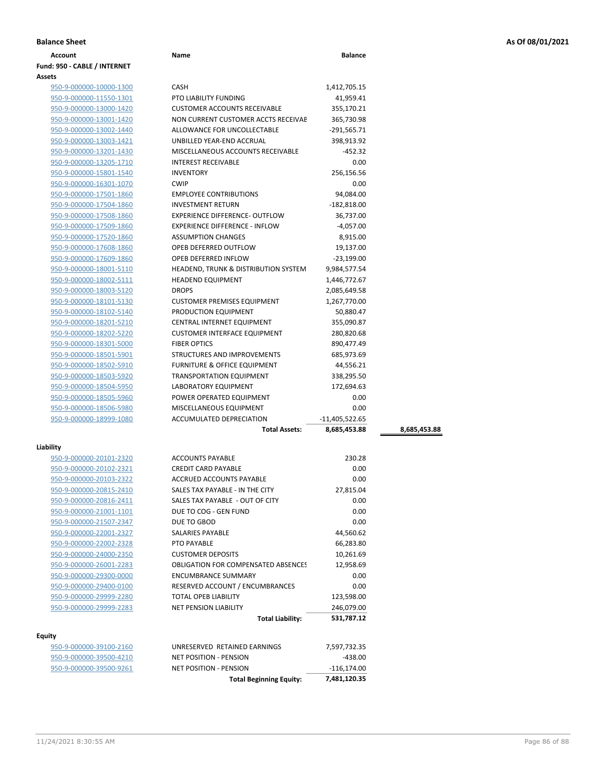| <b>Balance Sheet</b> | As Of 08/01/2021 |
|----------------------|------------------|
|                      |                  |

| <b>Account</b>               | Name                                                     | <b>Balance</b> |              |
|------------------------------|----------------------------------------------------------|----------------|--------------|
| Fund: 950 - CABLE / INTERNET |                                                          |                |              |
| Assets                       |                                                          |                |              |
| 950-9-000000-10000-1300      | <b>CASH</b>                                              | 1,412,705.15   |              |
| 950-9-000000-11550-1301      | PTO LIABILITY FUNDING                                    | 41,959.41      |              |
| 950-9-000000-13000-1420      | <b>CUSTOMER ACCOUNTS RECEIVABLE</b>                      | 355,170.21     |              |
| 950-9-000000-13001-1420      | NON CURRENT CUSTOMER ACCTS RECEIVAE                      | 365,730.98     |              |
| 950-9-000000-13002-1440      | ALLOWANCE FOR UNCOLLECTABLE                              | $-291,565.71$  |              |
| 950-9-000000-13003-1421      | UNBILLED YEAR-END ACCRUAL                                | 398,913.92     |              |
| 950-9-000000-13201-1430      | MISCELLANEOUS ACCOUNTS RECEIVABLE                        | -452.32        |              |
| 950-9-000000-13205-1710      | <b>INTEREST RECEIVABLE</b>                               | 0.00           |              |
| 950-9-000000-15801-1540      | <b>INVENTORY</b>                                         | 256,156.56     |              |
| 950-9-000000-16301-1070      | <b>CWIP</b>                                              | 0.00           |              |
| 950-9-000000-17501-1860      | <b>EMPLOYEE CONTRIBUTIONS</b>                            | 94,084.00      |              |
| 950-9-000000-17504-1860      | <b>INVESTMENT RETURN</b>                                 | $-182,818.00$  |              |
| 950-9-000000-17508-1860      | <b>EXPERIENCE DIFFERENCE- OUTFLOW</b>                    | 36,737.00      |              |
| 950-9-000000-17509-1860      | <b>EXPERIENCE DIFFERENCE - INFLOW</b>                    | $-4,057.00$    |              |
| 950-9-000000-17520-1860      | <b>ASSUMPTION CHANGES</b>                                | 8,915.00       |              |
|                              |                                                          |                |              |
| 950-9-000000-17608-1860      | OPEB DEFERRED OUTFLOW                                    | 19,137.00      |              |
| 950-9-000000-17609-1860      | OPEB DEFERRED INFLOW                                     | $-23,199.00$   |              |
| 950-9-000000-18001-5110      | <b>HEADEND, TRUNK &amp; DISTRIBUTION SYSTEM</b>          | 9,984,577.54   |              |
| 950-9-000000-18002-5111      | <b>HEADEND EQUIPMENT</b>                                 | 1,446,772.67   |              |
| 950-9-000000-18003-5120      | <b>DROPS</b>                                             | 2,085,649.58   |              |
| 950-9-000000-18101-5130      | <b>CUSTOMER PREMISES EQUIPMENT</b>                       | 1,267,770.00   |              |
| 950-9-000000-18102-5140      | PRODUCTION EQUIPMENT                                     | 50,880.47      |              |
| 950-9-000000-18201-5210      | <b>CENTRAL INTERNET EQUIPMENT</b>                        | 355,090.87     |              |
| 950-9-000000-18202-5220      | <b>CUSTOMER INTERFACE EQUIPMENT</b>                      | 280,820.68     |              |
| 950-9-000000-18301-5000      | <b>FIBER OPTICS</b>                                      | 890,477.49     |              |
| 950-9-000000-18501-5901      | STRUCTURES AND IMPROVEMENTS                              | 685,973.69     |              |
| 950-9-000000-18502-5910      | FURNITURE & OFFICE EQUIPMENT                             | 44,556.21      |              |
| 950-9-000000-18503-5920      | <b>TRANSPORTATION EQUIPMENT</b>                          | 338,295.50     |              |
| 950-9-000000-18504-5950      | LABORATORY EQUIPMENT                                     | 172,694.63     |              |
| 950-9-000000-18505-5960      | POWER OPERATED EQUIPMENT                                 | 0.00           |              |
| 950-9-000000-18506-5980      | MISCELLANEOUS EQUIPMENT                                  | 0.00           |              |
| 950-9-000000-18999-1080      | ACCUMULATED DEPRECIATION                                 | -11,405,522.65 |              |
|                              | <b>Total Assets:</b>                                     | 8,685,453.88   | 8,685,453.88 |
| Liability                    |                                                          |                |              |
| 950-9-000000-20101-2320      | <b>ACCOUNTS PAYABLE</b>                                  | 230.28         |              |
| 950-9-000000-20102-2321      | <b>CREDIT CARD PAYABLE</b>                               | 0.00           |              |
| 950-9-000000-20103-2322      | ACCRUED ACCOUNTS PAYABLE                                 | 0.00           |              |
| 950-9-000000-20815-2410      | SALES TAX PAYABLE - IN THE CITY                          | 27,815.04      |              |
| 950-9-000000-20816-2411      |                                                          |                |              |
| 950-9-000000-21001-1101      | SALES TAX PAYABLE - OUT OF CITY<br>DUE TO COG - GEN FUND | 0.00<br>0.00   |              |
| 950-9-000000-21507-2347      | DUE TO GBOD                                              | 0.00           |              |
| 950-9-000000-22001-2327      | SALARIES PAYABLE                                         |                |              |
|                              |                                                          | 44,560.62      |              |
| 950-9-000000-22002-2328      | PTO PAYABLE                                              | 66,283.80      |              |
| 950-9-000000-24000-2350      | <b>CUSTOMER DEPOSITS</b>                                 | 10,261.69      |              |
| 950-9-000000-26001-2283      | OBLIGATION FOR COMPENSATED ABSENCES                      | 12,958.69      |              |
| 950-9-000000-29300-0000      | <b>ENCUMBRANCE SUMMARY</b>                               | 0.00           |              |
| 950-9-000000-29400-0100      | RESERVED ACCOUNT / ENCUMBRANCES                          | 0.00           |              |
| 950-9-000000-29999-2280      | TOTAL OPEB LIABILITY                                     | 123,598.00     |              |
| 950-9-000000-29999-2283      | <b>NET PENSION LIABILITY</b>                             | 246,079.00     |              |
|                              | <b>Total Liability:</b>                                  | 531,787.12     |              |
| Equity                       |                                                          |                |              |
| 950-9-000000-39100-2160      | UNRESERVED RETAINED EARNINGS                             | 7,597,732.35   |              |
| 950-9-000000-39500-4210      | NET POSITION - PENSION                                   | $-438.00$      |              |
| 950-9-000000-39500-9261      | NET POSITION - PENSION                                   | $-116, 174.00$ |              |

**Total Beginning Equity: 7,481,120.35**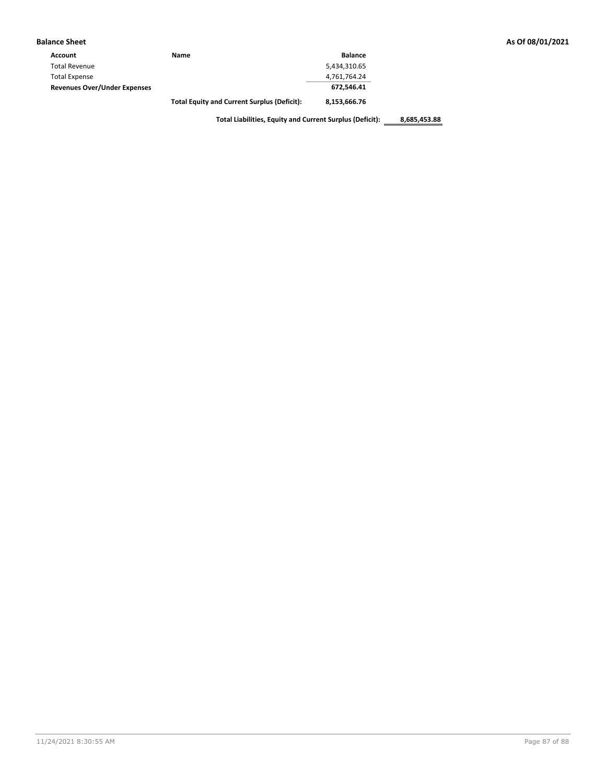| Account                             | Name                                               | <b>Balance</b> |
|-------------------------------------|----------------------------------------------------|----------------|
| <b>Total Revenue</b>                |                                                    | 5,434,310.65   |
| <b>Total Expense</b>                |                                                    | 4,761,764.24   |
| <b>Revenues Over/Under Expenses</b> |                                                    | 672.546.41     |
|                                     | <b>Total Equity and Current Surplus (Deficit):</b> | 8,153,666.76   |

**Total Liabilities, Equity and Current Surplus (Deficit): 8,685,453.88**